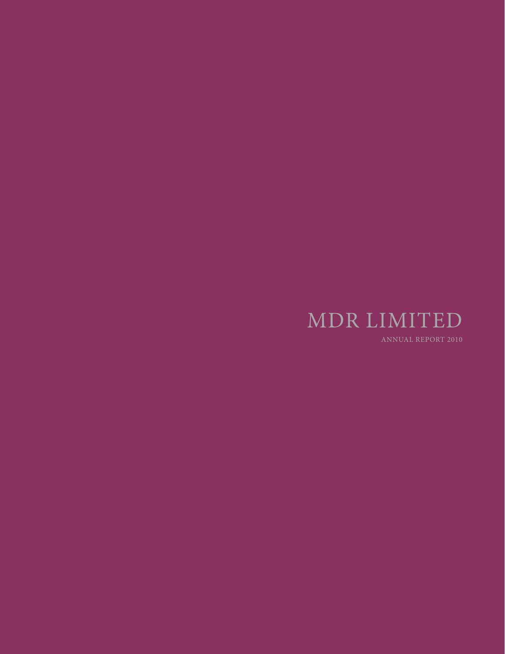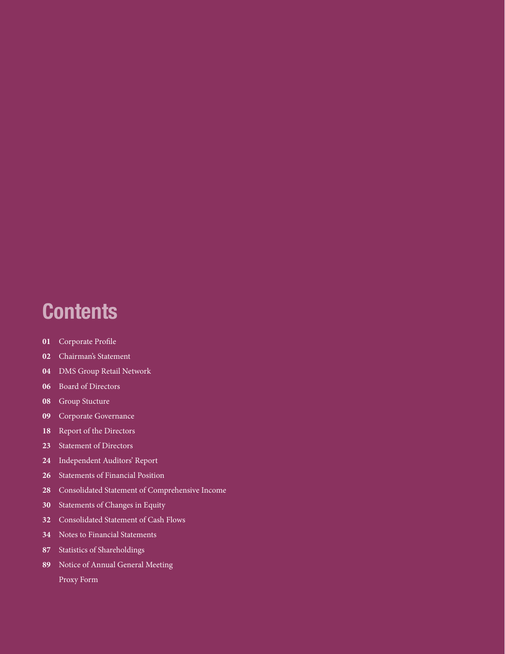### **Contents**

- Corporate Profile
- Chairman's Statement
- DMS Group Retail Network
- Board of Directors
- Group Stucture
- Corporate Governance
- Report of the Directors
- Statement of Directors
- Independent Auditors' Report
- Statements of Financial Position
- Consolidated Statement of Comprehensive Income
- Statements of Changes in Equity
- Consolidated Statement of Cash Flows
- Notes to Financial Statements
- Statistics of Shareholdings
- Notice of Annual General Meeting Proxy Form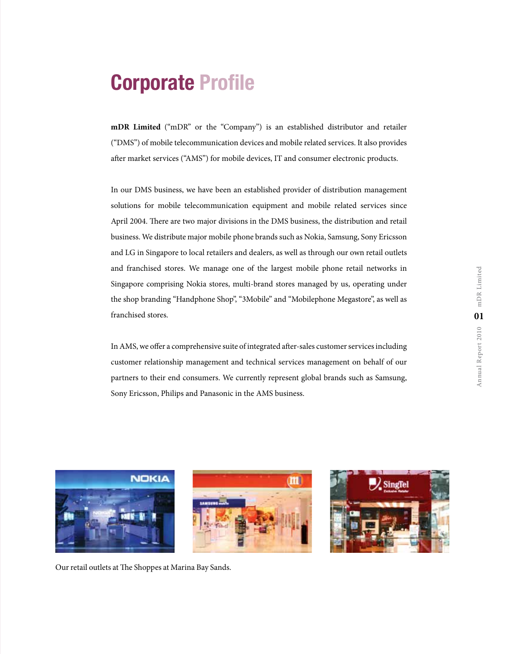### Corporate Profile

**mDR Limited** ("mDR" or the "Company") is an established distributor and retailer ("DMS") of mobile telecommunication devices and mobile related services. It also provides after market services ("AMS") for mobile devices, IT and consumer electronic products.

In our DMS business, we have been an established provider of distribution management solutions for mobile telecommunication equipment and mobile related services since April 2004. There are two major divisions in the DMS business, the distribution and retail business. We distribute major mobile phone brands such as Nokia, Samsung, Sony Ericsson and LG in Singapore to local retailers and dealers, as well as through our own retail outlets and franchised stores. We manage one of the largest mobile phone retail networks in Singapore comprising Nokia stores, multi-brand stores managed by us, operating under the shop branding "Handphone Shop", "3Mobile" and "Mobilephone Megastore", as well as franchised stores.

In AMS, we offer a comprehensive suite of integrated after-sales customer services including customer relationship management and technical services management on behalf of our partners to their end consumers. We currently represent global brands such as Samsung, Sony Ericsson, Philips and Panasonic in the AMS business.

m





Our retail outlets at The Shoppes at Marina Bay Sands.

**NOKIA**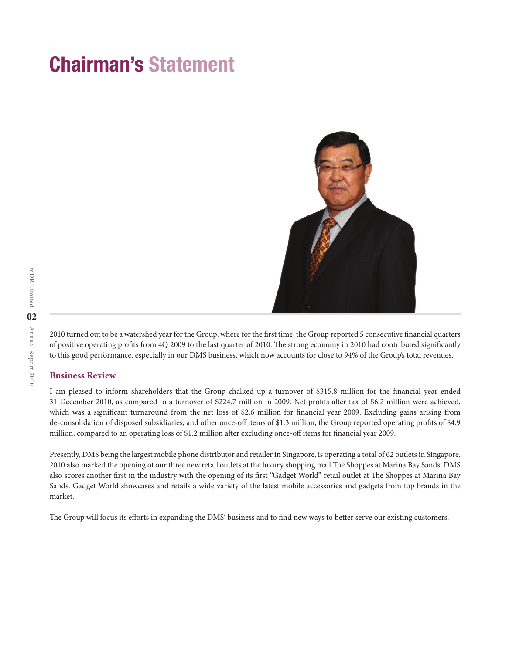### Chairman's Statement



2010 turned out to be a watershed year for the Group, where for the first time, the Group reported 5 consecutive financial quarters of positive operating profits from 4Q 2009 to the last quarter of 2010. The strong economy in 2010 had contributed significantly to this good performance, especially in our DMS business, which now accounts for close to 94% of the Group's total revenues.

#### **Business Review**

I am pleased to inform shareholders that the Group chalked up a turnover of \$315.8 million for the financial year ended 31 December 2010, as compared to a turnover of \$224.7 million in 2009. Net profits after tax of \$6.2 million were achieved, which was a significant turnaround from the net loss of \$2.6 million for financial year 2009. Excluding gains arising from de-consolidation of disposed subsidiaries, and other once-off items of \$1.3 million, the Group reported operating profits of \$4.9 million, compared to an operating loss of \$1.2 million after excluding once-off items for financial year 2009.

Presently, DMS being the largest mobile phone distributor and retailer in Singapore, is operating a total of 62 outlets in Singapore. 2010 also marked the opening of our three new retail outlets at the luxury shopping mall The Shoppes at Marina Bay Sands. DMS also scores another first in the industry with the opening of its first "Gadget World" retail outlet at The Shoppes at Marina Bay Sands. Gadget World showcases and retails a wide variety of the latest mobile accessories and gadgets from top brands in the market.

The Group will focus its efforts in expanding the DMS' business and to find new ways to better serve our existing customers.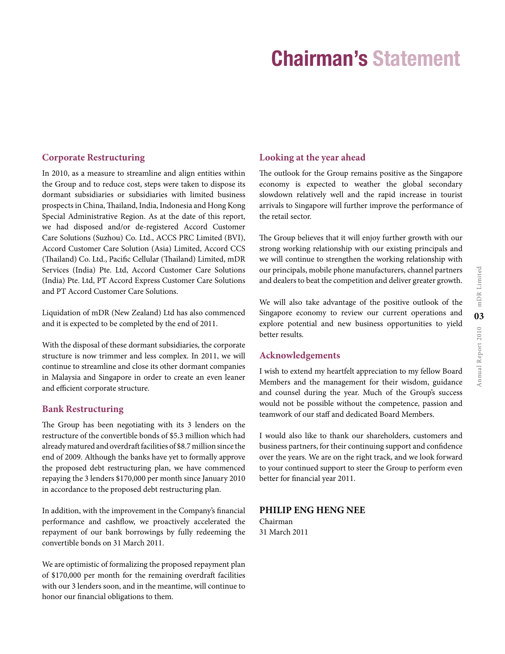## Chairman's Statement

#### **Corporate Restructuring**

In 2010, as a measure to streamline and align entities within the Group and to reduce cost, steps were taken to dispose its dormant subsidiaries or subsidiaries with limited business prospects in China, Thailand, India, Indonesia and Hong Kong Special Administrative Region. As at the date of this report, we had disposed and/or de-registered Accord Customer Care Solutions (Suzhou) Co. Ltd., ACCS PRC Limited (BVI), Accord Customer Care Solution (Asia) Limited, Accord CCS (Thailand) Co. Ltd., Pacific Cellular (Thailand) Limited, mDR Services (India) Pte. Ltd, Accord Customer Care Solutions (India) Pte. Ltd, PT Accord Express Customer Care Solutions and PT Accord Customer Care Solutions.

Liquidation of mDR (New Zealand) Ltd has also commenced and it is expected to be completed by the end of 2011.

With the disposal of these dormant subsidiaries, the corporate structure is now trimmer and less complex. In 2011, we will continue to streamline and close its other dormant companies in Malaysia and Singapore in order to create an even leaner and efficient corporate structure.

#### **Bank Restructuring**

The Group has been negotiating with its 3 lenders on the restructure of the convertible bonds of \$5.3 million which had already matured and overdraft facilities of \$8.7 million since the end of 2009. Although the banks have yet to formally approve the proposed debt restructuring plan, we have commenced repaying the 3 lenders \$170,000 per month since January 2010 in accordance to the proposed debt restructuring plan.

In addition, with the improvement in the Company's financial performance and cashflow, we proactively accelerated the repayment of our bank borrowings by fully redeeming the convertible bonds on 31 March 2011.

We are optimistic of formalizing the proposed repayment plan of \$170,000 per month for the remaining overdraft facilities with our 3 lenders soon, and in the meantime, will continue to honor our financial obligations to them.

#### **Looking at the year ahead**

The outlook for the Group remains positive as the Singapore economy is expected to weather the global secondary slowdown relatively well and the rapid increase in tourist arrivals to Singapore will further improve the performance of the retail sector.

The Group believes that it will enjoy further growth with our strong working relationship with our existing principals and we will continue to strengthen the working relationship with our principals, mobile phone manufacturers, channel partners and dealers to beat the competition and deliver greater growth.

We will also take advantage of the positive outlook of the Singapore economy to review our current operations and explore potential and new business opportunities to yield better results.

#### **Acknowledgements**

I wish to extend my heartfelt appreciation to my fellow Board Members and the management for their wisdom, guidance and counsel during the year. Much of the Group's success would not be possible without the competence, passion and teamwork of our staff and dedicated Board Members.

I would also like to thank our shareholders, customers and business partners, for their continuing support and confidence over the years. We are on the right track, and we look forward to your continued support to steer the Group to perform even better for financial year 2011.

#### **PHILIP ENG HENG NEE**

Chairman 31 March 2011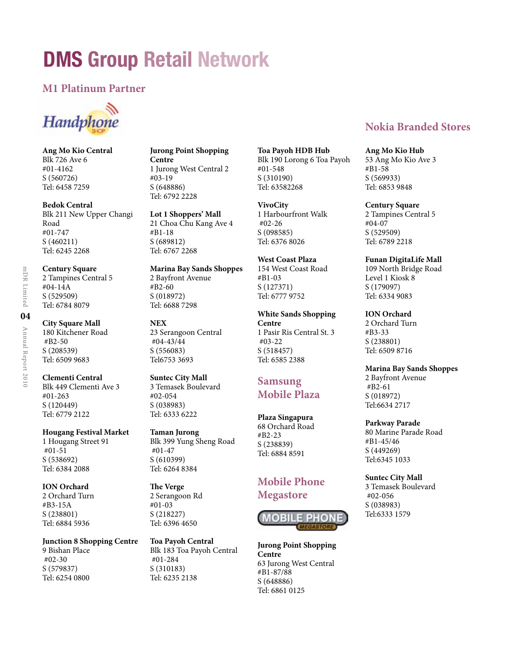# **DMS Group Retail Network**

### **M1 Platinum Partner**



**Ang Mo Kio Central**  Blk 726 Ave 6 #01-4162 S (560726) Tel: 6458 7259

**Bedok Central**  Blk 211 New Upper Changi Road #01-747 S (460211) Tel: 6245 2268

#### **Century Square**

2 Tampines Central 5 #04-14A S (529509) Tel: 6784 8079

#### **City Square Mall**

180 Kitchener Road #B2-50 S (208539) Tel: 6509 9683

#### **Clementi Central**  Blk 449 Clementi Ave 3

#01-263 S (120449) Tel: 6779 2122

### **Hougang Festival Market**

1 Hougang Street 91 #01-51 S (538692) Tel: 6384 2088

#### **ION Orchard**

2 Orchard Turn #B3-15A S (238801) Tel: 6884 5936

#### **Junction 8 Shopping Centre**

9 Bishan Place #02-30 S (579837) Tel: 6254 0800

**Jurong Point Shopping Centre**  1 Jurong West Central 2 #03-19 S (648886) Tel: 6792 2228

**Lot 1 Shoppers' Mall**  21 Choa Chu Kang Ave 4 #B1-18 S (689812) Tel: 6767 2268

#### **Marina Bay Sands Shoppes**

2 Bayfront Avenue #B2-60 S (018972) Tel: 6688 7298

#### **NEX**

23 Serangoon Central #04-43/44 S (556083) Tel6753 3693

### **Suntec City Mall**

3 Temasek Boulevard #02-054 S (038983) Tel: 6333 6222

### **Taman Jurong**

Blk 399 Yung Sheng Road #01-47 S (610399) Tel: 6264 8384

#### **The Verge**

2 Serangoon Rd #01-03 S (218227) Tel: 6396 4650

**Toa Payoh Central**  Blk 183 Toa Payoh Central #01-284 S (310183) Tel: 6235 2138

**Toa Payoh HDB Hub**  Blk 190 Lorong 6 Toa Payoh #01-548 S (310190) Tel: 63582268

**VivoCity**  1 Harbourfront Walk #02-26 S (098585) Tel: 6376 8026

**West Coast Plaza**  154 West Coast Road #B1-03 S (127371) Tel: 6777 9752

**White Sands Shopping Centre**  1 Pasir Ris Central St. 3 #03-22 S (518457) Tel: 6585 2388

### **Samsung Mobile Plaza**

**Plaza Singapura** 68 Orchard Road #B2-23 S (238839) Tel: 6884 8591

### **Mobile Phone**

### **Megastore**



**Jurong Point Shopping Centre** 63 Jurong West Central #B1-87/88 S (648886) Tel: 6861 0125

### **Nokia Branded Stores**

#### **Ang Mo Kio Hub**

53 Ang Mo Kio Ave 3 #B1-58 S (569933) Tel: 6853 9848

### **Century Square**

2 Tampines Central 5 #04-07 S (529509) Tel: 6789 2218

**Funan DigitaLife Mall**  109 North Bridge Road

Level 1 Kiosk 8 S (179097) Tel: 6334 9083

**ION Orchard**  2 Orchard Turn

#B3-33 S (238801) Tel: 6509 8716

#### **Marina Bay Sands Shoppes**

2 Bayfront Avenue #B2-61 S (018972) Tel:6634 2717

#### **Parkway Parade**

80 Marine Parade Road #B1-45/46 S (449269) Tel:6345 1033

**Suntec City Mall** 

3 Temasek Boulevard #02-056 S (038983) Tel:6333 1579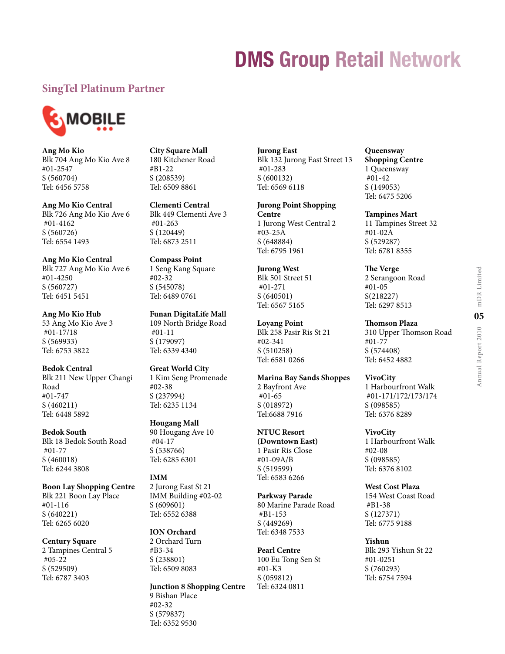# **DMS Group Retail Network**

### **SingTel Platinum Partner**



**Ang Mo Kio**  Blk 704 Ang Mo Kio Ave 8 #01-2547 S (560704) Tel: 6456 5758

**Ang Mo Kio Central**  Blk 726 Ang Mo Kio Ave 6 #01-4162 S (560726) Tel: 6554 1493

**Ang Mo Kio Central**  Blk 727 Ang Mo Kio Ave 6 #01-4250 S (560727) Tel: 6451 5451

**Ang Mo Kio Hub**  53 Ang Mo Kio Ave 3 #01-17/18 S (569933) Tel: 6753 3822

**Bedok Central**  Blk 211 New Upper Changi Road #01-747 S (460211) Tel: 6448 5892

**Bedok South**  Blk 18 Bedok South Road #01-77 S (460018) Tel: 6244 3808

**Boon Lay Shopping Centre**  Blk 221 Boon Lay Place #01-116 S (640221) Tel: 6265 6020

**Century Square**  2 Tampines Central 5 #05-22 S (529509) Tel: 6787 3403

**City Square Mall**  180 Kitchener Road #B1-22 S (208539) Tel: 6509 8861

**Clementi Central**  Blk 449 Clementi Ave 3 #01-263 S (120449) Tel: 6873 2511

**Compass Point**  1 Seng Kang Square #02-32 S (545078) Tel: 6489 0761

**Funan DigitaLife Mall**  109 North Bridge Road #01-11 S (179097) Tel: 6339 4340

**Great World City**  1 Kim Seng Promenade #02-38 S (237994) Tel: 6235 1134

**Hougang Mall**  90 Hougang Ave 10 #04-17 S (538766) Tel: 6285 6301

**IMM**  2 Jurong East St 21 IMM Building #02-02 S (609601) Tel: 6552 6388

**ION Orchard**  2 Orchard Turn #B3-34 S (238801) Tel: 6509 8083

**Junction 8 Shopping Centre**  9 Bishan Place #02-32 S (579837) Tel: 6352 9530

**Jurong East**  Blk 132 Jurong East Street 13 #01-283 S (600132) Tel: 6569 6118

**Jurong Point Shopping Centre**  1 Jurong West Central 2 #03-25A S (648884) Tel: 6795 1961

**Jurong West**  Blk 501 Street 51 #01-271 S (640501) Tel: 6567 5165

**Loyang Point**  Blk 258 Pasir Ris St 21 #02-341 S (510258) Tel: 6581 0266

**Marina Bay Sands Shoppes**  2 Bayfront Ave #01-65 S (018972) Tel:6688 7916

**NTUC Resort (Downtown East)**  1 Pasir Ris Close #01-09A/B S (519599) Tel: 6583 6266

**Parkway Parade**  80 Marine Parade Road #B1-153 S (449269) Tel: 6348 7533

**Pearl Centre**  100 Eu Tong Sen St #01-K3 S (059812) Tel: 6324 0811

**Queensway Shopping Centre**  1 Queensway #01-42 S (149053) Tel: 6475 5206

**Tampines Mart**  11 Tampines Street 32 #01-02A S (529287) Tel: 6781 8355

**The Verge**  2 Serangoon Road #01-05 S(218227) Tel: 6297 8513

**Thomson Plaza**  310 Upper Thomson Road #01-77 S (574408) Tel: 6452 4882

**VivoCity**  1 Harbourfront Walk #01-171/172/173/174 S (098585) Tel: 6376 8289

**VivoCity**  1 Harbourfront Walk #02-08 S (098585) Tel: 6376 8102

**West Cost Plaza**  154 West Coast Road #B1-38 S (127371) Tel: 6775 9188

**Yishun**  Blk 293 Yishun St 22 #01-0251 S (760293) Tel: 6754 7594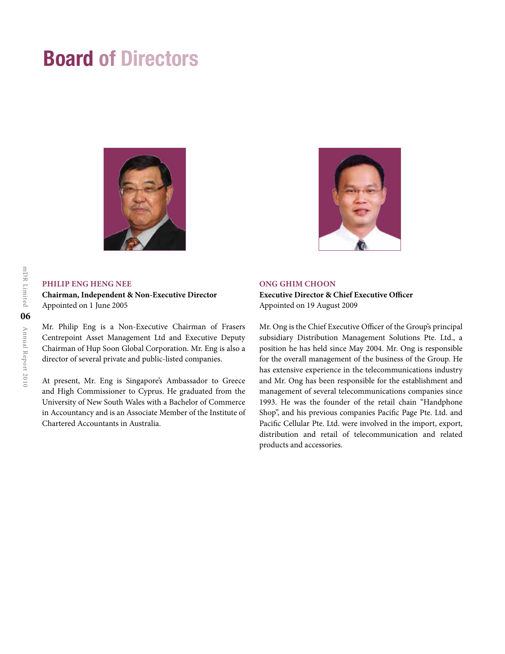### Board of Directors



**Philip Eng Heng Nee Chairman, Independent & Non-Executive Director** Appointed on 1 June 2005

Mr. Philip Eng is a Non-Executive Chairman of Frasers Centrepoint Asset Management Ltd and Executive Deputy Chairman of Hup Soon Global Corporation. Mr. Eng is also a director of several private and public-listed companies.

At present, Mr. Eng is Singapore's Ambassador to Greece and High Commissioner to Cyprus. He graduated from the University of New South Wales with a Bachelor of Commerce in Accountancy and is an Associate Member of the Institute of Chartered Accountants in Australia.

#### **Ong Ghim Choon**

**Executive Director & Chief Executive Officer** Appointed on 19 August 2009

Mr. Ong is the Chief Executive Officer of the Group's principal subsidiary Distribution Management Solutions Pte. Ltd., a position he has held since May 2004. Mr. Ong is responsible for the overall management of the business of the Group. He has extensive experience in the telecommunications industry and Mr. Ong has been responsible for the establishment and management of several telecommunications companies since 1993. He was the founder of the retail chain "Handphone Shop", and his previous companies Pacific Page Pte. Ltd. and Pacific Cellular Pte. Ltd. were involved in the import, export, distribution and retail of telecommunication and related products and accessories.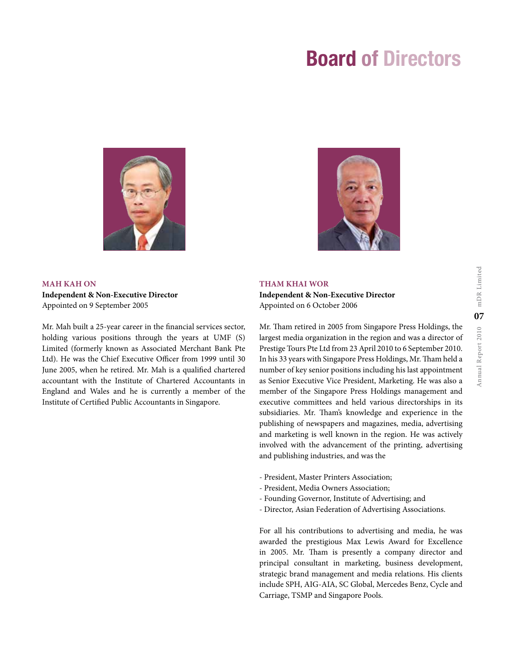## Board of Directors



#### **Mah Kah On Independent & Non-Executive Director** Appointed on 9 September 2005

Mr. Mah built a 25-year career in the financial services sector, holding various positions through the years at UMF (S) Limited (formerly known as Associated Merchant Bank Pte Ltd). He was the Chief Executive Officer from 1999 until 30 June 2005, when he retired. Mr. Mah is a qualified chartered accountant with the Institute of Chartered Accountants in England and Wales and he is currently a member of the Institute of Certified Public Accountants in Singapore.



#### **Tham Khai Wor**

**Independent & Non-Executive Director** Appointed on 6 October 2006

Mr. Tham retired in 2005 from Singapore Press Holdings, the largest media organization in the region and was a director of Prestige Tours Pte Ltd from 23 April 2010 to 6 September 2010. In his 33 years with Singapore Press Holdings, Mr. Tham held a number of key senior positions including his last appointment as Senior Executive Vice President, Marketing. He was also a member of the Singapore Press Holdings management and executive committees and held various directorships in its subsidiaries. Mr. Tham's knowledge and experience in the publishing of newspapers and magazines, media, advertising and marketing is well known in the region. He was actively involved with the advancement of the printing, advertising and publishing industries, and was the

- President, Master Printers Association;
- President, Media Owners Association;
- Founding Governor, Institute of Advertising; and
- Director, Asian Federation of Advertising Associations.

For all his contributions to advertising and media, he was awarded the prestigious Max Lewis Award for Excellence in 2005. Mr. Tham is presently a company director and principal consultant in marketing, business development, strategic brand management and media relations. His clients include SPH, AIG-AIA, SC Global, Mercedes Benz, Cycle and Carriage, TSMP and Singapore Pools.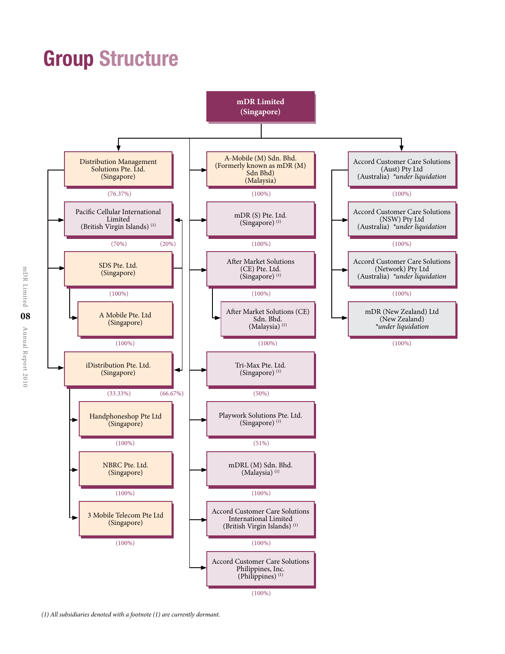# Group Structure



*(1) All subsidiaries denoted with a footnote (1) are currently dormant.*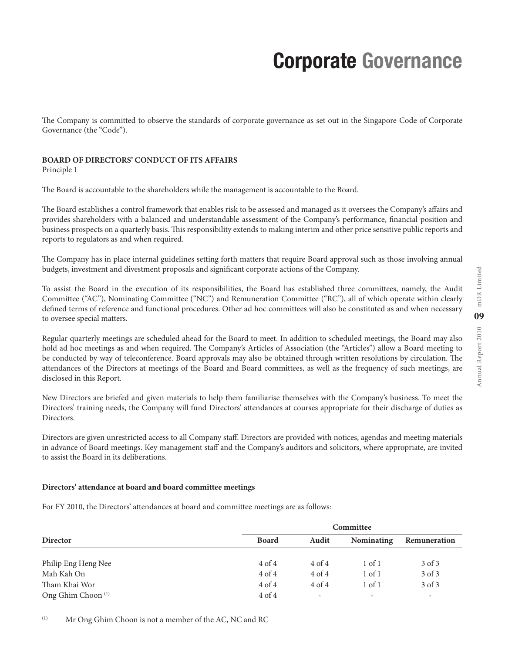The Company is committed to observe the standards of corporate governance as set out in the Singapore Code of Corporate Governance (the "Code").

### **BOARD OF DIRECTORS' CONDUCT OF ITS AFFAIRS**

Principle 1

The Board is accountable to the shareholders while the management is accountable to the Board.

The Board establishes a control framework that enables risk to be assessed and managed as it oversees the Company's affairs and provides shareholders with a balanced and understandable assessment of the Company's performance, financial position and business prospects on a quarterly basis. This responsibility extends to making interim and other price sensitive public reports and reports to regulators as and when required.

The Company has in place internal guidelines setting forth matters that require Board approval such as those involving annual budgets, investment and divestment proposals and significant corporate actions of the Company.

To assist the Board in the execution of its responsibilities, the Board has established three committees, namely, the Audit Committee ("AC"), Nominating Committee ("NC") and Remuneration Committee ("RC"), all of which operate within clearly defined terms of reference and functional procedures. Other ad hoc committees will also be constituted as and when necessary to oversee special matters.

Regular quarterly meetings are scheduled ahead for the Board to meet. In addition to scheduled meetings, the Board may also hold ad hoc meetings as and when required. The Company's Articles of Association (the "Articles") allow a Board meeting to be conducted by way of teleconference. Board approvals may also be obtained through written resolutions by circulation. The attendances of the Directors at meetings of the Board and Board committees, as well as the frequency of such meetings, are disclosed in this Report.

New Directors are briefed and given materials to help them familiarise themselves with the Company's business. To meet the Directors' training needs, the Company will fund Directors' attendances at courses appropriate for their discharge of duties as Directors.

Directors are given unrestricted access to all Company staff . Directors are provided with notices, agendas and meeting materials in advance of Board meetings. Key management staff and the Company's auditors and solicitors, where appropriate, are invited to assist the Board in its deliberations.

#### **Directors' attendance at board and board committee meetings**

For FY 2010, the Directors' attendances at board and committee meetings are as follows:

|                               | Committee    |                          |                          |                          |  |  |  |
|-------------------------------|--------------|--------------------------|--------------------------|--------------------------|--|--|--|
| <b>Director</b>               | <b>Board</b> | Audit                    | <b>Nominating</b>        | Remuneration             |  |  |  |
|                               |              |                          |                          |                          |  |  |  |
| Philip Eng Heng Nee           | $4$ of $4$   | 4 of 4                   | $1$ of $1$               | 3 of 3                   |  |  |  |
| Mah Kah On                    | 4 of 4       | 4 of 4                   | $1$ of $1$               | $3$ of $3$               |  |  |  |
| Tham Khai Wor                 | 4 of 4       | 4 of 4                   | $1 \text{ of } 1$        | 3 of 3                   |  |  |  |
| Ong Ghim Choon <sup>(1)</sup> | 4 of 4       | $\overline{\phantom{a}}$ | $\overline{\phantom{a}}$ | $\overline{\phantom{0}}$ |  |  |  |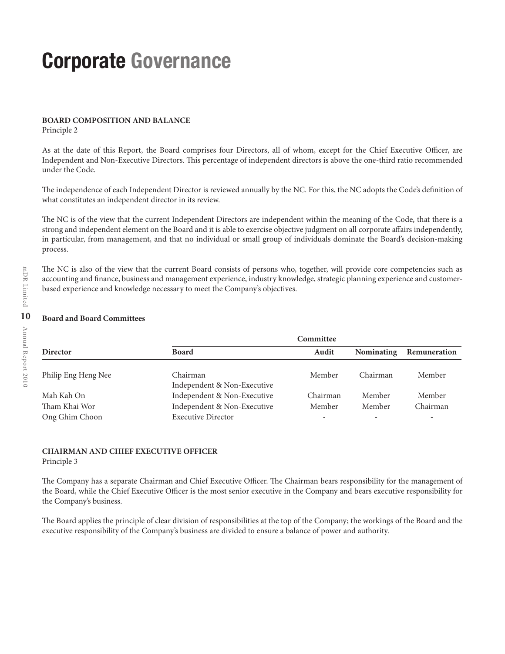#### **BOARD COMPOSITION AND BALANCE**

Principle 2

As at the date of this Report, the Board comprises four Directors, all of whom, except for the Chief Executive Officer, are Independent and Non-Executive Directors. This percentage of independent directors is above the one-third ratio recommended under the Code.

The independence of each Independent Director is reviewed annually by the NC. For this, the NC adopts the Code's definition of what constitutes an independent director in its review.

The NC is of the view that the current Independent Directors are independent within the meaning of the Code, that there is a strong and independent element on the Board and it is able to exercise objective judgment on all corporate affairs independently, in particular, from management, and that no individual or small group of individuals dominate the Board's decision-making process.

The NC is also of the view that the current Board consists of persons who, together, will provide core competencies such as accounting and finance, business and management experience, industry knowledge, strategic planning experience and customerbased experience and knowledge necessary to meet the Company's objectives.

#### **Board and Board Committees**

| <b>Director</b>     | <b>Board</b>                            | Audit    | <b>Nominating</b> | Remuneration |
|---------------------|-----------------------------------------|----------|-------------------|--------------|
| Philip Eng Heng Nee | Chairman<br>Independent & Non-Executive | Member   | Chairman          | Member       |
| Mah Kah On          | Independent & Non-Executive             | Chairman | Member            | Member       |
| Tham Khai Wor       | Independent & Non-Executive             | Member   | Member            | Chairman     |
| Ong Ghim Choon      | <b>Executive Director</b>               | -        |                   | -            |

#### **CHAIRMAN AND CHIEF EXECUTIVE OFFICER** Principle 3

The Company has a separate Chairman and Chief Executive Officer. The Chairman bears responsibility for the management of the Board, while the Chief Executive Officer is the most senior executive in the Company and bears executive responsibility for the Company's business.

The Board applies the principle of clear division of responsibilities at the top of the Company; the workings of the Board and the executive responsibility of the Company's business are divided to ensure a balance of power and authority.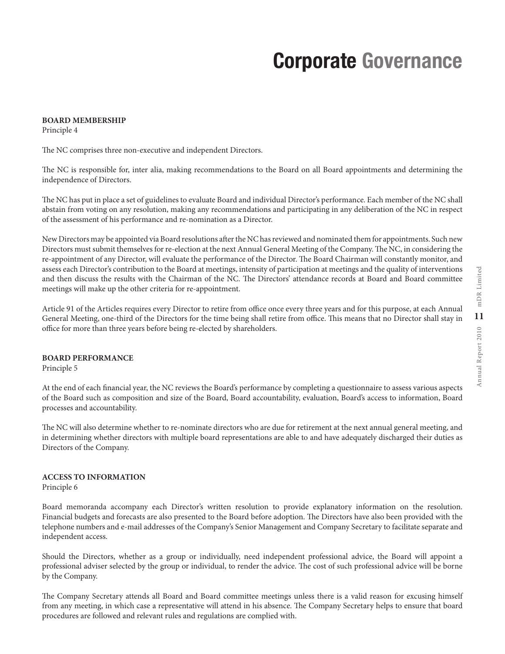### **BOARD MEMBERSHIP**

Principle 4

The NC comprises three non-executive and independent Directors.

The NC is responsible for, inter alia, making recommendations to the Board on all Board appointments and determining the independence of Directors.

The NC has put in place a set of guidelines to evaluate Board and individual Director's performance. Each member of the NC shall abstain from voting on any resolution, making any recommendations and participating in any deliberation of the NC in respect of the assessment of his performance and re-nomination as a Director.

New Directors may be appointed via Board resolutions after the NC has reviewed and nominated them for appointments. Such new Directors must submit themselves for re-election at the next Annual General Meeting of the Company. The NC, in considering the re-appointment of any Director, will evaluate the performance of the Director. The Board Chairman will constantly monitor, and assess each Director's contribution to the Board at meetings, intensity of participation at meetings and the quality of interventions and then discuss the results with the Chairman of the NC. The Directors' attendance records at Board and Board committee meetings will make up the other criteria for re-appointment.

Article 91 of the Articles requires every Director to retire from office once every three years and for this purpose, at each Annual General Meeting, one-third of the Directors for the time being shall retire from office. This means that no Director shall stay in office for more than three years before being re-elected by shareholders.

#### **BOARD PERFORMANCE**

Principle 5

At the end of each financial year, the NC reviews the Board's performance by completing a questionnaire to assess various aspects of the Board such as composition and size of the Board, Board accountability, evaluation, Board's access to information, Board processes and accountability.

The NC will also determine whether to re-nominate directors who are due for retirement at the next annual general meeting, and in determining whether directors with multiple board representations are able to and have adequately discharged their duties as Directors of the Company.

#### **ACCESS TO INFORMATION**

Principle 6

Board memoranda accompany each Director's written resolution to provide explanatory information on the resolution. Financial budgets and forecasts are also presented to the Board before adoption. The Directors have also been provided with the telephone numbers and e-mail addresses of the Company's Senior Management and Company Secretary to facilitate separate and independent access.

Should the Directors, whether as a group or individually, need independent professional advice, the Board will appoint a professional adviser selected by the group or individual, to render the advice. The cost of such professional advice will be borne by the Company.

The Company Secretary attends all Board and Board committee meetings unless there is a valid reason for excusing himself from any meeting, in which case a representative will attend in his absence. The Company Secretary helps to ensure that board procedures are followed and relevant rules and regulations are complied with.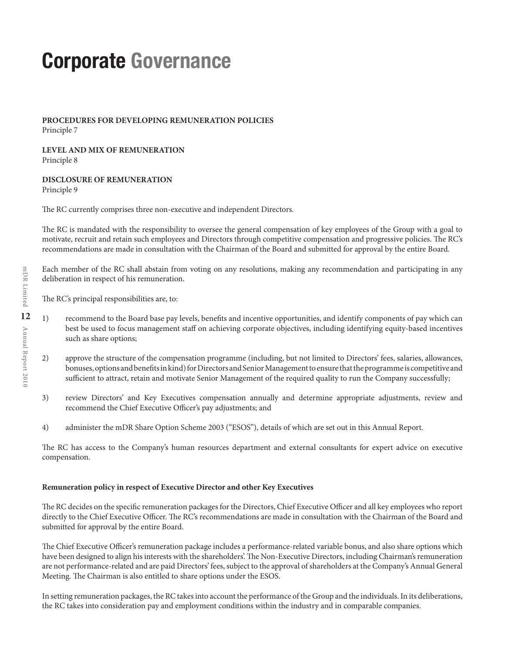#### **PROCEDURES FOR DEVELOPING REMUNERATION POLICIES** Principle 7

#### **LEVEL AND MIX OF REMUNERATION**

Principle 8

### **DISCLOSURE OF REMUNERATION**

Principle 9

The RC currently comprises three non-executive and independent Directors.

The RC is mandated with the responsibility to oversee the general compensation of key employees of the Group with a goal to motivate, recruit and retain such employees and Directors through competitive compensation and progressive policies. The RC's recommendations are made in consultation with the Chairman of the Board and submitted for approval by the entire Board.

Each member of the RC shall abstain from voting on any resolutions, making any recommendation and participating in any deliberation in respect of his remuneration.

The RC's principal responsibilities are, to:

- 1) recommend to the Board base pay levels, benefits and incentive opportunities, and identify components of pay which can best be used to focus management staff on achieving corporate objectives, including identifying equity-based incentives such as share options;
- 2) approve the structure of the compensation programme (including, but not limited to Directors' fees, salaries, allowances, bonuses, options and benefits in kind) for Directors and Senior Management to ensure that the programme is competitive and sufficient to attract, retain and motivate Senior Management of the required quality to run the Company successfully;
- 3) review Directors' and Key Executives compensation annually and determine appropriate adjustments, review and recommend the Chief Executive Officer's pay adjustments; and
- 4) administer the mDR Share Option Scheme 2003 ("ESOS"), details of which are set out in this Annual Report.

The RC has access to the Company's human resources department and external consultants for expert advice on executive compensation.

#### **Remuneration policy in respect of Executive Director and other Key Executives**

The RC decides on the specific remuneration packages for the Directors, Chief Executive Officer and all key employees who report directly to the Chief Executive Officer. The RC's recommendations are made in consultation with the Chairman of the Board and submitted for approval by the entire Board.

The Chief Executive Officer's remuneration package includes a performance-related variable bonus, and also share options which have been designed to align his interests with the shareholders'. The Non-Executive Directors, including Chairman's remuneration are not performance-related and are paid Directors' fees, subject to the approval of shareholders at the Company's Annual General Meeting. The Chairman is also entitled to share options under the ESOS.

In setting remuneration packages, the RC takes into account the performance of the Group and the individuals. In its deliberations, the RC takes into consideration pay and employment conditions within the industry and in comparable companies.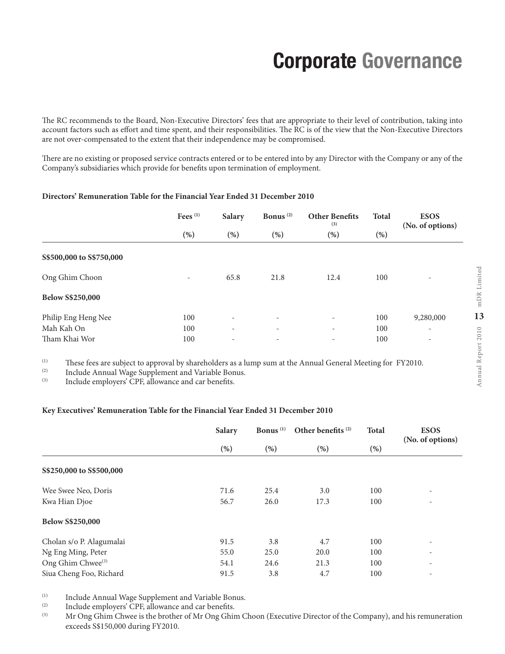The RC recommends to the Board, Non-Executive Directors' fees that are appropriate to their level of contribution, taking into account factors such as effort and time spent, and their responsibilities. The RC is of the view that the Non-Executive Directors are not over-compensated to the extent that their independence may be compromised.

There are no existing or proposed service contracts entered or to be entered into by any Director with the Company or any of the Company's subsidiaries which provide for benefits upon termination of employment.

|                          | Fees $(1)$               | Salary                   | Bonus <sup>(2)</sup>     | <b>Other Benefits</b><br><b>Total</b><br>(3) |     | <b>ESOS</b><br>(No. of options) |
|--------------------------|--------------------------|--------------------------|--------------------------|----------------------------------------------|-----|---------------------------------|
|                          | $(\%)$                   | (%)                      | (%)                      | (%)                                          | (%) |                                 |
| S\$500,000 to S\$750,000 |                          |                          |                          |                                              |     |                                 |
| Ong Ghim Choon           | $\overline{\phantom{a}}$ | 65.8                     | 21.8                     | 12.4                                         | 100 | ۰                               |
| <b>Below S\$250,000</b>  |                          |                          |                          |                                              |     |                                 |
| Philip Eng Heng Nee      | 100                      | $\overline{\phantom{a}}$ | $\overline{\phantom{a}}$ | $\overline{\phantom{a}}$                     | 100 | 9,280,000                       |
| Mah Kah On               | 100                      | $\overline{\phantom{a}}$ | $\overline{\phantom{0}}$ | $\overline{\phantom{a}}$                     | 100 | $\overline{\phantom{0}}$        |
| Tham Khai Wor            | 100                      | ٠                        |                          | $\overline{\phantom{a}}$                     | 100 | -                               |

#### **Directors' Remuneration Table for the Financial Year Ended 31 December 2010**

(1) These fees are subject to approval by shareholders as a lump sum at the Annual General Meeting for FY2010.<br> $\frac{12}{2}$  Include Annual Wage Supplement and Variable Bonus

(2)  $\frac{1}{2}$  Include Annual Wage Supplement and Variable Bonus.

Include employers' CPF, allowance and car benefits.

#### **Key Executives' Remuneration Table for the Financial Year Ended 31 December 2010**

|                               | Salary | Bonus $(1)$<br>Other benefits <sup>(2)</sup> |      | <b>Total</b> | <b>ESOS</b>              |
|-------------------------------|--------|----------------------------------------------|------|--------------|--------------------------|
|                               | (%)    | (%)                                          | (%)  | $(\% )$      | (No. of options)         |
| S\$250,000 to S\$500,000      |        |                                              |      |              |                          |
| Wee Swee Neo, Doris           | 71.6   | 25.4                                         | 3.0  | 100          | ۰                        |
| Kwa Hian Djoe                 | 56.7   | 26.0                                         | 17.3 | 100          | ٠                        |
| <b>Below S\$250,000</b>       |        |                                              |      |              |                          |
| Cholan s/o P. Alagumalai      | 91.5   | 3.8                                          | 4.7  | 100          | $\overline{\phantom{0}}$ |
| Ng Eng Ming, Peter            | 55.0   | 25.0                                         | 20.0 | 100          | ۰                        |
| Ong Ghim Chwee <sup>(3)</sup> | 54.1   | 24.6                                         | 21.3 | 100          | $\overline{\phantom{0}}$ |
| Siua Cheng Foo, Richard       | 91.5   | 3.8                                          | 4.7  | 100          | ۰                        |

(1) Include Annual Wage Supplement and Variable Bonus.<br> $\frac{1}{2}$  Include employers' CPF allowance and car benefits

(2) Include employers' CPF, allowance and car benefits.<br>(3)  $\mathbf{M} \cdot \mathbf{O}$  and Chim Chyge is the brother of  $\mathbf{M} \cdot \mathbf{O}$  and Chim

(3) Mr Ong Ghim Chwee is the brother of Mr Ong Ghim Choon (Executive Director of the Company), and his remuneration exceeds S\$150,000 during FY2010.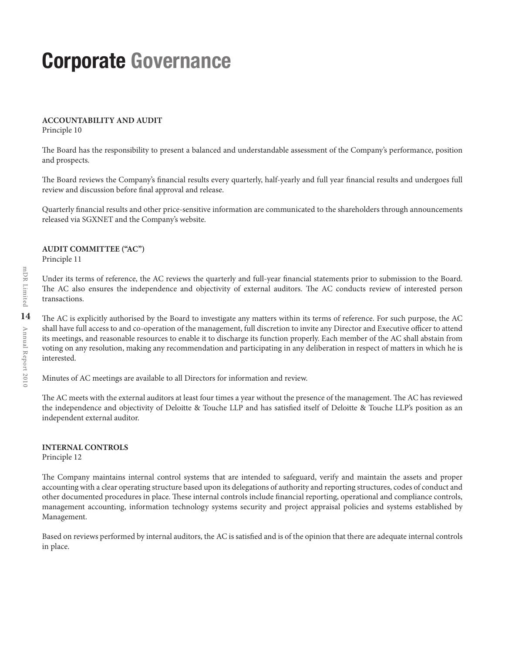#### **ACCOUNTABILITY AND AUDIT**

Principle 10

The Board has the responsibility to present a balanced and understandable assessment of the Company's performance, position and prospects.

The Board reviews the Company's financial results every quarterly, half-yearly and full year financial results and undergoes full review and discussion before final approval and release.

Quarterly financial results and other price-sensitive information are communicated to the shareholders through announcements released via SGXNET and the Company's website.

#### **AUDIT COMMITTEE ("AC")**

Principle 11

Under its terms of reference, the AC reviews the quarterly and full-year financial statements prior to submission to the Board. The AC also ensures the independence and objectivity of external auditors. The AC conducts review of interested person transactions.

The AC is explicitly authorised by the Board to investigate any matters within its terms of reference. For such purpose, the AC shall have full access to and co-operation of the management, full discretion to invite any Director and Executive officer to attend its meetings, and reasonable resources to enable it to discharge its function properly. Each member of the AC shall abstain from voting on any resolution, making any recommendation and participating in any deliberation in respect of matters in which he is interested.

Minutes of AC meetings are available to all Directors for information and review.

The AC meets with the external auditors at least four times a year without the presence of the management. The AC has reviewed the independence and objectivity of Deloitte & Touche LLP and has satisfied itself of Deloitte & Touche LLP's position as an independent external auditor.

#### **INTERNAL CONTROLS**

Principle 12

The Company maintains internal control systems that are intended to safeguard, verify and maintain the assets and proper accounting with a clear operating structure based upon its delegations of authority and reporting structures, codes of conduct and other documented procedures in place. These internal controls include financial reporting, operational and compliance controls, management accounting, information technology systems security and project appraisal policies and systems established by Management.

Based on reviews performed by internal auditors, the AC is satisfied and is of the opinion that there are adequate internal controls in place.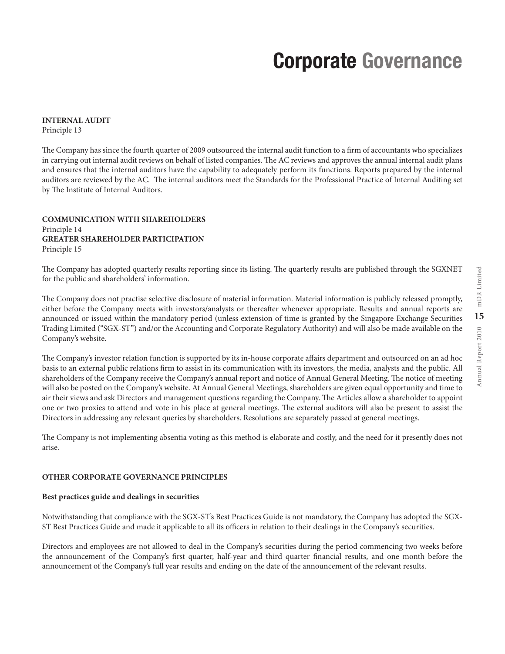**INTERNAL AUDIT**  Principle 13

The Company has since the fourth quarter of 2009 outsourced the internal audit function to a firm of accountants who specializes in carrying out internal audit reviews on behalf of listed companies. The AC reviews and approves the annual internal audit plans and ensures that the internal auditors have the capability to adequately perform its functions. Reports prepared by the internal auditors are reviewed by the AC. The internal auditors meet the Standards for the Professional Practice of Internal Auditing set by The Institute of Internal Auditors.

#### **COMMUNICATION WITH SHAREHOLDERS** Principle 14 **GREATER SHAREHOLDER PARTICIPATION**  Principle 15

The Company has adopted quarterly results reporting since its listing. The quarterly results are published through the SGXNET for the public and shareholders' information.

The Company does not practise selective disclosure of material information. Material information is publicly released promptly, either before the Company meets with investors/analysts or thereafter whenever appropriate. Results and annual reports are announced or issued within the mandatory period (unless extension of time is granted by the Singapore Exchange Securities Trading Limited ("SGX-ST") and/or the Accounting and Corporate Regulatory Authority) and will also be made available on the Company's website.

The Company's investor relation function is supported by its in-house corporate affairs department and outsourced on an ad hoc basis to an external public relations firm to assist in its communication with its investors, the media, analysts and the public. All shareholders of the Company receive the Company's annual report and notice of Annual General Meeting. The notice of meeting will also be posted on the Company's website. At Annual General Meetings, shareholders are given equal opportunity and time to air their views and ask Directors and management questions regarding the Company. The Articles allow a shareholder to appoint one or two proxies to attend and vote in his place at general meetings. The external auditors will also be present to assist the Directors in addressing any relevant queries by shareholders. Resolutions are separately passed at general meetings.

The Company is not implementing absentia voting as this method is elaborate and costly, and the need for it presently does not arise.

#### **OTHER CORPORATE GOVERNANCE PRINCIPLES**

#### **Best practices guide and dealings in securities**

Notwithstanding that compliance with the SGX-ST's Best Practices Guide is not mandatory, the Company has adopted the SGX-ST Best Practices Guide and made it applicable to all its officers in relation to their dealings in the Company's securities.

Directors and employees are not allowed to deal in the Company's securities during the period commencing two weeks before the announcement of the Company's first quarter, half-year and third quarter financial results, and one month before the announcement of the Company's full year results and ending on the date of the announcement of the relevant results.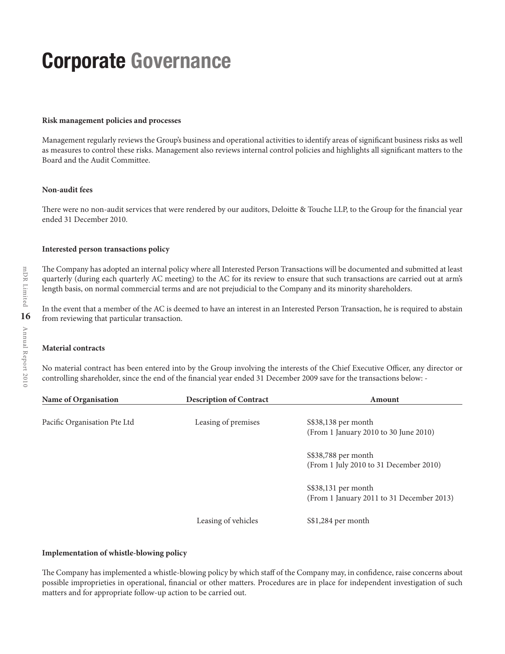#### **Risk management policies and processes**

Management regularly reviews the Group's business and operational activities to identify areas of significant business risks as well as measures to control these risks. Management also reviews internal control policies and highlights all significant matters to the Board and the Audit Committee.

#### **Non-audit fees**

There were no non-audit services that were rendered by our auditors, Deloitte & Touche LLP, to the Group for the financial year ended 31 December 2010.

#### **Interested person transactions policy**

The Company has adopted an internal policy where all Interested Person Transactions will be documented and submitted at least quarterly (during each quarterly AC meeting) to the AC for its review to ensure that such transactions are carried out at arm's length basis, on normal commercial terms and are not prejudicial to the Company and its minority shareholders.

In the event that a member of the AC is deemed to have an interest in an Interested Person Transaction, he is required to abstain from reviewing that particular transaction.

#### **Material contracts**

No material contract has been entered into by the Group involving the interests of the Chief Executive Officer, any director or controlling shareholder, since the end of the financial year ended 31 December 2009 save for the transactions below: -

| <b>Name of Organisation</b>  | <b>Description of Contract</b> | Amount                                                            |
|------------------------------|--------------------------------|-------------------------------------------------------------------|
| Pacific Organisation Pte Ltd | Leasing of premises            | \$\$38,138 per month                                              |
|                              |                                | (From 1 January 2010 to 30 June 2010)                             |
|                              |                                | S\$38,788 per month                                               |
|                              |                                | (From 1 July 2010 to 31 December 2010)                            |
|                              |                                | \$\$38,131 per month<br>(From 1 January 2011 to 31 December 2013) |
|                              | Leasing of vehicles            | S\$1,284 per month                                                |

#### **Implementation of whistle-blowing policy**

The Company has implemented a whistle-blowing policy by which staff of the Company may, in confidence, raise concerns about possible improprieties in operational, financial or other matters. Procedures are in place for independent investigation of such matters and for appropriate follow-up action to be carried out.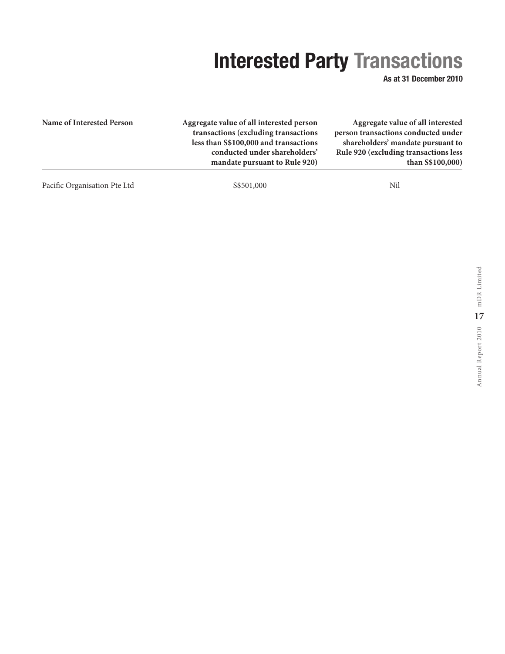# **Interested Party Transactions**

### **As at 31 December 2010**

| <b>Name of Interested Person</b> | Aggregate value of all interested person | Aggregate value of all interested     |
|----------------------------------|------------------------------------------|---------------------------------------|
|                                  | transactions (excluding transactions     | person transactions conducted under   |
|                                  | less than \$\$100,000 and transactions   | shareholders' mandate pursuant to     |
|                                  | conducted under shareholders'            | Rule 920 (excluding transactions less |
|                                  | mandate pursuant to Rule 920)            | than S\$100,000)                      |
|                                  |                                          |                                       |

Pacific Organisation Pte Ltd S\$501,000 S\$501,000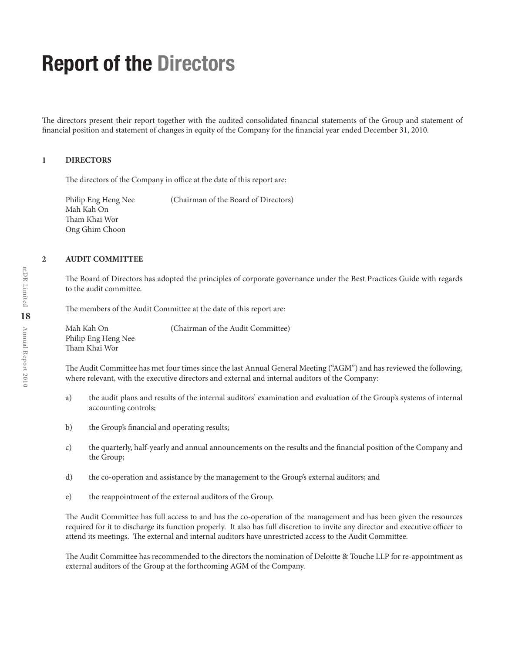The directors present their report together with the audited consolidated financial statements of the Group and statement of financial position and statement of changes in equity of the Company for the financial year ended December 31, 2010.

#### **1 DIRECTORS**

The directors of the Company in office at the date of this report are:

Philip Eng Heng Nee (Chairman of the Board of Directors) Mah Kah On Tham Khai Wor Ong Ghim Choon

#### **2 AUDIT COMMITTEE**

The Board of Directors has adopted the principles of corporate governance under the Best Practices Guide with regards to the audit committee.

The members of the Audit Committee at the date of this report are:

Mah Kah On (Chairman of the Audit Committee) Philip Eng Heng Nee Tham Khai Wor

The Audit Committee has met four times since the last Annual General Meeting ("AGM") and has reviewed the following, where relevant, with the executive directors and external and internal auditors of the Company:

- a) the audit plans and results of the internal auditors' examination and evaluation of the Group's systems of internal accounting controls;
- b) the Group's financial and operating results;
- c) the quarterly, half-yearly and annual announcements on the results and the financial position of the Company and the Group;
- d) the co-operation and assistance by the management to the Group's external auditors; and
- e) the reappointment of the external auditors of the Group.

The Audit Committee has full access to and has the co-operation of the management and has been given the resources required for it to discharge its function properly. It also has full discretion to invite any director and executive officer to attend its meetings. The external and internal auditors have unrestricted access to the Audit Committee.

The Audit Committee has recommended to the directors the nomination of Deloitte & Touche LLP for re-appointment as external auditors of the Group at the forthcoming AGM of the Company.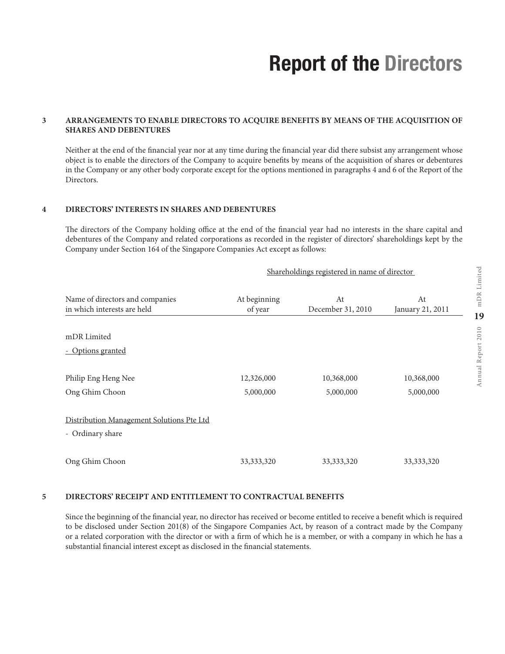Shareholdings registered in name of director

#### **3 ARRANGEMENTS TO ENABLE DIRECTORS TO ACQUIRE BENEFITS BY MEANS OF THE ACQUISITION OF SHARES AND DEBENTURES**

Neither at the end of the financial year nor at any time during the financial year did there subsist any arrangement whose object is to enable the directors of the Company to acquire benefits by means of the acquisition of shares or debentures in the Company or any other body corporate except for the options mentioned in paragraphs 4 and 6 of the Report of the Directors.

#### **4 DIRECTORS' INTERESTS IN SHARES AND DEBENTURES**

The directors of the Company holding office at the end of the financial year had no interests in the share capital and debentures of the Company and related corporations as recorded in the register of directors' shareholdings kept by the Company under Section 164 of the Singapore Companies Act except as follows:

| <u> 811 an Centrul Composition in number of university</u> |                         |                        |  |
|------------------------------------------------------------|-------------------------|------------------------|--|
| At beginning<br>of year                                    | At<br>December 31, 2010 | At<br>January 21, 2011 |  |
|                                                            |                         |                        |  |
|                                                            |                         |                        |  |
|                                                            |                         |                        |  |
|                                                            |                         |                        |  |
| 12,326,000                                                 | 10,368,000              | 10,368,000             |  |
| 5,000,000                                                  | 5,000,000               | 5,000,000              |  |
|                                                            |                         |                        |  |
|                                                            |                         |                        |  |
|                                                            |                         |                        |  |
|                                                            |                         |                        |  |
| 33, 333, 320                                               | 33, 333, 320            | 33, 333, 320           |  |
|                                                            |                         |                        |  |

#### **5 DIRECTORS' RECEIPT AND ENTITLEMENT TO CONTRACTUAL BENEFITS**

Since the beginning of the financial year, no director has received or become entitled to receive a benefit which is required to be disclosed under Section 201(8) of the Singapore Companies Act, by reason of a contract made by the Company or a related corporation with the director or with a firm of which he is a member, or with a company in which he has a substantial financial interest except as disclosed in the financial statements.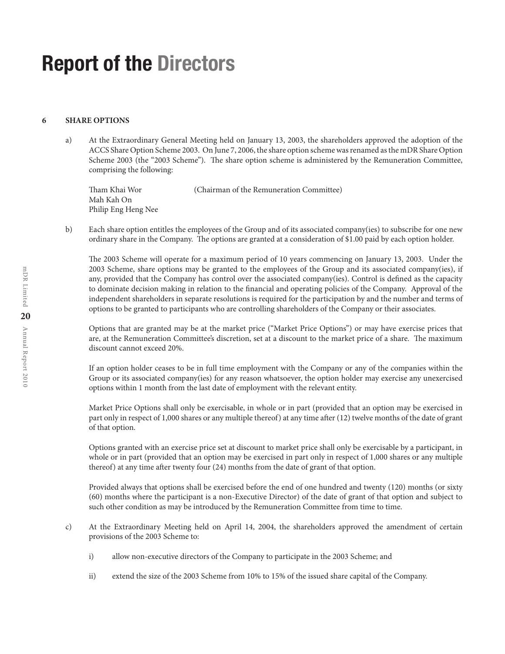#### **6 SHARE OPTIONS**

a) At the Extraordinary General Meeting held on January 13, 2003, the shareholders approved the adoption of the ACCS Share Option Scheme 2003. On June 7, 2006, the share option scheme was renamed as the mDR Share Option Scheme 2003 (the "2003 Scheme"). The share option scheme is administered by the Remuneration Committee, comprising the following:

Tham Khai Wor (Chairman of the Remuneration Committee) Mah Kah On Philip Eng Heng Nee

b) Each share option entitles the employees of the Group and of its associated company(ies) to subscribe for one new ordinary share in the Company. The options are granted at a consideration of \$1.00 paid by each option holder.

The 2003 Scheme will operate for a maximum period of 10 years commencing on January 13, 2003. Under the 2003 Scheme, share options may be granted to the employees of the Group and its associated company(ies), if any, provided that the Company has control over the associated company(ies). Control is defined as the capacity to dominate decision making in relation to the financial and operating policies of the Company. Approval of the independent shareholders in separate resolutions is required for the participation by and the number and terms of options to be granted to participants who are controlling shareholders of the Company or their associates.

Options that are granted may be at the market price ("Market Price Options") or may have exercise prices that are, at the Remuneration Committee's discretion, set at a discount to the market price of a share. The maximum discount cannot exceed 20%.

If an option holder ceases to be in full time employment with the Company or any of the companies within the Group or its associated company(ies) for any reason whatsoever, the option holder may exercise any unexercised options within 1 month from the last date of employment with the relevant entity.

Market Price Options shall only be exercisable, in whole or in part (provided that an option may be exercised in part only in respect of 1,000 shares or any multiple thereof) at any time after (12) twelve months of the date of grant of that option.

Options granted with an exercise price set at discount to market price shall only be exercisable by a participant, in whole or in part (provided that an option may be exercised in part only in respect of 1,000 shares or any multiple thereof) at any time after twenty four (24) months from the date of grant of that option.

Provided always that options shall be exercised before the end of one hundred and twenty (120) months (or sixty (60) months where the participant is a non-Executive Director) of the date of grant of that option and subject to such other condition as may be introduced by the Remuneration Committee from time to time.

- c) At the Extraordinary Meeting held on April 14, 2004, the shareholders approved the amendment of certain provisions of the 2003 Scheme to:
	- i) allow non-executive directors of the Company to participate in the 2003 Scheme; and
	- ii) extend the size of the 2003 Scheme from 10% to 15% of the issued share capital of the Company.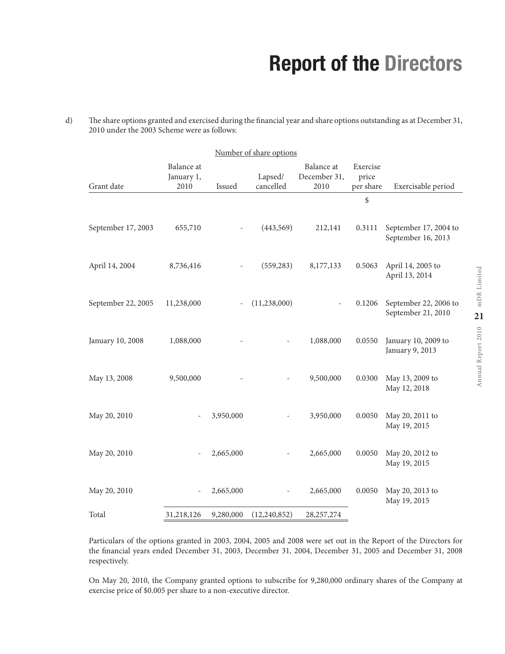d) The share options granted and exercised during the financial year and share options outstanding as at December 31, 2010 under the 2003 Scheme were as follows:

|                    |                                  |           | Number of share options |                                    |                                |                                             |
|--------------------|----------------------------------|-----------|-------------------------|------------------------------------|--------------------------------|---------------------------------------------|
| Grant date         | Balance at<br>January 1,<br>2010 | Issued    | Lapsed/<br>cancelled    | Balance at<br>December 31,<br>2010 | Exercise<br>price<br>per share | Exercisable period                          |
|                    |                                  |           |                         |                                    | \$                             |                                             |
| September 17, 2003 | 655,710                          |           | (443, 569)              | 212,141                            | 0.3111                         | September 17, 2004 to<br>September 16, 2013 |
| April 14, 2004     | 8,736,416                        |           | (559, 283)              | 8,177,133                          | 0.5063                         | April 14, 2005 to<br>April 13, 2014         |
| September 22, 2005 | 11,238,000                       |           | (11, 238, 000)          |                                    | 0.1206                         | September 22, 2006 to<br>September 21, 2010 |
| January 10, 2008   | 1,088,000                        |           |                         | 1,088,000                          | 0.0550                         | January 10, 2009 to<br>January 9, 2013      |
| May 13, 2008       | 9,500,000                        |           |                         | 9,500,000                          | 0.0300                         | May 13, 2009 to<br>May 12, 2018             |
| May 20, 2010       | $\overline{\phantom{a}}$         | 3,950,000 |                         | 3,950,000                          | 0.0050                         | May 20, 2011 to<br>May 19, 2015             |
| May 20, 2010       | $\overline{\phantom{a}}$         | 2,665,000 |                         | 2,665,000                          | 0.0050                         | May 20, 2012 to<br>May 19, 2015             |
| May 20, 2010       | $\overline{\phantom{a}}$         | 2,665,000 |                         | 2,665,000                          | 0.0050                         | May 20, 2013 to<br>May 19, 2015             |
| Total              | 31,218,126                       | 9,280,000 | (12,240,852)            | 28, 257, 274                       |                                |                                             |

Particulars of the options granted in 2003, 2004, 2005 and 2008 were set out in the Report of the Directors for the financial years ended December 31, 2003, December 31, 2004, December 31, 2005 and December 31, 2008 respectively.

On May 20, 2010, the Company granted options to subscribe for 9,280,000 ordinary shares of the Company at exercise price of \$0.005 per share to a non-executive director.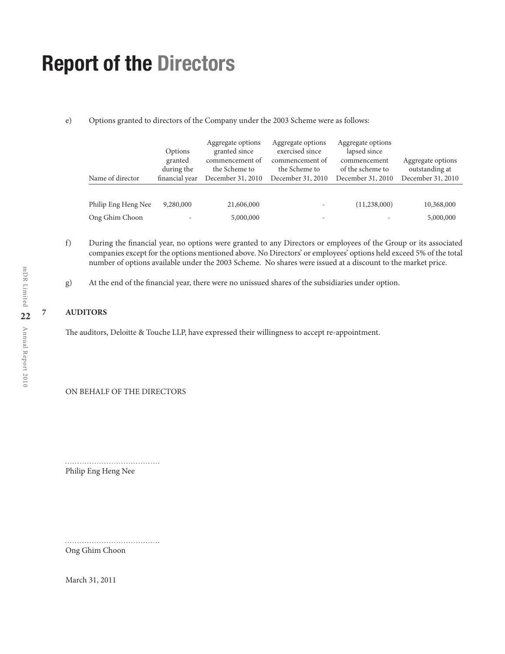#### e) Options granted to directors of the Company under the 2003 Scheme were as follows:

| Name of director    | Options<br>granted<br>during the<br>financial year | Aggregate options<br>granted since<br>commencement of<br>the Scheme to<br>December 31, 2010 | Aggregate options<br>exercised since<br>commencement of<br>the Scheme to<br>December 31, 2010 | Aggregate options<br>lapsed since<br>commencement<br>of the scheme to<br>December 31, 2010 | Aggregate options<br>outstanding at<br>December 31, 2010 |
|---------------------|----------------------------------------------------|---------------------------------------------------------------------------------------------|-----------------------------------------------------------------------------------------------|--------------------------------------------------------------------------------------------|----------------------------------------------------------|
| Philip Eng Heng Nee | 9,280,000                                          | 21,606,000                                                                                  |                                                                                               | (11, 238, 000)                                                                             | 10,368,000                                               |
| Ong Ghim Choon      |                                                    | 5,000,000                                                                                   |                                                                                               |                                                                                            | 5,000,000                                                |

- f) During the financial year, no options were granted to any Directors or employees of the Group or its associated companies except for the options mentioned above. No Directors' or employees' options held exceed 5% of the total number of options available under the 2003 Scheme. No shares were issued at a discount to the market price.
- g) At the end of the financial year, there were no unissued shares of the subsidiaries under option.

#### **7 AUDITORS**

The auditors, Deloitte & Touche LLP, have expressed their willingness to accept re-appointment.

ON BEHALF OF THE DIRECTORS

Philip Eng Heng Nee

Ong Ghim Choon

March 31, 2011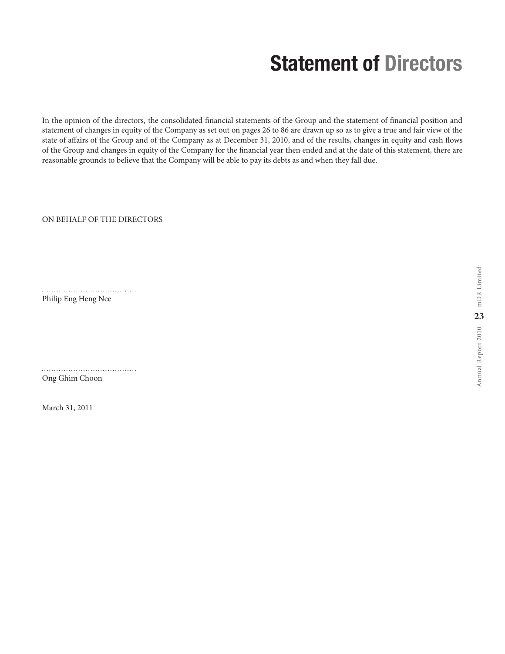# **Statement of Directors**

In the opinion of the directors, the consolidated financial statements of the Group and the statement of financial position and statement of changes in equity of the Company as set out on pages 26 to 86 are drawn up so as to give a true and fair view of the state of affairs of the Group and of the Company as at December 31, 2010, and of the results, changes in equity and cash flows of the Group and changes in equity of the Company for the financial year then ended and at the date of this statement, there are reasonable grounds to believe that the Company will be able to pay its debts as and when they fall due.

ON BEHALF OF THE DIRECTORS

Philip Eng Heng Nee

Ong Ghim Choon

March 31, 2011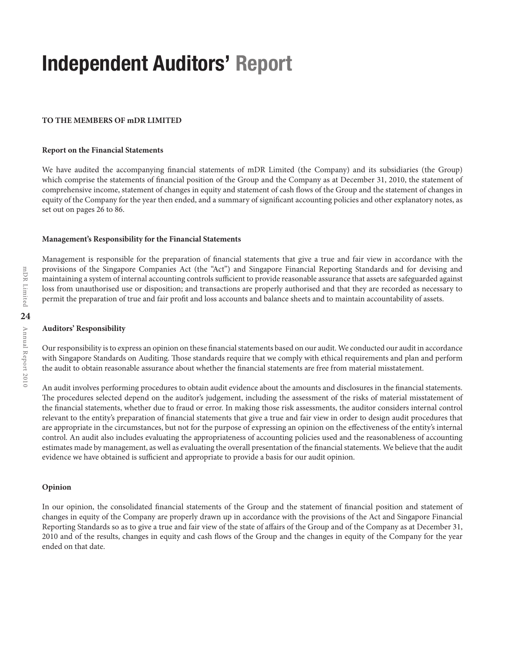## **Independent Auditors' Report**

#### **TO THE MEMBERS OF mDR LIMITED**

#### **Report on the Financial Statements**

We have audited the accompanying financial statements of mDR Limited (the Company) and its subsidiaries (the Group) which comprise the statements of financial position of the Group and the Company as at December 31, 2010, the statement of comprehensive income, statement of changes in equity and statement of cash flows of the Group and the statement of changes in equity of the Company for the year then ended, and a summary of significant accounting policies and other explanatory notes, as set out on pages 26 to 86.

#### **Management's Responsibility for the Financial Statements**

Management is responsible for the preparation of financial statements that give a true and fair view in accordance with the provisions of the Singapore Companies Act (the "Act") and Singapore Financial Reporting Standards and for devising and maintaining a system of internal accounting controls sufficient to provide reasonable assurance that assets are safeguarded against loss from unauthorised use or disposition; and transactions are properly authorised and that they are recorded as necessary to permit the preparation of true and fair profit and loss accounts and balance sheets and to maintain accountability of assets.

#### **Auditors' Responsibility**

Our responsibility is to express an opinion on these financial statements based on our audit. We conducted our audit in accordance with Singapore Standards on Auditing. Those standards require that we comply with ethical requirements and plan and perform the audit to obtain reasonable assurance about whether the financial statements are free from material misstatement.

An audit involves performing procedures to obtain audit evidence about the amounts and disclosures in the financial statements. The procedures selected depend on the auditor's judgement, including the assessment of the risks of material misstatement of the financial statements, whether due to fraud or error. In making those risk assessments, the auditor considers internal control relevant to the entity's preparation of financial statements that give a true and fair view in order to design audit procedures that are appropriate in the circumstances, but not for the purpose of expressing an opinion on the effectiveness of the entity's internal control. An audit also includes evaluating the appropriateness of accounting policies used and the reasonableness of accounting estimates made by management, as well as evaluating the overall presentation of the financial statements. We believe that the audit evidence we have obtained is sufficient and appropriate to provide a basis for our audit opinion.

#### **Opinion**

In our opinion, the consolidated financial statements of the Group and the statement of financial position and statement of changes in equity of the Company are properly drawn up in accordance with the provisions of the Act and Singapore Financial Reporting Standards so as to give a true and fair view of the state of affairs of the Group and of the Company as at December 31, 2010 and of the results, changes in equity and cash flows of the Group and the changes in equity of the Company for the year ended on that date.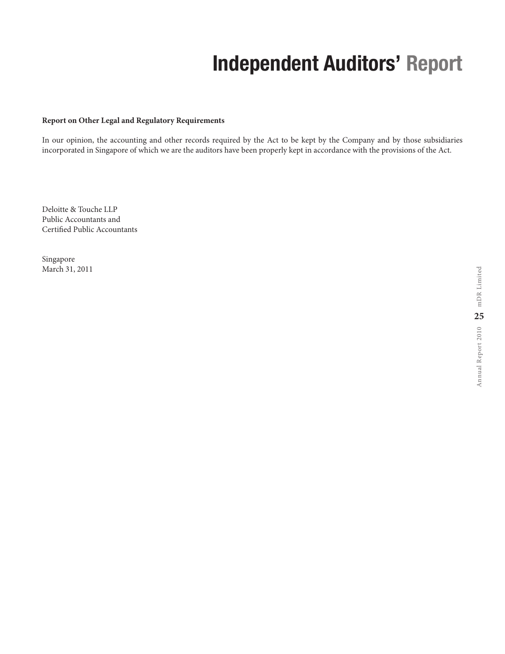# **Independent Auditors' Report**

#### **Report on Other Legal and Regulatory Requirements**

In our opinion, the accounting and other records required by the Act to be kept by the Company and by those subsidiaries incorporated in Singapore of which we are the auditors have been properly kept in accordance with the provisions of the Act.

Deloitte & Touche LLP Public Accountants and Certified Public Accountants

Singapore March 31, 2011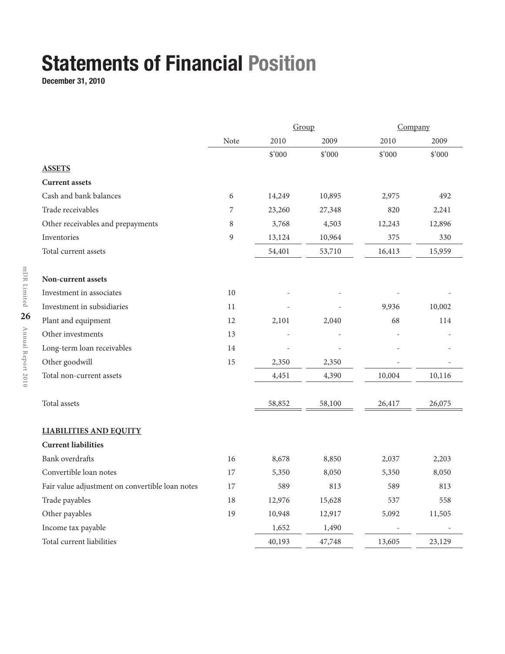# **Statements of Financial Position**

**December 31, 2010**

|                                                 | Group |        |        | Company         |        |
|-------------------------------------------------|-------|--------|--------|-----------------|--------|
|                                                 | Note  | 2010   | 2009   | 2010            | 2009   |
|                                                 |       | \$'000 | \$'000 | $$^{\prime}000$ | \$'000 |
| <b>ASSETS</b>                                   |       |        |        |                 |        |
| <b>Current assets</b>                           |       |        |        |                 |        |
| Cash and bank balances                          | 6     | 14,249 | 10,895 | 2,975           | 492    |
| Trade receivables                               | 7     | 23,260 | 27,348 | 820             | 2,241  |
| Other receivables and prepayments               | 8     | 3,768  | 4,503  | 12,243          | 12,896 |
| Inventories                                     | 9     | 13,124 | 10,964 | 375             | 330    |
| Total current assets                            |       | 54,401 | 53,710 | 16,413          | 15,959 |
| Non-current assets                              |       |        |        |                 |        |
| Investment in associates                        | 10    |        |        |                 |        |
| Investment in subsidiaries                      | 11    |        |        | 9,936           | 10,002 |
| Plant and equipment                             | 12    | 2,101  | 2,040  | 68              | 114    |
| Other investments                               | 13    |        |        |                 |        |
| Long-term loan receivables                      | 14    |        |        |                 |        |
| Other goodwill                                  | 15    | 2,350  | 2,350  |                 |        |
| Total non-current assets                        |       | 4,451  | 4,390  | 10,004          | 10,116 |
| Total assets                                    |       | 58,852 | 58,100 | 26,417          | 26,075 |
| <b>LIABILITIES AND EQUITY</b>                   |       |        |        |                 |        |
| <b>Current liabilities</b>                      |       |        |        |                 |        |
| Bank overdrafts                                 | 16    | 8,678  | 8,850  | 2,037           | 2,203  |
| Convertible loan notes                          | 17    | 5,350  | 8,050  | 5,350           | 8,050  |
| Fair value adjustment on convertible loan notes | 17    | 589    | 813    | 589             | 813    |
| Trade payables                                  | 18    | 12,976 | 15,628 | 537             | 558    |
| Other payables                                  | 19    | 10,948 | 12,917 | 5,092           | 11,505 |
| Income tax payable                              |       | 1,652  | 1,490  |                 |        |
| Total current liabilities                       |       | 40,193 | 47,748 | 13,605          | 23,129 |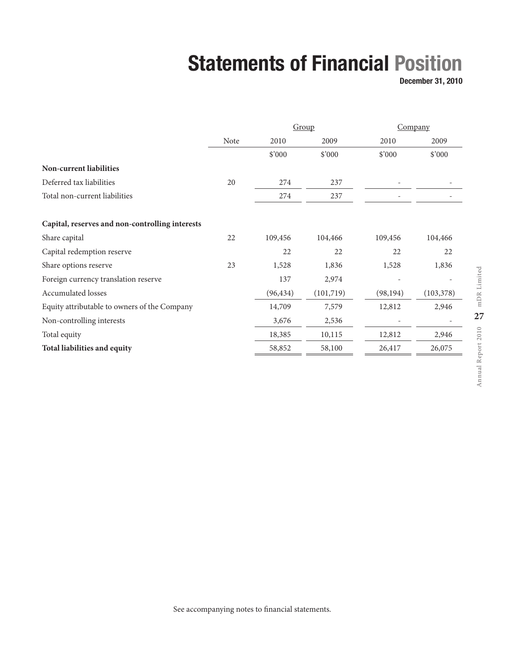# **Statements of Financial Position**

**December 31, 2010**

|                                                 |      | Group           |            | Company         |                 |
|-------------------------------------------------|------|-----------------|------------|-----------------|-----------------|
|                                                 | Note | 2010            | 2009       | 2010            | 2009            |
|                                                 |      | $$^{\prime}000$ | \$'000     | $$^{\prime}000$ | $$^{\prime}000$ |
| Non-current liabilities                         |      |                 |            |                 |                 |
| Deferred tax liabilities                        | 20   | 274             | 237        |                 |                 |
| Total non-current liabilities                   |      | 274             | 237        |                 |                 |
| Capital, reserves and non-controlling interests |      |                 |            |                 |                 |
| Share capital                                   | 22   | 109,456         | 104,466    | 109,456         | 104,466         |
| Capital redemption reserve                      |      | 22              | 22         | 22              | 22              |
| Share options reserve                           | 23   | 1,528           | 1,836      | 1,528           | 1,836           |
| Foreign currency translation reserve            |      | 137             | 2,974      |                 |                 |
| <b>Accumulated losses</b>                       |      | (96, 434)       | (101, 719) | (98, 194)       | (103, 378)      |
| Equity attributable to owners of the Company    |      | 14,709          | 7,579      | 12,812          | 2,946           |
| Non-controlling interests                       |      | 3,676           | 2,536      |                 |                 |
| Total equity                                    |      | 18,385          | 10,115     | 12,812          | 2,946           |
| Total liabilities and equity                    |      | 58,852          | 58,100     | 26,417          | 26,075          |
|                                                 |      |                 |            |                 |                 |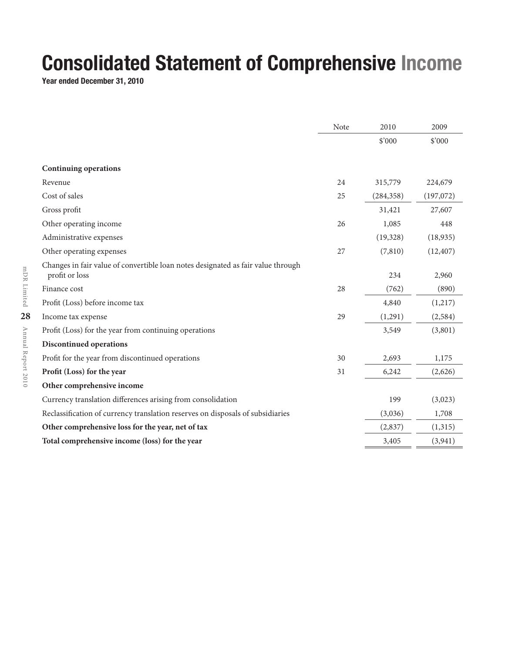# **Consolidated Statement of Comprehensive Income**

|                                                                                                    | Note | 2010            | 2009            |
|----------------------------------------------------------------------------------------------------|------|-----------------|-----------------|
|                                                                                                    |      | $$^{\prime}000$ | $$^{\prime}000$ |
| <b>Continuing operations</b>                                                                       |      |                 |                 |
| Revenue                                                                                            | 24   | 315,779         | 224,679         |
| Cost of sales                                                                                      | 25   | (284, 358)      | (197,072)       |
| Gross profit                                                                                       |      | 31,421          | 27,607          |
| Other operating income                                                                             | 26   | 1,085           | 448             |
| Administrative expenses                                                                            |      | (19, 328)       | (18, 935)       |
| Other operating expenses                                                                           | 27   | (7, 810)        | (12, 407)       |
| Changes in fair value of convertible loan notes designated as fair value through<br>profit or loss |      | 234             | 2,960           |
| Finance cost                                                                                       | 28   | (762)           | (890)           |
| Profit (Loss) before income tax                                                                    |      | 4,840           | (1,217)         |
| Income tax expense                                                                                 | 29   | (1,291)         | (2, 584)        |
| Profit (Loss) for the year from continuing operations                                              |      | 3,549           | (3,801)         |
| <b>Discontinued operations</b>                                                                     |      |                 |                 |
| Profit for the year from discontinued operations                                                   | 30   | 2,693           | 1,175           |
| Profit (Loss) for the year                                                                         | 31   | 6,242           | (2,626)         |
| Other comprehensive income                                                                         |      |                 |                 |
| Currency translation differences arising from consolidation                                        |      | 199             | (3,023)         |
| Reclassification of currency translation reserves on disposals of subsidiaries                     |      | (3,036)         | 1,708           |
| Other comprehensive loss for the year, net of tax                                                  |      | (2,837)         | (1,315)         |
| Total comprehensive income (loss) for the year                                                     |      | 3,405           | (3,941)         |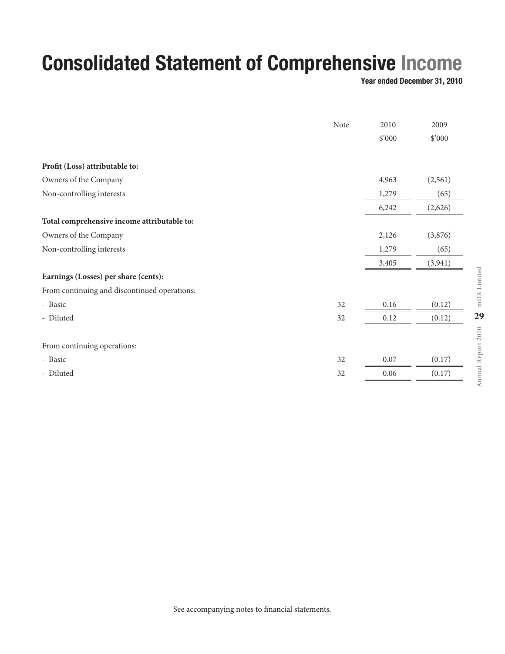## **Consolidated Statement of Comprehensive Income**

|                                              | Note | 2010            | 2009            |
|----------------------------------------------|------|-----------------|-----------------|
|                                              |      | $$^{\prime}000$ | $$^{\prime}000$ |
| Profit (Loss) attributable to:               |      |                 |                 |
| Owners of the Company                        |      | 4,963           | (2, 561)        |
| Non-controlling interests                    |      | 1,279           | (65)            |
|                                              |      | 6,242           | (2,626)         |
| Total comprehensive income attributable to:  |      |                 |                 |
| Owners of the Company                        |      | 2,126           | (3,876)         |
| Non-controlling interests                    |      | 1,279           | (65)            |
|                                              |      | 3,405           | (3, 941)        |
| Earnings (Losses) per share (cents):         |      |                 |                 |
| From continuing and discontinued operations: |      |                 |                 |
| - Basic                                      | 32   | 0.16            | (0.12)          |
| - Diluted                                    | 32   | 0.12            | (0.12)          |
| From continuing operations:                  |      |                 |                 |
| - Basic                                      | 32   | 0.07            | (0.17)          |
| - Diluted                                    | 32   | 0.06            | (0.17)          |
|                                              |      |                 |                 |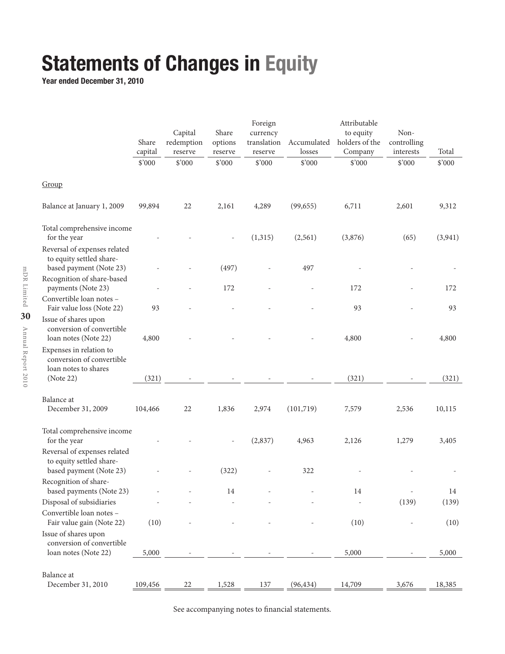# **Statements of Changes in Equity**

**Year ended December 31, 2010**

|                                                                                     | Share<br>capital | Capital<br>redemption<br>reserve | Share<br>options<br>reserve | Foreign<br>currency<br>translation<br>reserve | Accumulated<br>losses | Attributable<br>to equity<br>holders of the<br>Company | Non-<br>controlling<br>interests | Total           |
|-------------------------------------------------------------------------------------|------------------|----------------------------------|-----------------------------|-----------------------------------------------|-----------------------|--------------------------------------------------------|----------------------------------|-----------------|
|                                                                                     | $$^{\prime}000$  | $$^{\prime}000$                  | $$^{\prime}000$             | $$^{\prime}000$                               | \$'000                | $$^{\prime}000$                                        | $$^{\prime}000$                  | $$^{\prime}000$ |
| Group                                                                               |                  |                                  |                             |                                               |                       |                                                        |                                  |                 |
| Balance at January 1, 2009                                                          | 99,894           | 22                               | 2,161                       | 4,289                                         | (99, 655)             | 6,711                                                  | 2,601                            | 9,312           |
| Total comprehensive income<br>for the year                                          |                  |                                  |                             | (1,315)                                       | (2, 561)              | (3,876)                                                | (65)                             | (3,941)         |
| Reversal of expenses related<br>to equity settled share-<br>based payment (Note 23) |                  |                                  | (497)                       |                                               | 497                   |                                                        |                                  |                 |
| Recognition of share-based<br>payments (Note 23)                                    |                  |                                  | 172                         |                                               |                       | 172                                                    |                                  | 172             |
| Convertible loan notes -<br>Fair value loss (Note 22)                               | 93               |                                  |                             |                                               |                       | 93                                                     |                                  | 93              |
| Issue of shares upon<br>conversion of convertible<br>loan notes (Note 22)           | 4,800            |                                  |                             |                                               |                       | 4,800                                                  |                                  | 4,800           |
| Expenses in relation to<br>conversion of convertible<br>loan notes to shares        |                  |                                  |                             |                                               |                       |                                                        |                                  |                 |
| (Note 22)                                                                           | (321)            |                                  |                             |                                               |                       | (321)                                                  |                                  | (321)           |
| Balance at<br>December 31, 2009                                                     | 104,466          | 22                               | 1,836                       | 2,974                                         | (101, 719)            | 7,579                                                  | 2,536                            | 10,115          |
| Total comprehensive income<br>for the year                                          |                  |                                  |                             | (2,837)                                       | 4,963                 | 2,126                                                  | 1,279                            | 3,405           |
| Reversal of expenses related<br>to equity settled share-<br>based payment (Note 23) |                  |                                  | (322)                       |                                               | 322                   |                                                        |                                  |                 |
| Recognition of share-                                                               |                  |                                  | 14                          |                                               |                       |                                                        |                                  |                 |
| based payments (Note 23)<br>Disposal of subsidiaries                                |                  |                                  |                             |                                               |                       | 14                                                     | (139)                            | 14<br>(139)     |
| Convertible loan notes -<br>Fair value gain (Note 22)                               | (10)             |                                  |                             |                                               |                       | (10)                                                   |                                  | (10)            |
| Issue of shares upon<br>conversion of convertible<br>loan notes (Note 22)           | 5,000            |                                  |                             |                                               |                       | 5,000                                                  |                                  | 5,000           |
| <b>Balance</b> at<br>December 31, 2010                                              | 109,456          | <u>22</u>                        | 1,528                       | 137                                           | (96, 434)             | 14,709                                                 | 3,676                            | 18,385          |

See accompanying notes to financial statements.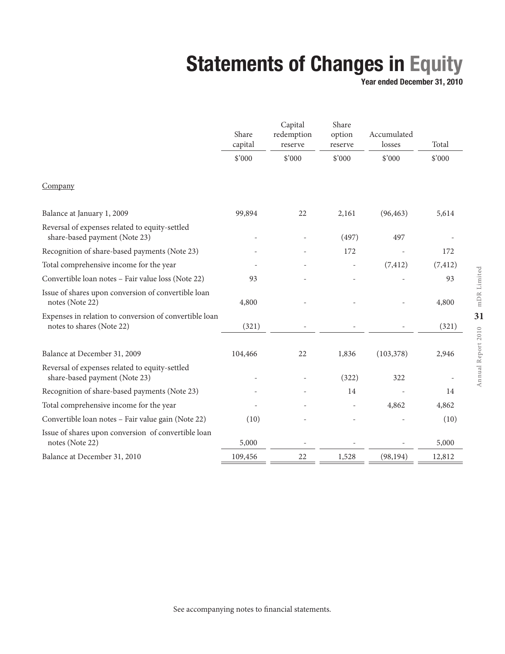# **Statements of Changes in Equity**

|                                                                                     | Share<br>capital | Capital<br>redemption<br>reserve | Share<br>option<br>reserve | Accumulated<br>losses | Total           |
|-------------------------------------------------------------------------------------|------------------|----------------------------------|----------------------------|-----------------------|-----------------|
|                                                                                     | $$^{\prime}000$  | $$^{\prime}000$                  | $$^{\prime}000$            | $$^{\prime}000$       | $$^{\prime}000$ |
| Company                                                                             |                  |                                  |                            |                       |                 |
| Balance at January 1, 2009                                                          | 99,894           | 22                               | 2,161                      | (96, 463)             | 5,614           |
| Reversal of expenses related to equity-settled<br>share-based payment (Note 23)     |                  |                                  | (497)                      | 497                   |                 |
| Recognition of share-based payments (Note 23)                                       |                  |                                  | 172                        |                       | 172             |
| Total comprehensive income for the year                                             |                  |                                  |                            | (7, 412)              | (7, 412)        |
| Convertible loan notes - Fair value loss (Note 22)                                  | 93               |                                  |                            |                       | 93              |
| Issue of shares upon conversion of convertible loan<br>notes (Note 22)              | 4,800            |                                  |                            |                       | 4,800           |
| Expenses in relation to conversion of convertible loan<br>notes to shares (Note 22) | (321)            |                                  |                            |                       | (321)           |
| Balance at December 31, 2009                                                        | 104,466          | 22                               | 1,836                      | (103, 378)            | 2,946           |
| Reversal of expenses related to equity-settled<br>share-based payment (Note 23)     |                  |                                  | (322)                      | 322                   |                 |
| Recognition of share-based payments (Note 23)                                       |                  |                                  | 14                         |                       | 14              |
| Total comprehensive income for the year                                             |                  |                                  |                            | 4,862                 | 4,862           |
| Convertible loan notes - Fair value gain (Note 22)                                  | (10)             |                                  |                            |                       | (10)            |
| Issue of shares upon conversion of convertible loan<br>notes (Note 22)              | 5,000            |                                  |                            |                       | 5,000           |
| Balance at December 31, 2010                                                        | 109,456          | 22                               | 1,528                      | (98, 194)             | 12,812          |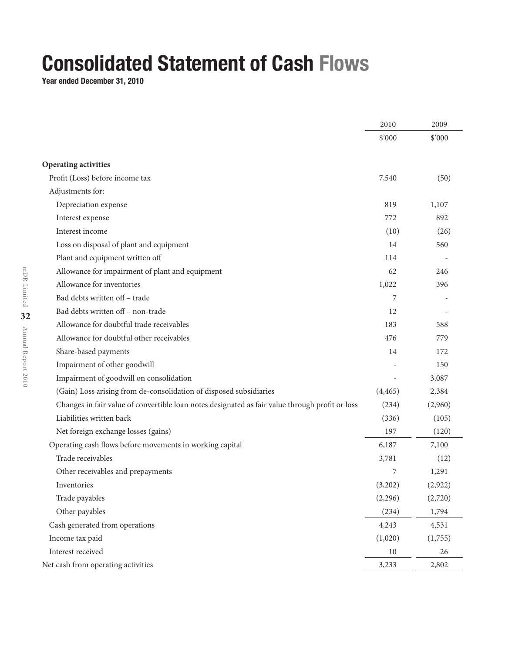# **Consolidated Statement of Cash Flows**

|                                                                                                 | 2010            | 2009            |
|-------------------------------------------------------------------------------------------------|-----------------|-----------------|
|                                                                                                 | $$^{\prime}000$ | $$^{\prime}000$ |
| <b>Operating activities</b>                                                                     |                 |                 |
| Profit (Loss) before income tax                                                                 | 7,540           | (50)            |
| Adjustments for:                                                                                |                 |                 |
| Depreciation expense                                                                            | 819             | 1,107           |
| Interest expense                                                                                | 772             | 892             |
| Interest income                                                                                 | (10)            | (26)            |
| Loss on disposal of plant and equipment                                                         | 14              | 560             |
| Plant and equipment written off                                                                 | 114             |                 |
| Allowance for impairment of plant and equipment                                                 | 62              | 246             |
| Allowance for inventories                                                                       | 1,022           | 396             |
| Bad debts written off - trade                                                                   | 7               |                 |
| Bad debts written off - non-trade                                                               | 12              |                 |
| Allowance for doubtful trade receivables                                                        | 183             | 588             |
| Allowance for doubtful other receivables                                                        | 476             | 779             |
| Share-based payments                                                                            | 14              | 172             |
| Impairment of other goodwill                                                                    |                 | 150             |
| Impairment of goodwill on consolidation                                                         |                 | 3,087           |
| (Gain) Loss arising from de-consolidation of disposed subsidiaries                              | (4, 465)        | 2,384           |
| Changes in fair value of convertible loan notes designated as fair value through profit or loss | (234)           | (2,960)         |
| Liabilities written back                                                                        | (336)           | (105)           |
| Net foreign exchange losses (gains)                                                             | 197             | (120)           |
| Operating cash flows before movements in working capital                                        | 6,187           | 7,100           |
| Trade receivables                                                                               | 3,781           | (12)            |
| Other receivables and prepayments                                                               | 7               | 1,291           |
| Inventories                                                                                     | (3,202)         | (2, 922)        |
| Trade payables                                                                                  | (2,296)         | (2,720)         |
| Other payables                                                                                  | (234)           | 1,794           |
| Cash generated from operations                                                                  | 4,243           | 4,531           |
| Income tax paid                                                                                 | (1,020)         | (1,755)         |
| Interest received                                                                               | $10\,$          | 26              |
| Net cash from operating activities                                                              | 3,233           | 2,802           |
|                                                                                                 |                 |                 |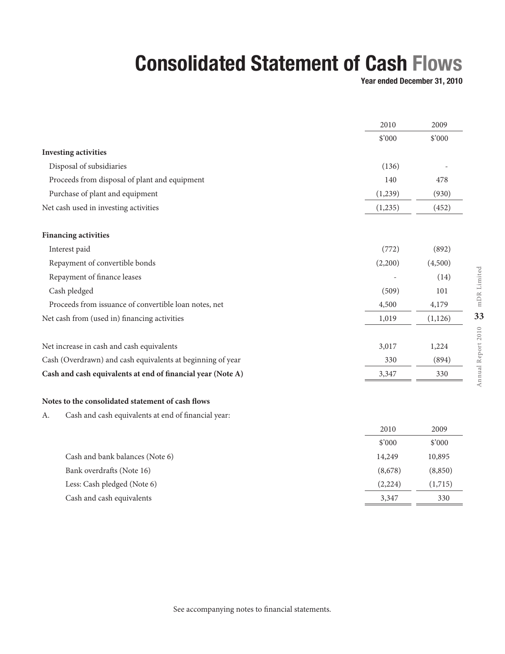## **Consolidated Statement of Cash Flows**

|                                                             | 2010            | 2009            |
|-------------------------------------------------------------|-----------------|-----------------|
|                                                             | $$^{\prime}000$ | $$^{\prime}000$ |
| <b>Investing activities</b>                                 |                 |                 |
| Disposal of subsidiaries                                    | (136)           |                 |
| Proceeds from disposal of plant and equipment               | 140             | 478             |
| Purchase of plant and equipment                             | (1,239)         | (930)           |
| Net cash used in investing activities                       | (1,235)         | (452)           |
| <b>Financing activities</b>                                 |                 |                 |
| Interest paid                                               | (772)           | (892)           |
| Repayment of convertible bonds                              | (2,200)         | (4,500)         |
| Repayment of finance leases                                 |                 | (14)            |
| Cash pledged                                                | (509)           | 101             |
| Proceeds from issuance of convertible loan notes, net       | 4,500           | 4,179           |
| Net cash from (used in) financing activities                | 1,019           | (1, 126)        |
| Net increase in cash and cash equivalents                   | 3,017           | 1,224           |
| Cash (Overdrawn) and cash equivalents at beginning of year  | 330             | (894)           |
| Cash and cash equivalents at end of financial year (Note A) | 3,347           | 330             |
| Notes to the consolidated statement of cash flows           |                 |                 |
| Cash and cash equivalents at end of financial year:<br>А.   |                 |                 |
|                                                             | 2010            | 2009            |
|                                                             | $$^{\prime}000$ | $$^{\prime}000$ |
| Cash and bank balances (Note 6)                             | 14,249          | 10,895          |
| Bank overdrafts (Note 16)                                   | (8,678)         | (8, 850)        |
| Less: Cash pledged (Note 6)                                 | (2,224)         | (1,715)         |
| Cash and cash equivalents                                   | 3,347           | 330             |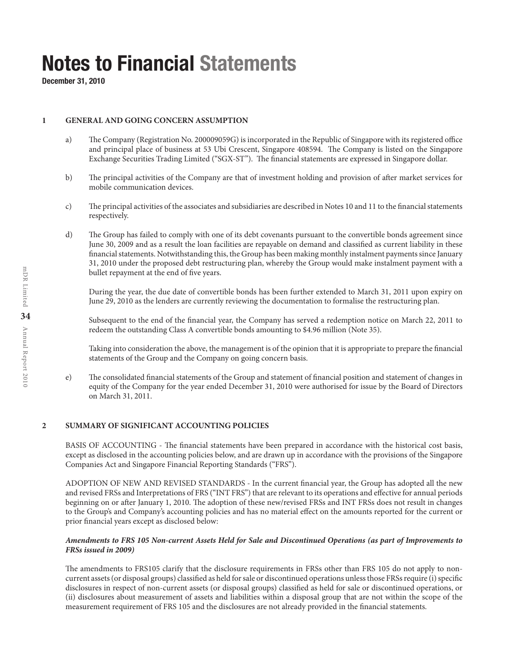# **Notes to Financial Statements**

**December 31, 2010**

#### **1 GENERAL AND GOING CONCERN ASSUMPTION**

- a) The Company (Registration No. 200009059G) is incorporated in the Republic of Singapore with its registered office and principal place of business at 53 Ubi Crescent, Singapore 408594. The Company is listed on the Singapore Exchange Securities Trading Limited ("SGX-ST"). The financial statements are expressed in Singapore dollar.
- b) The principal activities of the Company are that of investment holding and provision of after market services for mobile communication devices.
- c) The principal activities of the associates and subsidiaries are described in Notes 10 and 11 to the financial statements respectively.
- d) The Group has failed to comply with one of its debt covenants pursuant to the convertible bonds agreement since June 30, 2009 and as a result the loan facilities are repayable on demand and classified as current liability in these financial statements. Notwithstanding this, the Group has been making monthly instalment payments since January 31, 2010 under the proposed debt restructuring plan, whereby the Group would make instalment payment with a bullet repayment at the end of five years.

During the year, the due date of convertible bonds has been further extended to March 31, 2011 upon expiry on June 29, 2010 as the lenders are currently reviewing the documentation to formalise the restructuring plan.

Subsequent to the end of the financial year, the Company has served a redemption notice on March 22, 2011 to redeem the outstanding Class A convertible bonds amounting to \$4.96 million (Note 35).

Taking into consideration the above, the management is of the opinion that it is appropriate to prepare the financial statements of the Group and the Company on going concern basis.

e) The consolidated financial statements of the Group and statement of financial position and statement of changes in equity of the Company for the year ended December 31, 2010 were authorised for issue by the Board of Directors on March 31, 2011.

#### **2 SUMMARY OF SIGNIFICANT ACCOUNTING POLICIES**

BASIS OF ACCOUNTING - The financial statements have been prepared in accordance with the historical cost basis, except as disclosed in the accounting policies below, and are drawn up in accordance with the provisions of the Singapore Companies Act and Singapore Financial Reporting Standards ("FRS").

ADOPTION OF NEW AND REVISED STANDARDS - In the current financial year, the Group has adopted all the new and revised FRSs and Interpretations of FRS ("INT FRS") that are relevant to its operations and effective for annual periods beginning on or after January 1, 2010. The adoption of these new/revised FRSs and INT FRSs does not result in changes to the Group's and Company's accounting policies and has no material effect on the amounts reported for the current or prior financial years except as disclosed below:

#### *Amendments to FRS 105 Non-current Assets Held for Sale and Discontinued Operations (as part of Improvements to FRSs issued in 2009)*

The amendments to FRS105 clarify that the disclosure requirements in FRSs other than FRS 105 do not apply to noncurrent assets (or disposal groups) classified as held for sale or discontinued operations unless those FRSs require (i) specific disclosures in respect of non-current assets (or disposal groups) classified as held for sale or discontinued operations, or (ii) disclosures about measurement of assets and liabilities within a disposal group that are not within the scope of the measurement requirement of FRS 105 and the disclosures are not already provided in the financial statements.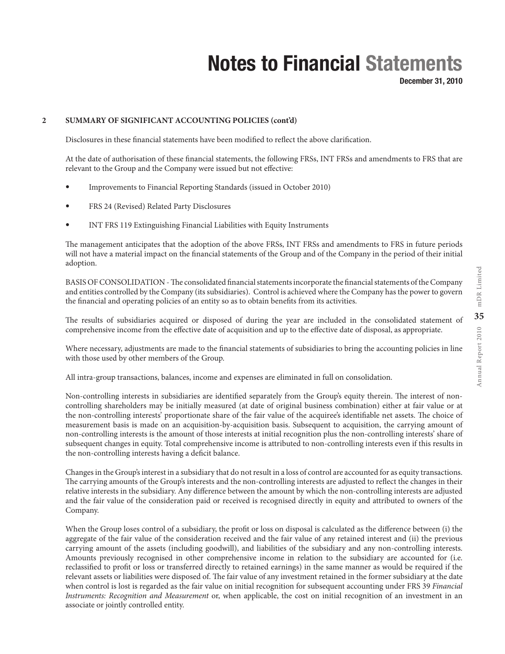**December 31, 2010**

# **2 SUMMARY OF SIGNIFICANT ACCOUNTING POLICIES (cont'd)**

Disclosures in these financial statements have been modified to reflect the above clarification.

At the date of authorisation of these financial statements, the following FRSs, INT FRSs and amendments to FRS that are relevant to the Group and the Company were issued but not effective:

- Improvements to Financial Reporting Standards (issued in October 2010)
- FRS 24 (Revised) Related Party Disclosures
- INT FRS 119 Extinguishing Financial Liabilities with Equity Instruments

The management anticipates that the adoption of the above FRSs, INT FRSs and amendments to FRS in future periods will not have a material impact on the financial statements of the Group and of the Company in the period of their initial adoption.

BASIS OF CONSOLIDATION - The consolidated financial statements incorporate the financial statements of the Company and entities controlled by the Company (its subsidiaries). Control is achieved where the Company has the power to govern the financial and operating policies of an entity so as to obtain benefits from its activities.

The results of subsidiaries acquired or disposed of during the year are included in the consolidated statement of comprehensive income from the effective date of acquisition and up to the effective date of disposal, as appropriate.

Where necessary, adjustments are made to the financial statements of subsidiaries to bring the accounting policies in line with those used by other members of the Group.

All intra-group transactions, balances, income and expenses are eliminated in full on consolidation.

Non-controlling interests in subsidiaries are identified separately from the Group's equity therein. The interest of noncontrolling shareholders may be initially measured (at date of original business combination) either at fair value or at the non-controlling interests' proportionate share of the fair value of the acquiree's identifiable net assets. The choice of measurement basis is made on an acquisition-by-acquisition basis. Subsequent to acquisition, the carrying amount of non-controlling interests is the amount of those interests at initial recognition plus the non-controlling interests' share of subsequent changes in equity. Total comprehensive income is attributed to non-controlling interests even if this results in the non-controlling interests having a deficit balance.

Changes in the Group's interest in a subsidiary that do not result in a loss of control are accounted for as equity transactions. The carrying amounts of the Group's interests and the non-controlling interests are adjusted to reflect the changes in their relative interests in the subsidiary. Any difference between the amount by which the non-controlling interests are adjusted and the fair value of the consideration paid or received is recognised directly in equity and attributed to owners of the Company.

When the Group loses control of a subsidiary, the profit or loss on disposal is calculated as the difference between (i) the aggregate of the fair value of the consideration received and the fair value of any retained interest and (ii) the previous carrying amount of the assets (including goodwill), and liabilities of the subsidiary and any non-controlling interests. Amounts previously recognised in other comprehensive income in relation to the subsidiary are accounted for (i.e. reclassified to profit or loss or transferred directly to retained earnings) in the same manner as would be required if the relevant assets or liabilities were disposed of. The fair value of any investment retained in the former subsidiary at the date when control is lost is regarded as the fair value on initial recognition for subsequent accounting under FRS 39 *Financial Instruments: Recognition and Measurement* or, when applicable, the cost on initial recognition of an investment in an associate or jointly controlled entity.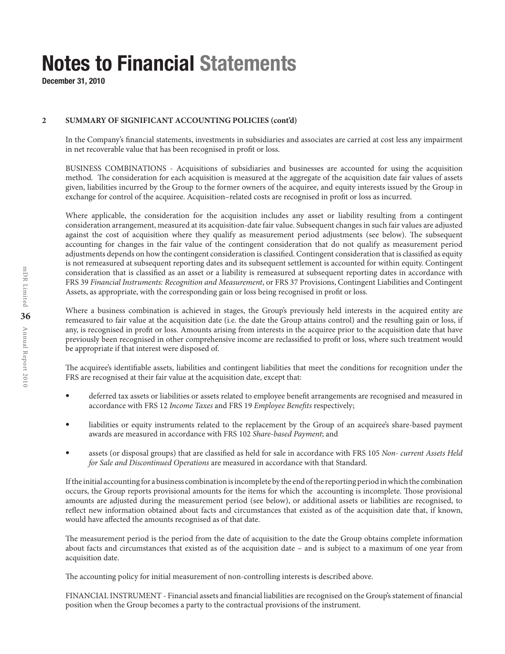**December 31, 2010**

# **2 SUMMARY OF SIGNIFICANT ACCOUNTING POLICIES (cont'd)**

In the Company's financial statements, investments in subsidiaries and associates are carried at cost less any impairment in net recoverable value that has been recognised in profit or loss.

BUSINESS COMBINATIONS - Acquisitions of subsidiaries and businesses are accounted for using the acquisition method. The consideration for each acquisition is measured at the aggregate of the acquisition date fair values of assets given, liabilities incurred by the Group to the former owners of the acquiree, and equity interests issued by the Group in exchange for control of the acquiree. Acquisition–related costs are recognised in profit or loss as incurred.

Where applicable, the consideration for the acquisition includes any asset or liability resulting from a contingent consideration arrangement, measured at its acquisition-date fair value. Subsequent changes in such fair values are adjusted against the cost of acquisition where they qualify as measurement period adjustments (see below). The subsequent accounting for changes in the fair value of the contingent consideration that do not qualify as measurement period adjustments depends on how the contingent consideration is classified. Contingent consideration that is classified as equity is not remeasured at subsequent reporting dates and its subsequent settlement is accounted for within equity. Contingent consideration that is classified as an asset or a liability is remeasured at subsequent reporting dates in accordance with FRS 39 *Financial Instruments: Recognition and Measurement*, or FRS 37 Provisions, Contingent Liabilities and Contingent Assets, as appropriate, with the corresponding gain or loss being recognised in profit or loss.

Where a business combination is achieved in stages, the Group's previously held interests in the acquired entity are remeasured to fair value at the acquisition date (i.e. the date the Group attains control) and the resulting gain or loss, if any, is recognised in profit or loss. Amounts arising from interests in the acquiree prior to the acquisition date that have previously been recognised in other comprehensive income are reclassified to profit or loss, where such treatment would be appropriate if that interest were disposed of.

The acquiree's identifiable assets, liabilities and contingent liabilities that meet the conditions for recognition under the FRS are recognised at their fair value at the acquisition date, except that:

- deferred tax assets or liabilities or assets related to employee benefi t arrangements are recognised and measured in accordance with FRS 12 *Income Taxes* and FRS 19 *Employee Benefits* respectively;
- liabilities or equity instruments related to the replacement by the Group of an acquiree's share-based payment awards are measured in accordance with FRS 102 *Share-based Payment*; and
- assets (or disposal groups) that are classified as held for sale in accordance with FRS 105 *Non- current Assets Held for Sale and Discontinued Operations* are measured in accordance with that Standard.

If the initial accounting for a business combination is incomplete by the end of the reporting period in which the combination occurs, the Group reports provisional amounts for the items for which the accounting is incomplete. Those provisional amounts are adjusted during the measurement period (see below), or additional assets or liabilities are recognised, to reflect new information obtained about facts and circumstances that existed as of the acquisition date that, if known, would have affected the amounts recognised as of that date.

The measurement period is the period from the date of acquisition to the date the Group obtains complete information about facts and circumstances that existed as of the acquisition date – and is subject to a maximum of one year from acquisition date.

The accounting policy for initial measurement of non-controlling interests is described above.

FINANCIAL INSTRUMENT - Financial assets and financial liabilities are recognised on the Group's statement of financial position when the Group becomes a party to the contractual provisions of the instrument.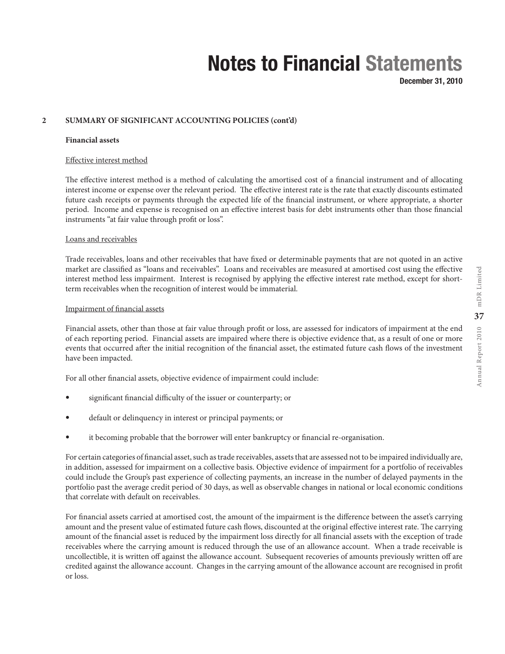**December 31, 2010**

# **2 SUMMARY OF SIGNIFICANT ACCOUNTING POLICIES (cont'd)**

### **Financial assets**

#### Effective interest method

The effective interest method is a method of calculating the amortised cost of a financial instrument and of allocating interest income or expense over the relevant period. The effective interest rate is the rate that exactly discounts estimated future cash receipts or payments through the expected life of the financial instrument, or where appropriate, a shorter period. Income and expense is recognised on an effective interest basis for debt instruments other than those financial instruments "at fair value through profit or loss".

### Loans and receivables

Trade receivables, loans and other receivables that have fixed or determinable payments that are not quoted in an active market are classified as "loans and receivables". Loans and receivables are measured at amortised cost using the effective interest method less impairment. Interest is recognised by applying the effective interest rate method, except for shortterm receivables when the recognition of interest would be immaterial.

### Impairment of financial assets

Financial assets, other than those at fair value through profit or loss, are assessed for indicators of impairment at the end of each reporting period. Financial assets are impaired where there is objective evidence that, as a result of one or more events that occurred after the initial recognition of the financial asset, the estimated future cash flows of the investment have been impacted.

For all other financial assets, objective evidence of impairment could include:

- significant financial difficulty of the issuer or counterparty; or
- default or delinquency in interest or principal payments; or
- it becoming probable that the borrower will enter bankruptcy or financial re-organisation.

For certain categories of financial asset, such as trade receivables, assets that are assessed not to be impaired individually are, in addition, assessed for impairment on a collective basis. Objective evidence of impairment for a portfolio of receivables could include the Group's past experience of collecting payments, an increase in the number of delayed payments in the portfolio past the average credit period of 30 days, as well as observable changes in national or local economic conditions that correlate with default on receivables.

For financial assets carried at amortised cost, the amount of the impairment is the difference between the asset's carrying amount and the present value of estimated future cash flows, discounted at the original effective interest rate. The carrying amount of the financial asset is reduced by the impairment loss directly for all financial assets with the exception of trade receivables where the carrying amount is reduced through the use of an allowance account. When a trade receivable is uncollectible, it is written off against the allowance account. Subsequent recoveries of amounts previously written off are credited against the allowance account. Changes in the carrying amount of the allowance account are recognised in profit or loss.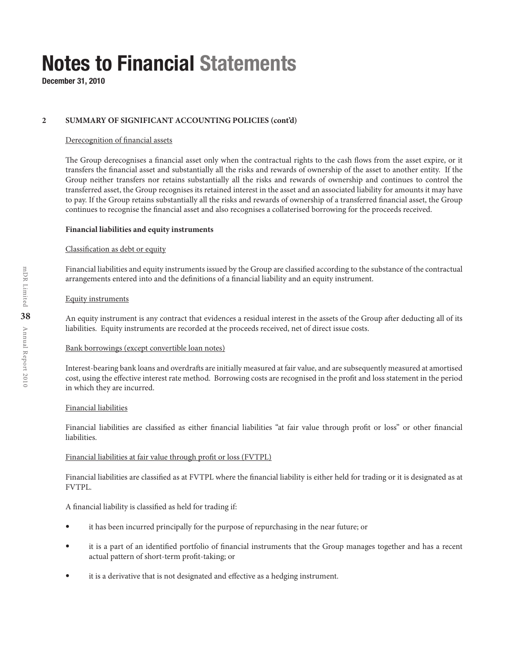**December 31, 2010**

# **2 SUMMARY OF SIGNIFICANT ACCOUNTING POLICIES (cont'd)**

### Derecognition of financial assets

The Group derecognises a financial asset only when the contractual rights to the cash flows from the asset expire, or it transfers the financial asset and substantially all the risks and rewards of ownership of the asset to another entity. If the Group neither transfers nor retains substantially all the risks and rewards of ownership and continues to control the transferred asset, the Group recognises its retained interest in the asset and an associated liability for amounts it may have to pay. If the Group retains substantially all the risks and rewards of ownership of a transferred financial asset, the Group continues to recognise the financial asset and also recognises a collaterised borrowing for the proceeds received.

## **Financial liabilities and equity instruments**

### Classification as debt or equity

Financial liabilities and equity instruments issued by the Group are classified according to the substance of the contractual arrangements entered into and the definitions of a financial liability and an equity instrument.

### Equity instruments

An equity instrument is any contract that evidences a residual interest in the assets of the Group after deducting all of its liabilities. Equity instruments are recorded at the proceeds received, net of direct issue costs.

## Bank borrowings (except convertible loan notes)

Interest-bearing bank loans and overdrafts are initially measured at fair value, and are subsequently measured at amortised cost, using the effective interest rate method. Borrowing costs are recognised in the profit and loss statement in the period in which they are incurred.

#### Financial liabilities

Financial liabilities are classified as either financial liabilities "at fair value through profit or loss" or other financial liabilities.

## Financial liabilities at fair value through profit or loss (FVTPL)

Financial liabilities are classified as at FVTPL where the financial liability is either held for trading or it is designated as at FVTPL.

A financial liability is classified as held for trading if:

- it has been incurred principally for the purpose of repurchasing in the near future; or
- it is a part of an identified portfolio of financial instruments that the Group manages together and has a recent actual pattern of short-term profit-taking; or
- it is a derivative that is not designated and effective as a hedging instrument.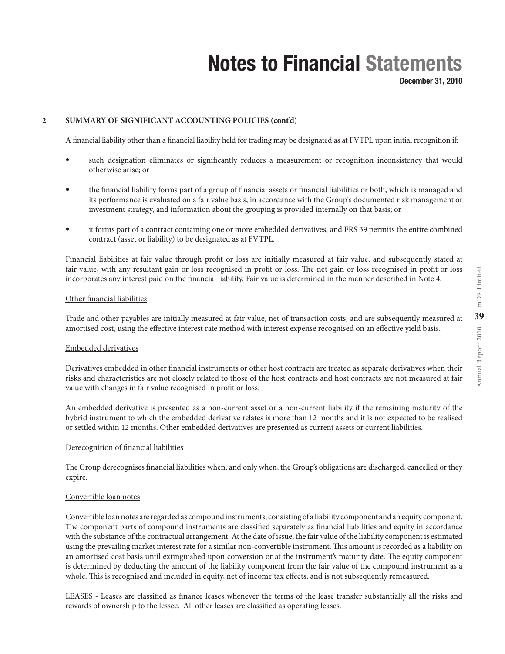**December 31, 2010**

# **2 SUMMARY OF SIGNIFICANT ACCOUNTING POLICIES (cont'd)**

A financial liability other than a financial liability held for trading may be designated as at FVTPL upon initial recognition if:

- such designation eliminates or significantly reduces a measurement or recognition inconsistency that would otherwise arise; or
- the financial liability forms part of a group of financial assets or financial liabilities or both, which is managed and its performance is evaluated on a fair value basis, in accordance with the Group's documented risk management or investment strategy, and information about the grouping is provided internally on that basis; or
- it forms part of a contract containing one or more embedded derivatives, and FRS 39 permits the entire combined contract (asset or liability) to be designated as at FVTPL.

Financial liabilities at fair value through profit or loss are initially measured at fair value, and subsequently stated at fair value, with any resultant gain or loss recognised in profit or loss. The net gain or loss recognised in profit or loss incorporates any interest paid on the financial liability. Fair value is determined in the manner described in Note 4.

#### Other financial liabilities

Trade and other payables are initially measured at fair value, net of transaction costs, and are subsequently measured at amortised cost, using the effective interest rate method with interest expense recognised on an effective yield basis.

#### Embedded derivatives

Derivatives embedded in other financial instruments or other host contracts are treated as separate derivatives when their risks and characteristics are not closely related to those of the host contracts and host contracts are not measured at fair value with changes in fair value recognised in profit or loss.

An embedded derivative is presented as a non-current asset or a non-current liability if the remaining maturity of the hybrid instrument to which the embedded derivative relates is more than 12 months and it is not expected to be realised or settled within 12 months. Other embedded derivatives are presented as current assets or current liabilities.

## Derecognition of financial liabilities

The Group derecognises financial liabilities when, and only when, the Group's obligations are discharged, cancelled or they expire.

#### Convertible loan notes

Convertible loan notes are regarded as compound instruments, consisting of a liability component and an equity component. The component parts of compound instruments are classified separately as financial liabilities and equity in accordance with the substance of the contractual arrangement. At the date of issue, the fair value of the liability component is estimated using the prevailing market interest rate for a similar non-convertible instrument. This amount is recorded as a liability on an amortised cost basis until extinguished upon conversion or at the instrument's maturity date. The equity component is determined by deducting the amount of the liability component from the fair value of the compound instrument as a whole. This is recognised and included in equity, net of income tax effects, and is not subsequently remeasured.

LEASES - Leases are classified as finance leases whenever the terms of the lease transfer substantially all the risks and rewards of ownership to the lessee. All other leases are classified as operating leases.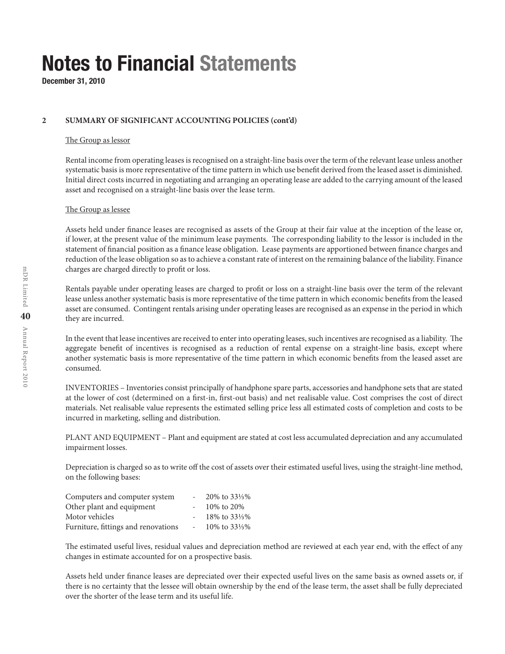**December 31, 2010**

# **2 SUMMARY OF SIGNIFICANT ACCOUNTING POLICIES (cont'd)**

### The Group as lessor

Rental income from operating leases is recognised on a straight-line basis over the term of the relevant lease unless another systematic basis is more representative of the time pattern in which use benefit derived from the leased asset is diminished. Initial direct costs incurred in negotiating and arranging an operating lease are added to the carrying amount of the leased asset and recognised on a straight-line basis over the lease term.

#### The Group as lessee

Assets held under finance leases are recognised as assets of the Group at their fair value at the inception of the lease or, if lower, at the present value of the minimum lease payments. The corresponding liability to the lessor is included in the statement of financial position as a finance lease obligation. Lease payments are apportioned between finance charges and reduction of the lease obligation so as to achieve a constant rate of interest on the remaining balance of the liability. Finance charges are charged directly to profit or loss.

Rentals payable under operating leases are charged to profit or loss on a straight-line basis over the term of the relevant lease unless another systematic basis is more representative of the time pattern in which economic benefits from the leased asset are consumed. Contingent rentals arising under operating leases are recognised as an expense in the period in which they are incurred.

In the event that lease incentives are received to enter into operating leases, such incentives are recognised as a liability. The aggregate benefit of incentives is recognised as a reduction of rental expense on a straight-line basis, except where another systematic basis is more representative of the time pattern in which economic benefits from the leased asset are consumed.

INVENTORIES – Inventories consist principally of handphone spare parts, accessories and handphone sets that are stated at the lower of cost (determined on a first-in, first-out basis) and net realisable value. Cost comprises the cost of direct materials. Net realisable value represents the estimated selling price less all estimated costs of completion and costs to be incurred in marketing, selling and distribution.

PLANT AND EQUIPMENT – Plant and equipment are stated at cost less accumulated depreciation and any accumulated impairment losses.

Depreciation is charged so as to write off the cost of assets over their estimated useful lives, using the straight-line method, on the following bases:

| Computers and computer system       | $\sim$ | 20% to 331/3%             |
|-------------------------------------|--------|---------------------------|
| Other plant and equipment           | $\sim$ | 10\% to 20\%              |
| Motor vehicles                      |        | 18% to 331/3%             |
| Furniture, fittings and renovations | $\sim$ | 10\% to $33\frac{1}{3}\%$ |

The estimated useful lives, residual values and depreciation method are reviewed at each year end, with the effect of any changes in estimate accounted for on a prospective basis.

Assets held under finance leases are depreciated over their expected useful lives on the same basis as owned assets or, if there is no certainty that the lessee will obtain ownership by the end of the lease term, the asset shall be fully depreciated over the shorter of the lease term and its useful life.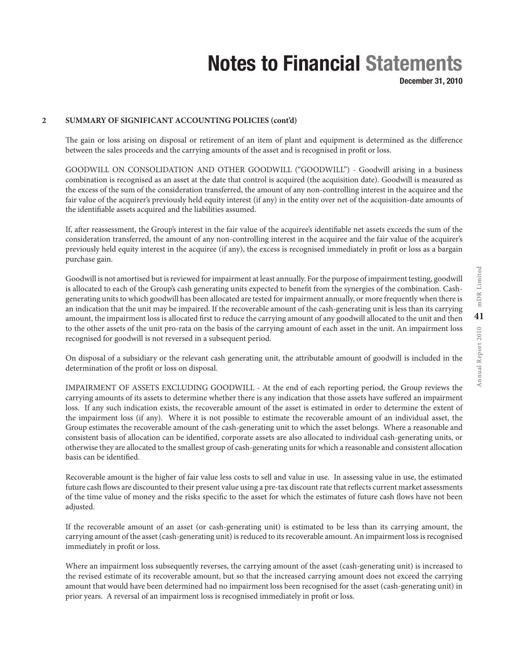**December 31, 2010**

# **2 SUMMARY OF SIGNIFICANT ACCOUNTING POLICIES (cont'd)**

The gain or loss arising on disposal or retirement of an item of plant and equipment is determined as the difference between the sales proceeds and the carrying amounts of the asset and is recognised in profit or loss.

GOODWILL ON CONSOLIDATION AND OTHER GOODWILL ("GOODWILL") - Goodwill arising in a business combination is recognised as an asset at the date that control is acquired (the acquisition date). Goodwill is measured as the excess of the sum of the consideration transferred, the amount of any non-controlling interest in the acquiree and the fair value of the acquirer's previously held equity interest (if any) in the entity over net of the acquisition-date amounts of the identifiable assets acquired and the liabilities assumed.

If, after reassessment, the Group's interest in the fair value of the acquiree's identifiable net assets exceeds the sum of the consideration transferred, the amount of any non-controlling interest in the acquiree and the fair value of the acquirer's previously held equity interest in the acquiree (if any), the excess is recognised immediately in profi t or loss as a bargain purchase gain.

Goodwill is not amortised but is reviewed for impairment at least annually. For the purpose of impairment testing, goodwill is allocated to each of the Group's cash generating units expected to benefi t from the synergies of the combination. Cashgenerating units to which goodwill has been allocated are tested for impairment annually, or more frequently when there is an indication that the unit may be impaired. If the recoverable amount of the cash-generating unit is less than its carrying amount, the impairment loss is allocated first to reduce the carrying amount of any goodwill allocated to the unit and then to the other assets of the unit pro-rata on the basis of the carrying amount of each asset in the unit. An impairment loss recognised for goodwill is not reversed in a subsequent period.

On disposal of a subsidiary or the relevant cash generating unit, the attributable amount of goodwill is included in the determination of the profit or loss on disposal.

IMPAIRMENT OF ASSETS EXCLUDING GOODWILL - At the end of each reporting period, the Group reviews the carrying amounts of its assets to determine whether there is any indication that those assets have suffered an impairment loss. If any such indication exists, the recoverable amount of the asset is estimated in order to determine the extent of the impairment loss (if any). Where it is not possible to estimate the recoverable amount of an individual asset, the Group estimates the recoverable amount of the cash-generating unit to which the asset belongs. Where a reasonable and consistent basis of allocation can be identified, corporate assets are also allocated to individual cash-generating units, or otherwise they are allocated to the smallest group of cash-generating units for which a reasonable and consistent allocation basis can be identified.

Recoverable amount is the higher of fair value less costs to sell and value in use. In assessing value in use, the estimated future cash flows are discounted to their present value using a pre-tax discount rate that reflects current market assessments of the time value of money and the risks specific to the asset for which the estimates of future cash flows have not been adjusted.

If the recoverable amount of an asset (or cash-generating unit) is estimated to be less than its carrying amount, the carrying amount of the asset (cash-generating unit) is reduced to its recoverable amount. An impairment loss is recognised immediately in profit or loss.

Where an impairment loss subsequently reverses, the carrying amount of the asset (cash-generating unit) is increased to the revised estimate of its recoverable amount, but so that the increased carrying amount does not exceed the carrying amount that would have been determined had no impairment loss been recognised for the asset (cash-generating unit) in prior years. A reversal of an impairment loss is recognised immediately in profit or loss.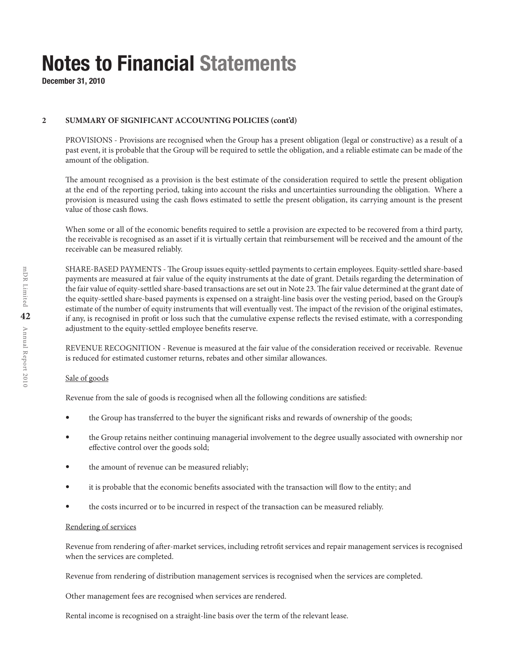**December 31, 2010**

# **2 SUMMARY OF SIGNIFICANT ACCOUNTING POLICIES (cont'd)**

PROVISIONS - Provisions are recognised when the Group has a present obligation (legal or constructive) as a result of a past event, it is probable that the Group will be required to settle the obligation, and a reliable estimate can be made of the amount of the obligation.

The amount recognised as a provision is the best estimate of the consideration required to settle the present obligation at the end of the reporting period, taking into account the risks and uncertainties surrounding the obligation. Where a provision is measured using the cash flows estimated to settle the present obligation, its carrying amount is the present value of those cash flows.

When some or all of the economic benefits required to settle a provision are expected to be recovered from a third party, the receivable is recognised as an asset if it is virtually certain that reimbursement will be received and the amount of the receivable can be measured reliably.

SHARE-BASED PAYMENTS - The Group issues equity-settled payments to certain employees. Equity-settled share-based payments are measured at fair value of the equity instruments at the date of grant. Details regarding the determination of the fair value of equity-settled share-based transactions are set out in Note 23. The fair value determined at the grant date of the equity-settled share-based payments is expensed on a straight-line basis over the vesting period, based on the Group's estimate of the number of equity instruments that will eventually vest. The impact of the revision of the original estimates, if any, is recognised in profit or loss such that the cumulative expense reflects the revised estimate, with a corresponding adjustment to the equity-settled employee benefits reserve.

REVENUE RECOGNITION - Revenue is measured at the fair value of the consideration received or receivable. Revenue is reduced for estimated customer returns, rebates and other similar allowances.

## Sale of goods

Revenue from the sale of goods is recognised when all the following conditions are satisfied:

- the Group has transferred to the buyer the significant risks and rewards of ownership of the goods;
- the Group retains neither continuing managerial involvement to the degree usually associated with ownership nor effective control over the goods sold;
- the amount of revenue can be measured reliably;
- it is probable that the economic benefits associated with the transaction will flow to the entity; and
- the costs incurred or to be incurred in respect of the transaction can be measured reliably.

## Rendering of services

Revenue from rendering of after-market services, including retrofit services and repair management services is recognised when the services are completed.

Revenue from rendering of distribution management services is recognised when the services are completed.

Other management fees are recognised when services are rendered.

Rental income is recognised on a straight-line basis over the term of the relevant lease.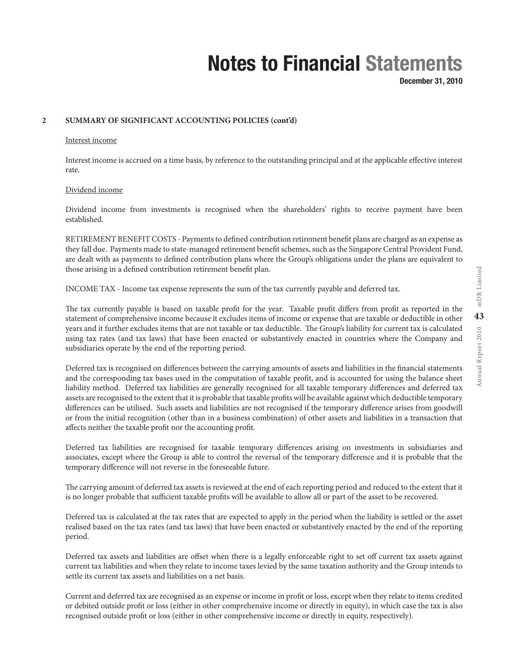**December 31, 2010**

# **2 SUMMARY OF SIGNIFICANT ACCOUNTING POLICIES (cont'd)**

#### Interest income

Interest income is accrued on a time basis, by reference to the outstanding principal and at the applicable effective interest rate.

### Dividend income

Dividend income from investments is recognised when the shareholders' rights to receive payment have been established.

RETIREMENT BENEFIT COSTS - Payments to defined contribution retirement benefit plans are charged as an expense as they fall due. Payments made to state-managed retirement benefi t schemes, such as the Singapore Central Provident Fund, are dealt with as payments to defined contribution plans where the Group's obligations under the plans are equivalent to those arising in a defined contribution retirement benefit plan.

INCOME TAX - Income tax expense represents the sum of the tax currently payable and deferred tax.

The tax currently payable is based on taxable profit for the year. Taxable profit differs from profit as reported in the statement of comprehensive income because it excludes items of income or expense that are taxable or deductible in other years and it further excludes items that are not taxable or tax deductible. The Group's liability for current tax is calculated using tax rates (and tax laws) that have been enacted or substantively enacted in countries where the Company and subsidiaries operate by the end of the reporting period.

Deferred tax is recognised on differences between the carrying amounts of assets and liabilities in the financial statements and the corresponding tax bases used in the computation of taxable profit, and is accounted for using the balance sheet liability method. Deferred tax liabilities are generally recognised for all taxable temporary differences and deferred tax assets are recognised to the extent that it is probable that taxable profits will be available against which deductible temporary differences can be utilised. Such assets and liabilities are not recognised if the temporary difference arises from goodwill or from the initial recognition (other than in a business combination) of other assets and liabilities in a transaction that affects neither the taxable profit nor the accounting profit.

Deferred tax liabilities are recognised for taxable temporary differences arising on investments in subsidiaries and associates, except where the Group is able to control the reversal of the temporary difference and it is probable that the temporary difference will not reverse in the foreseeable future.

The carrying amount of deferred tax assets is reviewed at the end of each reporting period and reduced to the extent that it is no longer probable that sufficient taxable profits will be available to allow all or part of the asset to be recovered.

Deferred tax is calculated at the tax rates that are expected to apply in the period when the liability is settled or the asset realised based on the tax rates (and tax laws) that have been enacted or substantively enacted by the end of the reporting period.

Deferred tax assets and liabilities are offset when there is a legally enforceable right to set off current tax assets against current tax liabilities and when they relate to income taxes levied by the same taxation authority and the Group intends to settle its current tax assets and liabilities on a net basis.

Current and deferred tax are recognised as an expense or income in profit or loss, except when they relate to items credited or debited outside profit or loss (either in other comprehensive income or directly in equity), in which case the tax is also recognised outside profit or loss (either in other comprehensive income or directly in equity, respectively).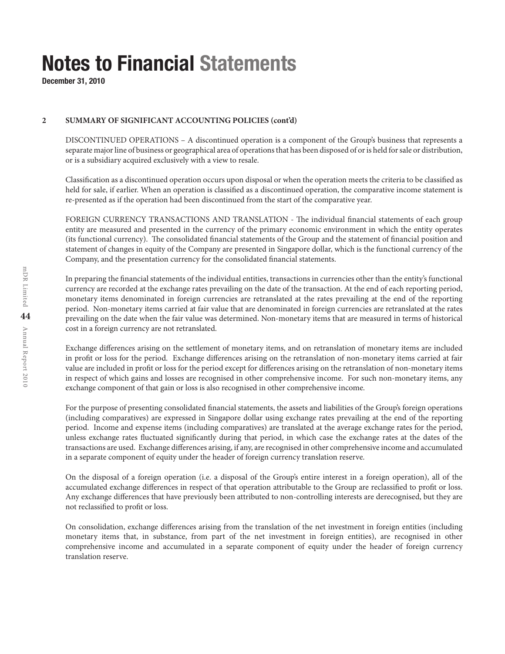**December 31, 2010**

# **2 SUMMARY OF SIGNIFICANT ACCOUNTING POLICIES (cont'd)**

DISCONTINUED OPERATIONS – A discontinued operation is a component of the Group's business that represents a separate major line of business or geographical area of operations that has been disposed of or is held for sale or distribution, or is a subsidiary acquired exclusively with a view to resale.

Classification as a discontinued operation occurs upon disposal or when the operation meets the criteria to be classified as held for sale, if earlier. When an operation is classified as a discontinued operation, the comparative income statement is re-presented as if the operation had been discontinued from the start of the comparative year.

FOREIGN CURRENCY TRANSACTIONS AND TRANSLATION - The individual financial statements of each group entity are measured and presented in the currency of the primary economic environment in which the entity operates (its functional currency). The consolidated financial statements of the Group and the statement of financial position and statement of changes in equity of the Company are presented in Singapore dollar, which is the functional currency of the Company, and the presentation currency for the consolidated financial statements.

In preparing the financial statements of the individual entities, transactions in currencies other than the entity's functional currency are recorded at the exchange rates prevailing on the date of the transaction. At the end of each reporting period, monetary items denominated in foreign currencies are retranslated at the rates prevailing at the end of the reporting period. Non-monetary items carried at fair value that are denominated in foreign currencies are retranslated at the rates prevailing on the date when the fair value was determined. Non-monetary items that are measured in terms of historical cost in a foreign currency are not retranslated.

Exchange differences arising on the settlement of monetary items, and on retranslation of monetary items are included in profit or loss for the period. Exchange differences arising on the retranslation of non-monetary items carried at fair value are included in profit or loss for the period except for differences arising on the retranslation of non-monetary items in respect of which gains and losses are recognised in other comprehensive income. For such non-monetary items, any exchange component of that gain or loss is also recognised in other comprehensive income.

For the purpose of presenting consolidated financial statements, the assets and liabilities of the Group's foreign operations (including comparatives) are expressed in Singapore dollar using exchange rates prevailing at the end of the reporting period. Income and expense items (including comparatives) are translated at the average exchange rates for the period, unless exchange rates fluctuated significantly during that period, in which case the exchange rates at the dates of the transactions are used. Exchange differences arising, if any, are recognised in other comprehensive income and accumulated in a separate component of equity under the header of foreign currency translation reserve.

On the disposal of a foreign operation (i.e. a disposal of the Group's entire interest in a foreign operation), all of the accumulated exchange differences in respect of that operation attributable to the Group are reclassified to profit or loss. Any exchange differences that have previously been attributed to non-controlling interests are derecognised, but they are not reclassified to profit or loss.

On consolidation, exchange differences arising from the translation of the net investment in foreign entities (including monetary items that, in substance, from part of the net investment in foreign entities), are recognised in other comprehensive income and accumulated in a separate component of equity under the header of foreign currency translation reserve.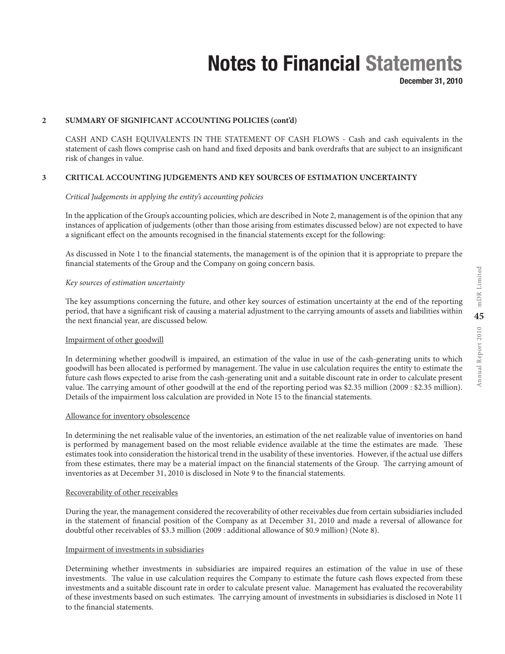**December 31, 2010**

# **2 SUMMARY OF SIGNIFICANT ACCOUNTING POLICIES (cont'd)**

CASH AND CASH EQUIVALENTS IN THE STATEMENT OF CASH FLOWS - Cash and cash equivalents in the statement of cash flows comprise cash on hand and fixed deposits and bank overdrafts that are subject to an insignificant risk of changes in value.

# **3 CRITICAL ACCOUNTING JUDGEMENTS AND KEY SOURCES OF ESTIMATION UNCERTAINTY**

### *Critical Judgements in applying the entity's accounting policies*

In the application of the Group's accounting policies, which are described in Note 2, management is of the opinion that any instances of application of judgements (other than those arising from estimates discussed below) are not expected to have a significant effect on the amounts recognised in the financial statements except for the following:

As discussed in Note 1 to the financial statements, the management is of the opinion that it is appropriate to prepare the financial statements of the Group and the Company on going concern basis.

### *Key sources of estimation uncertainty*

The key assumptions concerning the future, and other key sources of estimation uncertainty at the end of the reporting period, that have a significant risk of causing a material adjustment to the carrying amounts of assets and liabilities within the next financial year, are discussed below.

## Impairment of other goodwill

In determining whether goodwill is impaired, an estimation of the value in use of the cash-generating units to which goodwill has been allocated is performed by management. The value in use calculation requires the entity to estimate the future cash flows expected to arise from the cash-generating unit and a suitable discount rate in order to calculate present value. The carrying amount of other goodwill at the end of the reporting period was \$2.35 million (2009 : \$2.35 million). Details of the impairment loss calculation are provided in Note 15 to the financial statements.

#### Allowance for inventory obsolescence

In determining the net realisable value of the inventories, an estimation of the net realizable value of inventories on hand is performed by management based on the most reliable evidence available at the time the estimates are made. These estimates took into consideration the historical trend in the usability of these inventories. However, if the actual use differs from these estimates, there may be a material impact on the financial statements of the Group. The carrying amount of inventories as at December 31, 2010 is disclosed in Note 9 to the financial statements.

#### Recoverability of other receivables

During the year, the management considered the recoverability of other receivables due from certain subsidiaries included in the statement of financial position of the Company as at December 31, 2010 and made a reversal of allowance for doubtful other receivables of \$3.3 million (2009 : additional allowance of \$0.9 million) (Note 8).

## Impairment of investments in subsidiaries

Determining whether investments in subsidiaries are impaired requires an estimation of the value in use of these investments. The value in use calculation requires the Company to estimate the future cash flows expected from these investments and a suitable discount rate in order to calculate present value. Management has evaluated the recoverability of these investments based on such estimates. The carrying amount of investments in subsidiaries is disclosed in Note 11 to the financial statements.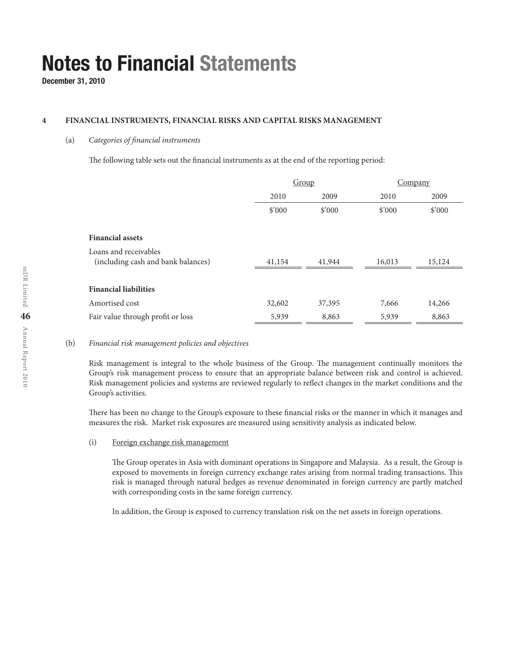**December 31, 2010**

# **4 FINANCIAL INSTRUMENTS, FINANCIAL RISKS AND CAPITAL RISKS MANAGEMENT**

### (a) *Categories of fi nancial instruments*

The following table sets out the financial instruments as at the end of the reporting period:

|                                    | Group           |                 | Company         |                 |
|------------------------------------|-----------------|-----------------|-----------------|-----------------|
|                                    | 2010            | 2009            | 2010            | 2009            |
|                                    | $$^{\prime}000$ | $$^{\prime}000$ | $$^{\prime}000$ | $$^{\prime}000$ |
|                                    |                 |                 |                 |                 |
| <b>Financial assets</b>            |                 |                 |                 |                 |
| Loans and receivables              |                 |                 |                 |                 |
| (including cash and bank balances) | 41,154          | 41,944          | 16,013          | 15,124          |
|                                    |                 |                 |                 |                 |
| <b>Financial liabilities</b>       |                 |                 |                 |                 |
| Amortised cost                     | 32,602          | 37,395          | 7,666           | 14,266          |
| Fair value through profit or loss  | 5,939           | 8,863           | 5,939           | 8,863           |

## (b) *Financial risk management policies and objectives*

Risk management is integral to the whole business of the Group. The management continually monitors the Group's risk management process to ensure that an appropriate balance between risk and control is achieved. Risk management policies and systems are reviewed regularly to reflect changes in the market conditions and the Group's activities.

There has been no change to the Group's exposure to these financial risks or the manner in which it manages and measures the risk. Market risk exposures are measured using sensitivity analysis as indicated below.

#### (i) Foreign exchange risk management

The Group operates in Asia with dominant operations in Singapore and Malaysia. As a result, the Group is exposed to movements in foreign currency exchange rates arising from normal trading transactions. This risk is managed through natural hedges as revenue denominated in foreign currency are partly matched with corresponding costs in the same foreign currency.

In addition, the Group is exposed to currency translation risk on the net assets in foreign operations.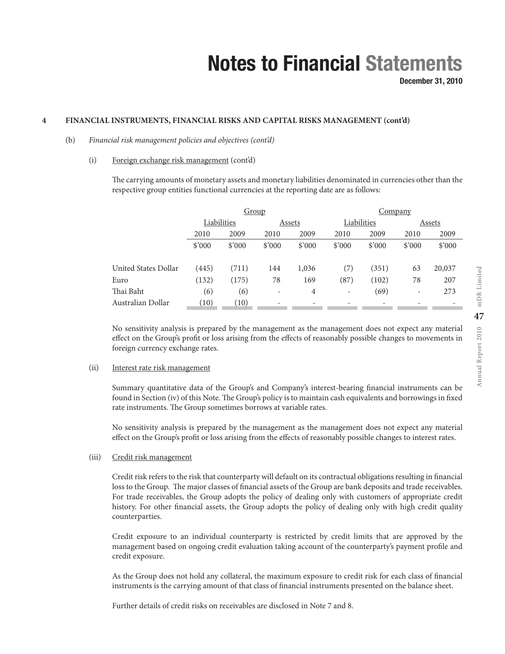**December 31, 2010**

## **4 FINANCIAL INSTRUMENTS, FINANCIAL RISKS AND CAPITAL RISKS MANAGEMENT (cont'd)**

#### (b) *Financial risk management policies and objectives (cont'd)*

#### (i) Foreign exchange risk management (cont'd)

The carrying amounts of monetary assets and monetary liabilities denominated in currencies other than the respective group entities functional currencies at the reporting date are as follows:

|                      |                 | Group           |                 |                 | Company                  |        |                          |                 |
|----------------------|-----------------|-----------------|-----------------|-----------------|--------------------------|--------|--------------------------|-----------------|
|                      |                 | Liabilities     |                 | Assets          | Liabilities              |        |                          | Assets          |
|                      | 2010            | 2009            | 2010            | 2009            | 2010                     | 2009   | 2010                     | 2009            |
|                      | $$^{\prime}000$ | $$^{\prime}000$ | $$^{\prime}000$ | $$^{\prime}000$ | $$^{\prime}000$          | \$3000 | $$^{\prime}000$          | $$^{\prime}000$ |
| United States Dollar | (445)           | (711)           | 144             | 1,036           | (7)                      | (351)  | 63                       | 20,037          |
| Euro                 | (132)           | (175)           | 78              | 169             | (87)                     | (102)  | 78                       | 207             |
| Thai Baht            | (6)             | (6)             | ۰               | $\overline{4}$  | $\overline{\phantom{a}}$ | (69)   | $\overline{\phantom{a}}$ | 273             |
| Australian Dollar    | (10)            | (10)            |                 |                 |                          |        |                          |                 |

No sensitivity analysis is prepared by the management as the management does not expect any material effect on the Group's profit or loss arising from the effects of reasonably possible changes to movements in foreign currency exchange rates.

#### (ii) Interest rate risk management

Summary quantitative data of the Group's and Company's interest-bearing financial instruments can be found in Section (iv) of this Note. The Group's policy is to maintain cash equivalents and borrowings in fixed rate instruments. The Group sometimes borrows at variable rates.

No sensitivity analysis is prepared by the management as the management does not expect any material effect on the Group's profit or loss arising from the effects of reasonably possible changes to interest rates.

#### (iii) Credit risk management

Credit risk refers to the risk that counterparty will default on its contractual obligations resulting in financial loss to the Group. The major classes of financial assets of the Group are bank deposits and trade receivables. For trade receivables, the Group adopts the policy of dealing only with customers of appropriate credit history. For other financial assets, the Group adopts the policy of dealing only with high credit quality counterparties.

Credit exposure to an individual counterparty is restricted by credit limits that are approved by the management based on ongoing credit evaluation taking account of the counterparty's payment profile and credit exposure.

As the Group does not hold any collateral, the maximum exposure to credit risk for each class of financial instruments is the carrying amount of that class of financial instruments presented on the balance sheet.

Further details of credit risks on receivables are disclosed in Note 7 and 8.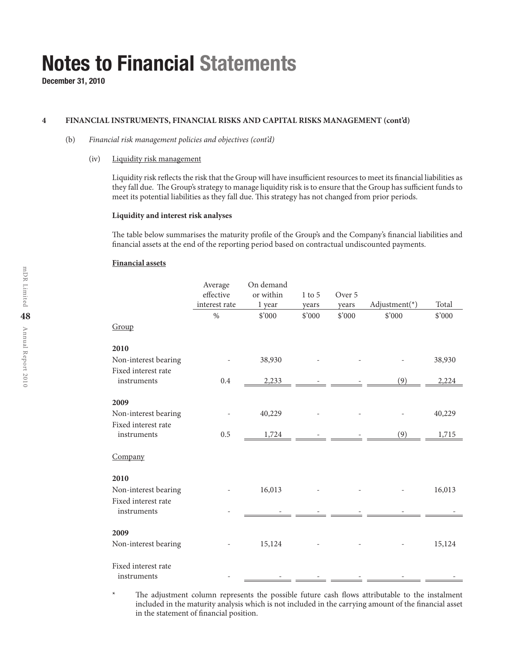**December 31, 2010**

## **4 FINANCIAL INSTRUMENTS, FINANCIAL RISKS AND CAPITAL RISKS MANAGEMENT (cont'd)**

#### (b) *Financial risk management policies and objectives (cont'd)*

(iv) Liquidity risk management

Liquidity risk reflects the risk that the Group will have insufficient resources to meet its financial liabilities as they fall due. The Group's strategy to manage liquidity risk is to ensure that the Group has sufficient funds to meet its potential liabilities as they fall due. This strategy has not changed from prior periods.

#### **Liquidity and interest risk analyses**

The table below summarises the maturity profile of the Group's and the Company's financial liabilities and financial assets at the end of the reporting period based on contractual undiscounted payments.

### **Financial assets**

|                                             | Average<br>effective<br>interest rate | On demand<br>or within<br>1 year | $1$ to $5$<br>years | Over 5<br>years | Adjustment(*) | Total  |
|---------------------------------------------|---------------------------------------|----------------------------------|---------------------|-----------------|---------------|--------|
|                                             | $\%$                                  | \$'000                           | $$^{\prime}000$     | \$'000          | \$'000        | \$'000 |
| Group                                       |                                       |                                  |                     |                 |               |        |
| 2010                                        |                                       |                                  |                     |                 |               |        |
| Non-interest bearing                        |                                       | 38,930                           |                     |                 |               | 38,930 |
| Fixed interest rate                         |                                       |                                  |                     |                 |               |        |
| instruments                                 | 0.4                                   | 2,233                            |                     |                 | (9)           | 2,224  |
|                                             |                                       |                                  |                     |                 |               |        |
| 2009                                        |                                       |                                  |                     |                 |               |        |
| Non-interest bearing<br>Fixed interest rate |                                       | 40,229                           |                     |                 |               | 40,229 |
| instruments                                 | 0.5                                   | 1,724                            |                     |                 | (9)           | 1,715  |
|                                             |                                       |                                  |                     |                 |               |        |
| Company                                     |                                       |                                  |                     |                 |               |        |
| 2010                                        |                                       |                                  |                     |                 |               |        |
| Non-interest bearing                        |                                       | 16,013                           |                     |                 |               | 16,013 |
| Fixed interest rate                         |                                       |                                  |                     |                 |               |        |
| instruments                                 |                                       |                                  |                     |                 |               |        |
|                                             |                                       |                                  |                     |                 |               |        |
| 2009                                        |                                       |                                  |                     |                 |               |        |
| Non-interest bearing                        |                                       | 15,124                           |                     |                 |               | 15,124 |
| Fixed interest rate                         |                                       |                                  |                     |                 |               |        |
| instruments                                 |                                       |                                  |                     |                 |               |        |

\* The adjustment column represents the possible future cash flows attributable to the instalment included in the maturity analysis which is not included in the carrying amount of the financial asset in the statement of financial position.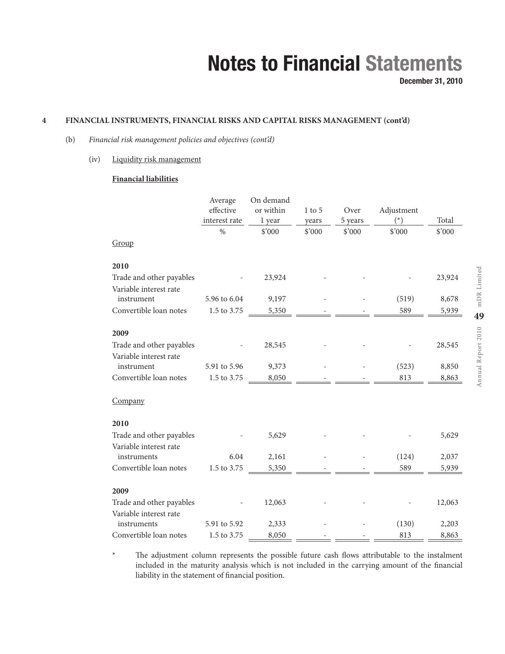**December 31, 2010**

# **4 FINANCIAL INSTRUMENTS, FINANCIAL RISKS AND CAPITAL RISKS MANAGEMENT (cont'd)**

### (b) *Financial risk management policies and objectives (cont'd)*

# (iv) Liquidity risk management

## **Financial liabilities**

|                          | Average           | On demand       |                 |                 |                 |        |
|--------------------------|-------------------|-----------------|-----------------|-----------------|-----------------|--------|
|                          | effective         | or within       | $1$ to 5        | Over            | Adjustment      |        |
|                          | interest rate     | 1 year          | years           | 5 years         | $(*)$           | Total  |
|                          | $\%$              | $$^{\prime}000$ | $$^{\prime}000$ | $$^{\prime}000$ | $$^{\prime}000$ | \$'000 |
| Group                    |                   |                 |                 |                 |                 |        |
| 2010                     |                   |                 |                 |                 |                 |        |
| Trade and other payables |                   | 23,924          |                 |                 |                 | 23,924 |
| Variable interest rate   |                   |                 |                 |                 |                 |        |
| instrument               | 5.96 to 6.04      | 9,197           |                 |                 | (519)           | 8,678  |
| Convertible loan notes   | 1.5 to 3.75       | 5,350           |                 |                 | 589             | 5,939  |
|                          |                   |                 |                 |                 |                 |        |
| 2009                     |                   |                 |                 |                 |                 |        |
| Trade and other payables |                   | 28,545          |                 |                 |                 | 28,545 |
| Variable interest rate   |                   |                 |                 |                 |                 |        |
| instrument               | 5.91 to 5.96      | 9,373           |                 |                 | (523)           | 8,850  |
| Convertible loan notes   | $1.5$ to $3.75\,$ | 8,050           |                 |                 | 813             | 8,863  |
|                          |                   |                 |                 |                 |                 |        |
| Company                  |                   |                 |                 |                 |                 |        |
| 2010                     |                   |                 |                 |                 |                 |        |
| Trade and other payables |                   | 5,629           |                 |                 |                 | 5,629  |
| Variable interest rate   |                   |                 |                 |                 |                 |        |
| instruments              | 6.04              | 2,161           |                 |                 | (124)           | 2,037  |
| Convertible loan notes   | $1.5$ to $3.75\,$ | 5,350           |                 |                 | 589             | 5,939  |
|                          |                   |                 |                 |                 |                 |        |
| 2009                     |                   |                 |                 |                 |                 |        |
| Trade and other payables |                   | 12,063          |                 |                 |                 | 12,063 |
| Variable interest rate   |                   |                 |                 |                 |                 |        |
| instruments              | 5.91 to 5.92      | 2,333           |                 |                 | (130)           | 2,203  |
| Convertible loan notes   | 1.5 to 3.75       | 8,050           |                 |                 | 813             | 8,863  |

\* The adjustment column represents the possible future cash flows attributable to the instalment included in the maturity analysis which is not included in the carrying amount of the financial liability in the statement of financial position.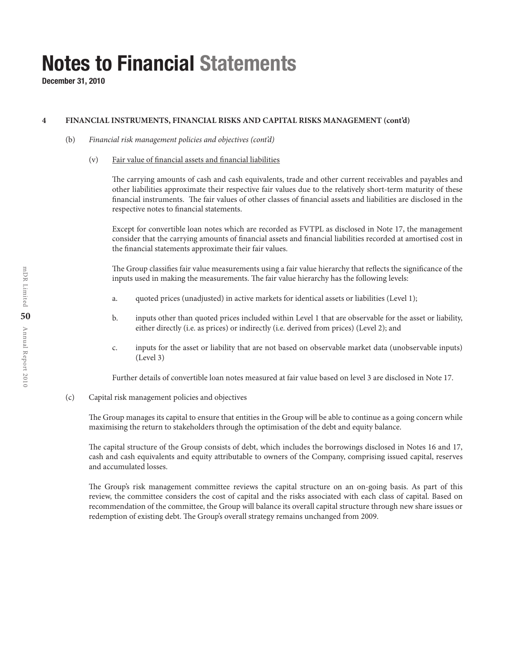**December 31, 2010**

# **4 FINANCIAL INSTRUMENTS, FINANCIAL RISKS AND CAPITAL RISKS MANAGEMENT (cont'd)**

- (b) *Financial risk management policies and objectives (cont'd)*
	- (v) Fair value of financial assets and financial liabilities

The carrying amounts of cash and cash equivalents, trade and other current receivables and payables and other liabilities approximate their respective fair values due to the relatively short-term maturity of these financial instruments. The fair values of other classes of financial assets and liabilities are disclosed in the respective notes to financial statements.

Except for convertible loan notes which are recorded as FVTPL as disclosed in Note 17, the management consider that the carrying amounts of financial assets and financial liabilities recorded at amortised cost in the financial statements approximate their fair values.

The Group classifies fair value measurements using a fair value hierarchy that reflects the significance of the inputs used in making the measurements. The fair value hierarchy has the following levels:

- a. quoted prices (unadjusted) in active markets for identical assets or liabilities (Level 1);
- b. inputs other than quoted prices included within Level 1 that are observable for the asset or liability, either directly (i.e. as prices) or indirectly (i.e. derived from prices) (Level 2); and
- c. inputs for the asset or liability that are not based on observable market data (unobservable inputs) (Level 3)

Further details of convertible loan notes measured at fair value based on level 3 are disclosed in Note 17.

(c) Capital risk management policies and objectives

The Group manages its capital to ensure that entities in the Group will be able to continue as a going concern while maximising the return to stakeholders through the optimisation of the debt and equity balance.

The capital structure of the Group consists of debt, which includes the borrowings disclosed in Notes 16 and 17, cash and cash equivalents and equity attributable to owners of the Company, comprising issued capital, reserves and accumulated losses.

The Group's risk management committee reviews the capital structure on an on-going basis. As part of this review, the committee considers the cost of capital and the risks associated with each class of capital. Based on recommendation of the committee, the Group will balance its overall capital structure through new share issues or redemption of existing debt. The Group's overall strategy remains unchanged from 2009.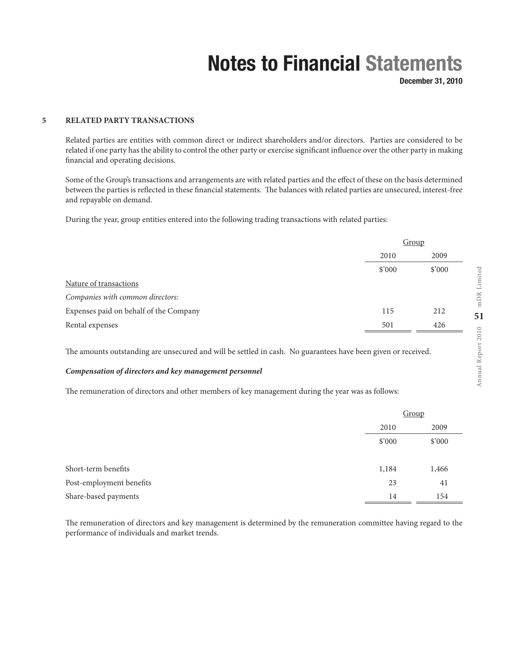**December 31, 2010**

Related parties are entities with common direct or indirect shareholders and/or directors. Parties are considered to be related if one party has the ability to control the other party or exercise significant influence over the other party in making financial and operating decisions.

Some of the Group's transactions and arrangements are with related parties and the effect of these on the basis determined between the parties is reflected in these financial statements. The balances with related parties are unsecured, interest-free and repayable on demand.

During the year, group entities entered into the following trading transactions with related parties:

|                                        |                 | Group           |
|----------------------------------------|-----------------|-----------------|
|                                        | 2010            | 2009            |
|                                        | $$^{\prime}000$ | $$^{\prime}000$ |
| Nature of transactions                 |                 |                 |
| Companies with common directors:       |                 |                 |
| Expenses paid on behalf of the Company | 115             | 212             |
| Rental expenses                        | 501             | 426             |

The amounts outstanding are unsecured and will be settled in cash. No guarantees have been given or received.

#### *Compensation of directors and key management personnel*

The remuneration of directors and other members of key management during the year was as follows:

|                          |                 | Group           |
|--------------------------|-----------------|-----------------|
|                          | 2010            | 2009            |
|                          | $$^{\prime}000$ | $$^{\prime}000$ |
| Short-term benefits      | 1,184           | 1,466           |
| Post-employment benefits | 23              | 41              |
| Share-based payments     | 14              | 154             |

The remuneration of directors and key management is determined by the remuneration committee having regard to the performance of individuals and market trends.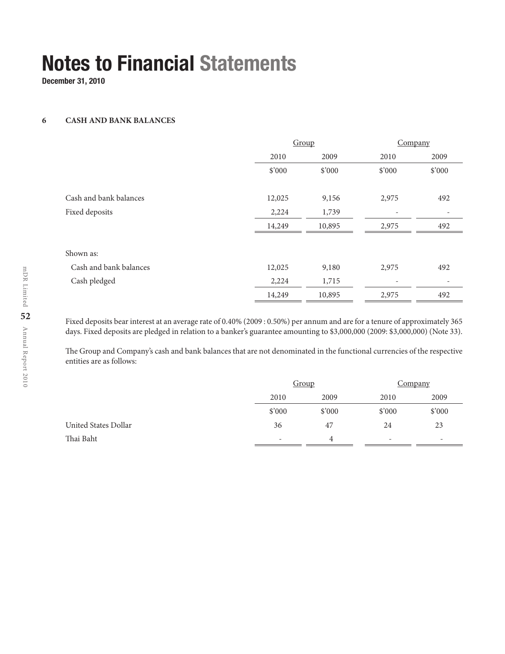**December 31, 2010**

## **6 CASH AND BANK BALANCES**

|                        |                 | Group           |                          | Company         |
|------------------------|-----------------|-----------------|--------------------------|-----------------|
|                        | 2010            | 2009            | 2010                     | 2009            |
|                        | $$^{\prime}000$ | $$^{\prime}000$ | $$^{\prime}000$          | $$^{\prime}000$ |
| Cash and bank balances | 12,025          | 9,156           | 2,975                    | 492             |
| Fixed deposits         | 2,224           | 1,739           | $\overline{\phantom{a}}$ | -               |
|                        | 14,249          | 10,895          | 2,975                    | 492             |
| Shown as:              |                 |                 |                          |                 |
| Cash and bank balances | 12,025          | 9,180           | 2,975                    | 492             |
| Cash pledged           | 2,224           | 1,715           |                          | -               |
|                        | 14,249          | 10,895          | 2,975                    | 492             |

Fixed deposits bear interest at an average rate of 0.40% (2009 : 0.50%) per annum and are for a tenure of approximately 365 days. Fixed deposits are pledged in relation to a banker's guarantee amounting to \$3,000,000 (2009: \$3,000,000) (Note 33).

The Group and Company's cash and bank balances that are not denominated in the functional currencies of the respective entities are as follows:

|                      | Group                    |                 | Company                  |                          |
|----------------------|--------------------------|-----------------|--------------------------|--------------------------|
|                      | 2010                     | 2009            | 2010                     | 2009                     |
|                      | $$^{\prime}000$          | $$^{\prime}000$ | $$^{\prime}000$          | $$^{\prime}000$          |
| United States Dollar | 36                       | 47              | 24                       | 23                       |
| Thai Baht            | $\overline{\phantom{a}}$ | 4               | $\overline{\phantom{a}}$ | $\overline{\phantom{a}}$ |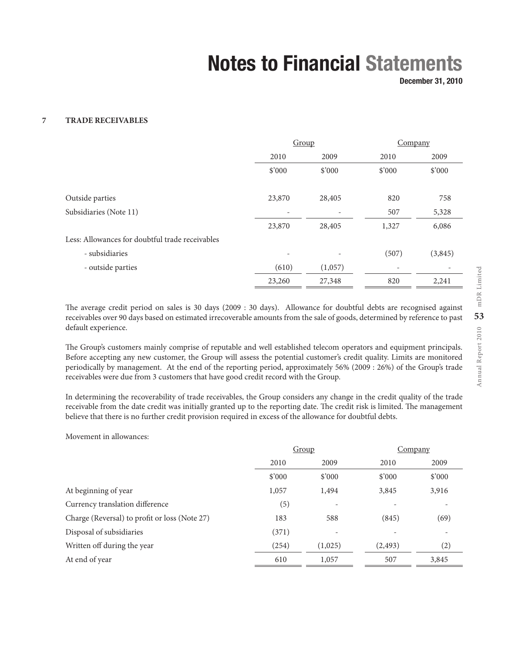**December 31, 2010**

### **7 TRADE RECEIVABLES**

| 2010<br>2009<br>2010<br>2009<br>$$^{\prime}000$<br>$$^{\prime}000$<br>$$^{\prime}000$<br>$$^{\prime}000$<br>23,870<br>Outside parties<br>28,405<br>820<br>758<br>Subsidiaries (Note 11)<br>507<br>5,328<br>23,870<br>1,327<br>6,086<br>28,405<br>Less: Allowances for doubtful trade receivables<br>- subsidiaries<br>(507)<br>(3,845)<br>(610)<br>(1,057)<br>- outside parties<br>23,260<br>820<br>27,348<br>2,241 | Group | Company |  |
|---------------------------------------------------------------------------------------------------------------------------------------------------------------------------------------------------------------------------------------------------------------------------------------------------------------------------------------------------------------------------------------------------------------------|-------|---------|--|
|                                                                                                                                                                                                                                                                                                                                                                                                                     |       |         |  |
|                                                                                                                                                                                                                                                                                                                                                                                                                     |       |         |  |
|                                                                                                                                                                                                                                                                                                                                                                                                                     |       |         |  |
|                                                                                                                                                                                                                                                                                                                                                                                                                     |       |         |  |
|                                                                                                                                                                                                                                                                                                                                                                                                                     |       |         |  |
|                                                                                                                                                                                                                                                                                                                                                                                                                     |       |         |  |
|                                                                                                                                                                                                                                                                                                                                                                                                                     |       |         |  |
|                                                                                                                                                                                                                                                                                                                                                                                                                     |       |         |  |
|                                                                                                                                                                                                                                                                                                                                                                                                                     |       |         |  |
|                                                                                                                                                                                                                                                                                                                                                                                                                     |       |         |  |

The average credit period on sales is 30 days (2009 : 30 days). Allowance for doubtful debts are recognised against receivables over 90 days based on estimated irrecoverable amounts from the sale of goods, determined by reference to past default experience.

The Group's customers mainly comprise of reputable and well established telecom operators and equipment principals. Before accepting any new customer, the Group will assess the potential customer's credit quality. Limits are monitored periodically by management. At the end of the reporting period, approximately 56% (2009 : 26%) of the Group's trade receivables were due from 3 customers that have good credit record with the Group.

In determining the recoverability of trade receivables, the Group considers any change in the credit quality of the trade receivable from the date credit was initially granted up to the reporting date. The credit risk is limited. The management believe that there is no further credit provision required in excess of the allowance for doubtful debts.

Movement in allowances:

| Group           |                          | Company         |                 |
|-----------------|--------------------------|-----------------|-----------------|
| 2010            | 2009                     | 2010            | 2009            |
| $$^{\prime}000$ | $$^{\prime}000$          | $$^{\prime}000$ | $$^{\prime}000$ |
| 1,057           | 1,494                    | 3,845           | 3,916           |
| (5)             | $\overline{\phantom{a}}$ |                 |                 |
| 183             | 588                      | (845)           | (69)            |
| (371)           | ٠                        |                 |                 |
| (254)           | (1,025)                  | (2, 493)        | (2)             |
| 610             | 1,057                    | 507             | 3,845           |
|                 |                          |                 |                 |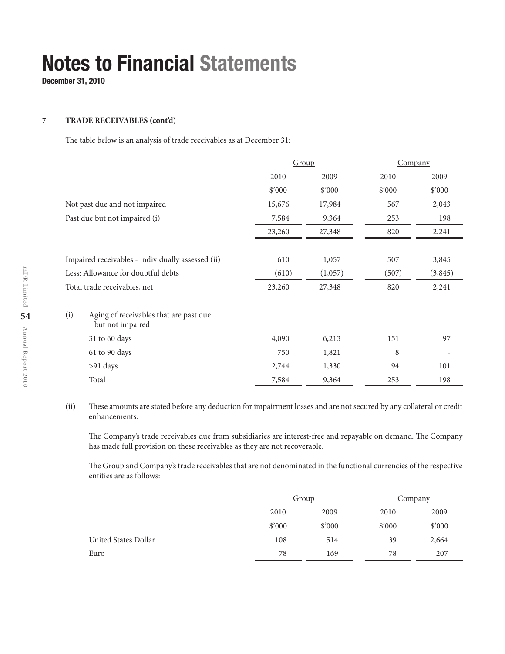**December 31, 2010**

## **7 TRADE RECEIVABLES (cont'd)**

The table below is an analysis of trade receivables as at December 31:

|                                                                   | Group           |                 | Company         |                 |
|-------------------------------------------------------------------|-----------------|-----------------|-----------------|-----------------|
|                                                                   | 2010            | 2009            | 2010            | 2009            |
|                                                                   | $$^{\prime}000$ | $$^{\prime}000$ | $$^{\prime}000$ | $$^{\prime}000$ |
| Not past due and not impaired                                     | 15,676          | 17,984          | 567             | 2,043           |
| Past due but not impaired (i)                                     | 7,584           | 9,364           | 253             | 198             |
|                                                                   | 23,260          | 27,348          | 820             | 2,241           |
|                                                                   |                 |                 |                 |                 |
| Impaired receivables - individually assessed (ii)                 | 610             | 1,057           | 507             | 3,845           |
| Less: Allowance for doubtful debts                                | (610)           | (1,057)         | (507)           | (3,845)         |
| Total trade receivables, net                                      | 23,260          | 27,348          | 820             | 2,241           |
|                                                                   |                 |                 |                 |                 |
| (i)<br>Aging of receivables that are past due<br>but not impaired |                 |                 |                 |                 |
| 31 to 60 days                                                     | 4,090           | 6,213           | 151             | 97              |
| 61 to 90 days                                                     | 750             | 1,821           | 8               |                 |
| >91 days                                                          | 2,744           | 1,330           | 94              | 101             |
| Total                                                             | 7,584           | 9,364           | 253             | 198             |

## (ii) These amounts are stated before any deduction for impairment losses and are not secured by any collateral or credit enhancements.

The Company's trade receivables due from subsidiaries are interest-free and repayable on demand. The Company has made full provision on these receivables as they are not recoverable.

The Group and Company's trade receivables that are not denominated in the functional currencies of the respective entities are as follows:

|                      | Group           |                 | Company         |                 |
|----------------------|-----------------|-----------------|-----------------|-----------------|
|                      | 2010            | 2009            | 2010            | 2009            |
|                      | $$^{\prime}000$ | $$^{\prime}000$ | $$^{\prime}000$ | $$^{\prime}000$ |
| United States Dollar | 108             | 514             | 39              | 2,664           |
| Euro                 | 78              | 169             | 78              | 207             |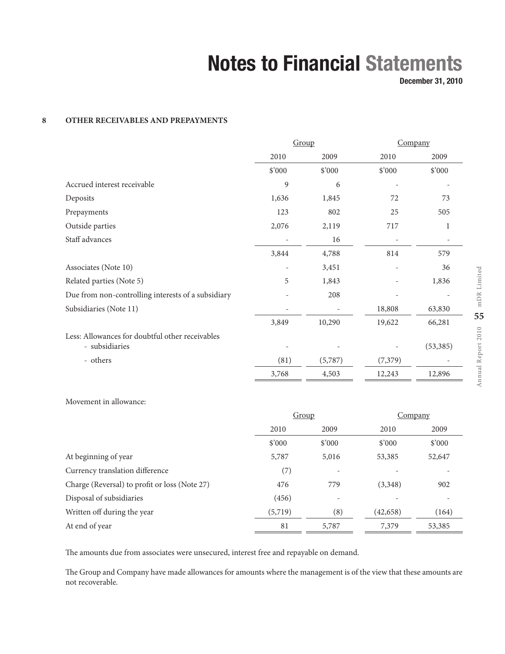**December 31, 2010**

## **8 OTHER RECEIVABLES AND PREPAYMENTS**

|                                                    | Group           |                 |                          | Company         |  |
|----------------------------------------------------|-----------------|-----------------|--------------------------|-----------------|--|
|                                                    | 2010            | 2009            | 2010                     | 2009            |  |
|                                                    | $$^{\prime}000$ | $$^{\prime}000$ | $$^{\prime}000$          | $$^{\prime}000$ |  |
| Accrued interest receivable                        | 9               | 6               | $\overline{\phantom{a}}$ |                 |  |
| Deposits                                           | 1,636           | 1,845           | 72                       | 73              |  |
| Prepayments                                        | 123             | 802             | 25                       | 505             |  |
| Outside parties                                    | 2,076           | 2,119           | 717                      | 1               |  |
| Staff advances                                     |                 | 16              |                          |                 |  |
|                                                    | 3,844           | 4,788           | 814                      | 579             |  |
| Associates (Note 10)                               |                 | 3,451           |                          | 36              |  |
| Related parties (Note 5)                           | 5               | 1,843           |                          | 1,836           |  |
| Due from non-controlling interests of a subsidiary |                 | 208             | ٠                        |                 |  |
| Subsidiaries (Note 11)                             |                 |                 | 18,808                   | 63,830          |  |
|                                                    | 3,849           | 10,290          | 19,622                   | 66,281          |  |
| Less: Allowances for doubtful other receivables    |                 |                 |                          |                 |  |
| - subsidiaries                                     |                 |                 |                          | (53, 385)       |  |
| - others                                           | (81)            | (5,787)         | (7,379)                  |                 |  |
|                                                    | 3,768           | 4,503           | 12,243                   | 12,896          |  |

Movement in allowance:

|                                               | Group           |                          | Company         |                 |
|-----------------------------------------------|-----------------|--------------------------|-----------------|-----------------|
|                                               | 2010<br>2009    |                          | 2010            | 2009            |
|                                               | $$^{\prime}000$ | $$^{\prime}000$          | $$^{\prime}000$ | $$^{\prime}000$ |
| At beginning of year                          | 5,787           | 5,016                    | 53,385          | 52,647          |
| Currency translation difference               | (7)             | $\overline{\phantom{a}}$ |                 |                 |
| Charge (Reversal) to profit or loss (Note 27) | 476             | 779                      | (3,348)         | 902             |
| Disposal of subsidiaries                      | (456)           | $\overline{\phantom{a}}$ |                 |                 |
| Written off during the year                   | (5,719)         | $\left(8\right)$         | (42, 658)       | (164)           |
| At end of year                                | 81              | 5,787                    | 7,379           | 53,385          |

The amounts due from associates were unsecured, interest free and repayable on demand.

The Group and Company have made allowances for amounts where the management is of the view that these amounts are not recoverable.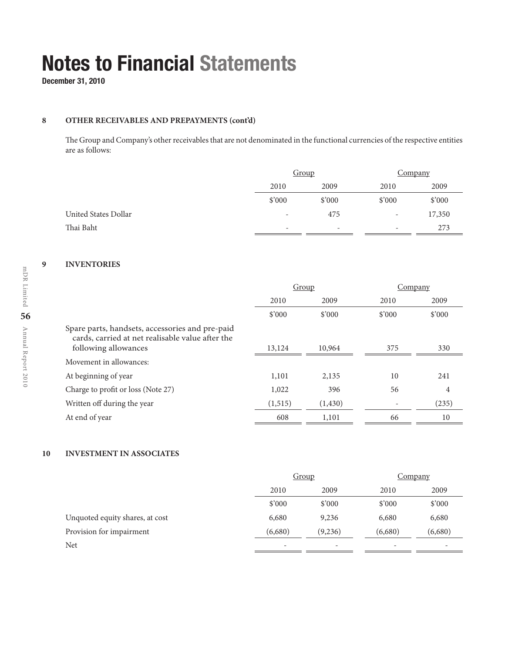**December 31, 2010**

# **8 OTHER RECEIVABLES AND PREPAYMENTS (cont'd)**

The Group and Company's other receivables that are not denominated in the functional currencies of the respective entities are as follows:

|                      | Group           |                          | Company                  |                 |
|----------------------|-----------------|--------------------------|--------------------------|-----------------|
|                      | 2010            | 2009                     | 2010                     | 2009            |
|                      | $$^{\prime}000$ | $$^{\prime}000$          | $$^{\prime}000$          | $$^{\prime}000$ |
| United States Dollar | -               | 475                      | $\overline{\phantom{a}}$ | 17,350          |
| Thai Baht            | ۰               | $\overline{\phantom{a}}$ | $\overline{\phantom{a}}$ | 273             |

# **9 INVENTORIES**

|                                                                                                                             | Group           |                 | Company                  |                 |
|-----------------------------------------------------------------------------------------------------------------------------|-----------------|-----------------|--------------------------|-----------------|
|                                                                                                                             | 2010            | 2009            | 2010                     | 2009            |
|                                                                                                                             | $$^{\prime}000$ | $$^{\prime}000$ | $$^{\prime}000$          | $$^{\prime}000$ |
| Spare parts, handsets, accessories and pre-paid<br>cards, carried at net realisable value after the<br>following allowances | 13,124          | 10,964          | 375                      | 330             |
|                                                                                                                             |                 |                 |                          |                 |
| Movement in allowances:                                                                                                     |                 |                 |                          |                 |
| At beginning of year                                                                                                        | 1,101           | 2,135           | 10                       | 241             |
| Charge to profit or loss (Note 27)                                                                                          | 1,022           | 396             | 56                       | 4               |
| Written off during the year                                                                                                 | (1,515)         | (1,430)         | $\overline{\phantom{a}}$ | (235)           |
| At end of year                                                                                                              | 608             | 1,101           | 66                       | 10              |

## **10 INVESTMENT IN ASSOCIATES**

|                                 | Group                    |                          | Company         |                 |
|---------------------------------|--------------------------|--------------------------|-----------------|-----------------|
|                                 | 2009<br>2010             |                          | 2010            | 2009            |
|                                 | $$^{\prime}000$          | $$^{\prime}000$          | $$^{\prime}000$ | $$^{\prime}000$ |
| Unquoted equity shares, at cost | 6,680                    | 9,236                    | 6,680           | 6,680           |
| Provision for impairment        | (6,680)                  | (9, 236)                 | (6,680)         | (6,680)         |
| <b>Net</b>                      | $\overline{\phantom{a}}$ | $\overline{\phantom{a}}$ | ۰               | -               |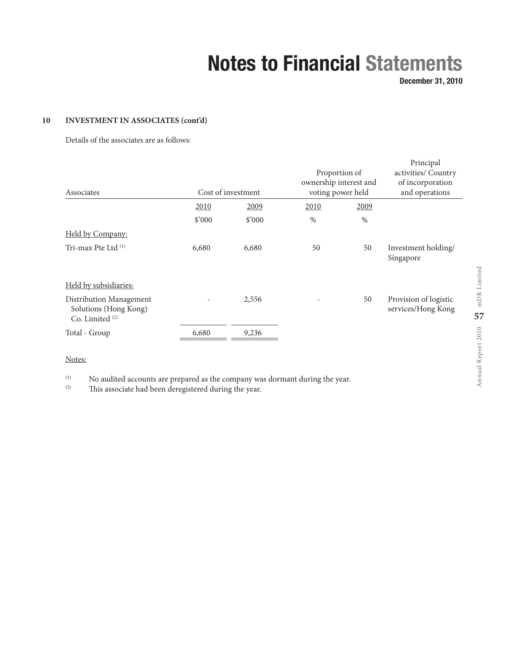**December 31, 2010**

## **10 INVESTMENT IN ASSOCIATES (cont'd)**

Details of the associates are as follows:

| Associates                                                                     |        | Cost of investment | Proportion of<br>ownership interest and<br>voting power held |      | Principal<br>activities/ Country<br>of incorporation<br>and operations |
|--------------------------------------------------------------------------------|--------|--------------------|--------------------------------------------------------------|------|------------------------------------------------------------------------|
|                                                                                | 2010   | 2009               | 2010                                                         | 2009 |                                                                        |
|                                                                                | \$3000 | $$^{\prime}000$    | $\%$                                                         | $\%$ |                                                                        |
| Held by Company:                                                               |        |                    |                                                              |      |                                                                        |
| Tri-max Pte Ltd <sup>(1)</sup>                                                 | 6,680  | 6,680              | 50                                                           | 50   | Investment holding/<br>Singapore                                       |
| Held by subsidiaries:                                                          |        |                    |                                                              |      |                                                                        |
| Distribution Management<br>Solutions (Hong Kong)<br>Co. Limited <sup>(2)</sup> |        | 2,556              |                                                              | 50   | Provision of logistic<br>services/Hong Kong                            |
| Total - Group                                                                  | 6,680  | 9,236              |                                                              |      |                                                                        |

# Notes:

(1) No audited accounts are prepared as the company was dormant during the year.<br>(2) This associate had been deregistered during the year

This associate had been deregistered during the year.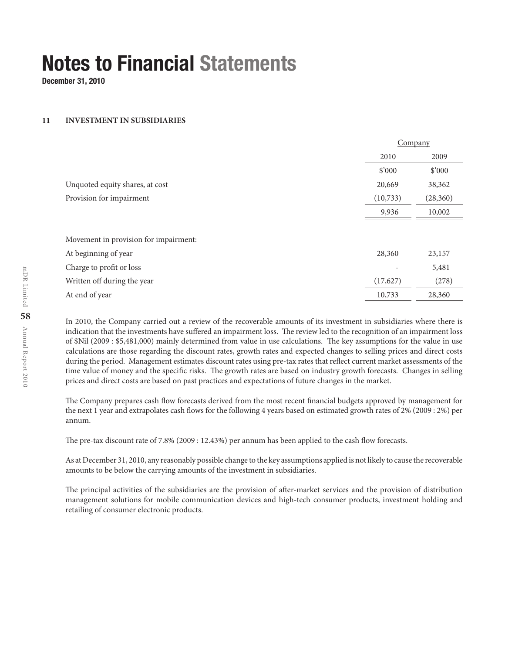**December 31, 2010**

## **11 INVESTMENT IN SUBSIDIARIES**

|                                       |                 | Company         |
|---------------------------------------|-----------------|-----------------|
|                                       | 2010            | 2009            |
|                                       | $$^{\prime}000$ | $$^{\prime}000$ |
| Unquoted equity shares, at cost       | 20,669          | 38,362          |
| Provision for impairment              | (10,733)        | (28,360)        |
|                                       | 9,936           | 10,002          |
|                                       |                 |                 |
| Movement in provision for impairment: |                 |                 |
| At beginning of year                  | 28,360          | 23,157          |
| Charge to profit or loss              |                 | 5,481           |
| Written off during the year           | (17,627)        | (278)           |
| At end of year                        | 10,733          | 28,360          |

In 2010, the Company carried out a review of the recoverable amounts of its investment in subsidiaries where there is indication that the investments have suffered an impairment loss. The review led to the recognition of an impairment loss of \$Nil (2009: \$5,481,000) mainly determined from value in use calculations. The key assumptions for the value in use calculations are those regarding the discount rates, growth rates and expected changes to selling prices and direct costs during the period. Management estimates discount rates using pre-tax rates that reflect current market assessments of the time value of money and the specific risks. The growth rates are based on industry growth forecasts. Changes in selling prices and direct costs are based on past practices and expectations of future changes in the market.

The Company prepares cash flow forecasts derived from the most recent financial budgets approved by management for the next 1 year and extrapolates cash flows for the following 4 years based on estimated growth rates of  $2\%$  (2009: 2%) per annum.

The pre-tax discount rate of 7.8% (2009 : 12.43%) per annum has been applied to the cash flow forecasts.

As at December 31, 2010, any reasonably possible change to the key assumptions applied is not likely to cause the recoverable amounts to be below the carrying amounts of the investment in subsidiaries.

The principal activities of the subsidiaries are the provision of after-market services and the provision of distribution management solutions for mobile communication devices and high-tech consumer products, investment holding and retailing of consumer electronic products.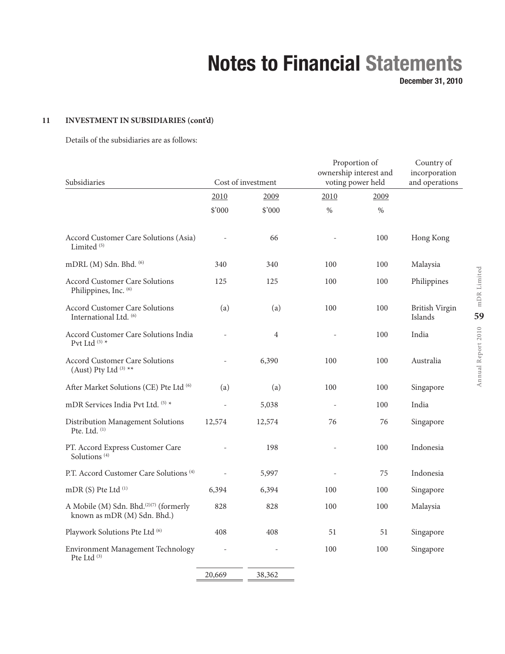**December 31, 2010**

# **11 INVESTMENT IN SUBSIDIARIES (cont'd)**

Details of the subsidiaries are as follows:

| Subsidiaries                                                                      | Cost of investment       |                 |      | Proportion of<br>ownership interest and<br>voting power held |                                  |
|-----------------------------------------------------------------------------------|--------------------------|-----------------|------|--------------------------------------------------------------|----------------------------------|
|                                                                                   | 2010                     | 2009            | 2010 | 2009                                                         |                                  |
|                                                                                   | $$^{\prime}000$          | $$^{\prime}000$ | $\%$ | $\%$                                                         |                                  |
| Accord Customer Care Solutions (Asia)<br>Limited $(5)$                            |                          | 66              |      | 100                                                          | Hong Kong                        |
| mDRL (M) Sdn. Bhd. (6)                                                            | 340                      | 340             | 100  | 100                                                          | Malaysia                         |
| <b>Accord Customer Care Solutions</b><br>Philippines, Inc. (6)                    | 125                      | 125             | 100  | 100                                                          | Philippines                      |
| <b>Accord Customer Care Solutions</b><br>International Ltd. (6)                   | (a)                      | (a)             | 100  | 100                                                          | <b>British Virgin</b><br>Islands |
| Accord Customer Care Solutions India<br>Pvt Ltd $(5)$ *                           |                          | 4               |      | 100                                                          | India                            |
| <b>Accord Customer Care Solutions</b><br>(Aust) Pty Ltd <sup>(3) **</sup>         |                          | 6,390           | 100  | 100                                                          | Australia                        |
| After Market Solutions (CE) Pte Ltd (6)                                           | (a)                      | (a)             | 100  | 100                                                          | Singapore                        |
| mDR Services India Pvt Ltd. (5) *                                                 | $\overline{\phantom{m}}$ | 5,038           |      | 100                                                          | India                            |
| Distribution Management Solutions<br>Pte. Ltd. (1)                                | 12,574                   | 12,574          | 76   | 76                                                           | Singapore                        |
| PT. Accord Express Customer Care<br>Solutions <sup>(4)</sup>                      |                          | 198             |      | 100                                                          | Indonesia                        |
| P.T. Accord Customer Care Solutions <sup>(4)</sup>                                |                          | 5,997           |      | 75                                                           | Indonesia                        |
| mDR (S) Pte Ltd (1)                                                               | 6,394                    | 6,394           | 100  | 100                                                          | Singapore                        |
| A Mobile (M) Sdn. Bhd. <sup>(2)(7)</sup> (formerly<br>known as mDR (M) Sdn. Bhd.) | 828                      | 828             | 100  | 100                                                          | Malaysia                         |
| Playwork Solutions Pte Ltd (6)                                                    | 408                      | 408             | 51   | 51                                                           | Singapore                        |
| Environment Management Technology<br>Pte Ltd $(3)$                                |                          |                 | 100  | 100                                                          | Singapore                        |
|                                                                                   | 20,669                   | 38,362          |      |                                                              |                                  |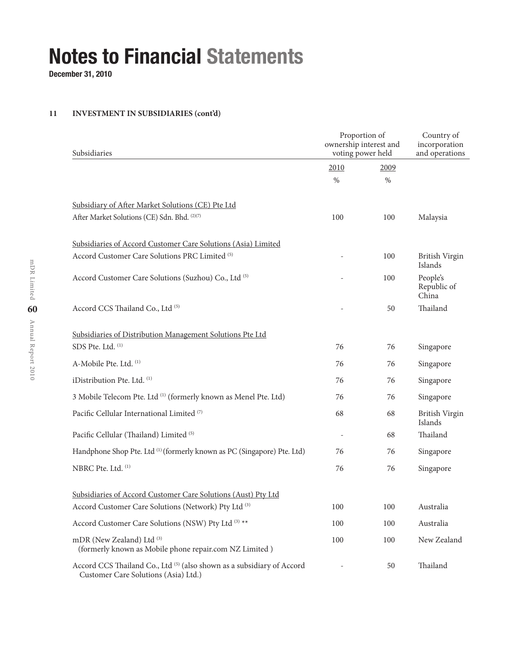December 31, 2010

# **11 INVESTMENT IN SUBSIDIARIES (cont'd)**

| Subsidiaries                                                                                                              |      | Proportion of<br>ownership interest and<br>voting power held |                                  |
|---------------------------------------------------------------------------------------------------------------------------|------|--------------------------------------------------------------|----------------------------------|
|                                                                                                                           | 2010 | 2009                                                         |                                  |
|                                                                                                                           | $\%$ | $\%$                                                         |                                  |
| Subsidiary of After Market Solutions (CE) Pte Ltd                                                                         |      |                                                              |                                  |
| After Market Solutions (CE) Sdn. Bhd. (2)(7)                                                                              | 100  | 100                                                          | Malaysia                         |
| Subsidiaries of Accord Customer Care Solutions (Asia) Limited                                                             |      |                                                              |                                  |
| Accord Customer Care Solutions PRC Limited <sup>(5)</sup>                                                                 |      | 100                                                          | British Virgin<br>Islands        |
| Accord Customer Care Solutions (Suzhou) Co., Ltd <sup>(5)</sup>                                                           |      | 100                                                          | People's<br>Republic of<br>China |
| Accord CCS Thailand Co., Ltd <sup>(5)</sup>                                                                               |      | 50                                                           | Thailand                         |
| Subsidiaries of Distribution Management Solutions Pte Ltd                                                                 |      |                                                              |                                  |
| SDS Pte. Ltd. (1)                                                                                                         | 76   | 76                                                           | Singapore                        |
| A-Mobile Pte. Ltd. (1)                                                                                                    | 76   | 76                                                           | Singapore                        |
| iDistribution Pte. Ltd. (1)                                                                                               | 76   | 76                                                           | Singapore                        |
| 3 Mobile Telecom Pte. Ltd (1) (formerly known as Menel Pte. Ltd)                                                          | 76   | 76                                                           | Singapore                        |
| Pacific Cellular International Limited <sup>(7)</sup>                                                                     | 68   | 68                                                           | British Virgin<br>Islands        |
| Pacific Cellular (Thailand) Limited <sup>(5)</sup>                                                                        |      | 68                                                           | Thailand                         |
| Handphone Shop Pte. Ltd (1) (formerly known as PC (Singapore) Pte. Ltd)                                                   | 76   | 76                                                           | Singapore                        |
| NBRC Pte. Ltd. (1)                                                                                                        | 76   | 76                                                           | Singapore                        |
| Subsidiaries of Accord Customer Care Solutions (Aust) Pty Ltd                                                             |      |                                                              |                                  |
| Accord Customer Care Solutions (Network) Pty Ltd <sup>(3)</sup>                                                           | 100  | 100                                                          | Australia                        |
| Accord Customer Care Solutions (NSW) Pty Ltd <sup>(3) **</sup>                                                            | 100  | 100                                                          | Australia                        |
| mDR (New Zealand) Ltd <sup>(3)</sup><br>(formerly known as Mobile phone repair.com NZ Limited)                            | 100  | 100                                                          | New Zealand                      |
| Accord CCS Thailand Co., Ltd <sup>(5)</sup> (also shown as a subsidiary of Accord<br>Customer Care Solutions (Asia) Ltd.) |      | 50                                                           | Thailand                         |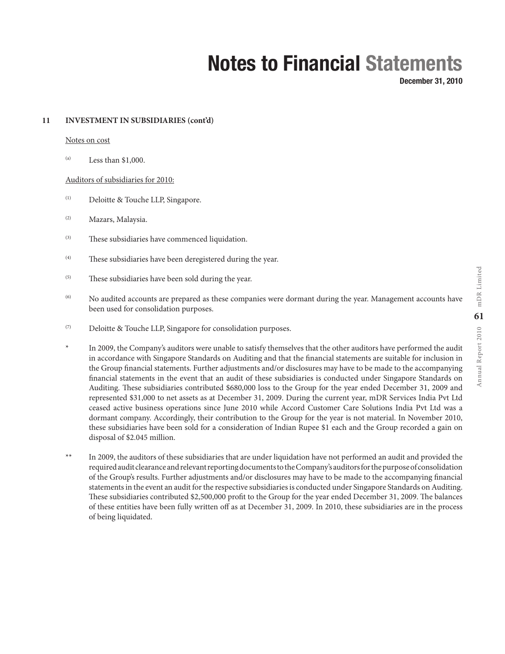**December 31, 2010**

## **11 INVESTMENT IN SUBSIDIARIES (cont'd)**

#### Notes on cost

 $\mu$ <sup>(a)</sup> Less than \$1,000.

### Auditors of subsidiaries for 2010:

- (1) Deloitte & Touche LLP, Singapore.
- (2) Mazars, Malaysia.
- (3) These subsidiaries have commenced liquidation.
- (4) These subsidiaries have been deregistered during the year.
- $(5)$  These subsidiaries have been sold during the year.
- (6) No audited accounts are prepared as these companies were dormant during the year. Management accounts have been used for consolidation purposes.
- (7) Deloitte & Touche LLP, Singapore for consolidation purposes.
- In 2009, the Company's auditors were unable to satisfy themselves that the other auditors have performed the audit in accordance with Singapore Standards on Auditing and that the financial statements are suitable for inclusion in the Group financial statements. Further adjustments and/or disclosures may have to be made to the accompanying financial statements in the event that an audit of these subsidiaries is conducted under Singapore Standards on Auditing. These subsidiaries contributed \$680,000 loss to the Group for the year ended December 31, 2009 and represented \$31,000 to net assets as at December 31, 2009. During the current year, mDR Services India Pvt Ltd ceased active business operations since June 2010 while Accord Customer Care Solutions India Pvt Ltd was a dormant company. Accordingly, their contribution to the Group for the year is not material. In November 2010, these subsidiaries have been sold for a consideration of Indian Rupee \$1 each and the Group recorded a gain on disposal of \$2.045 million.
- \*\* In 2009, the auditors of these subsidiaries that are under liquidation have not performed an audit and provided the required audit clearance and relevant reporting documents to the Company's auditors for the purpose of consolidation of the Group's results. Further adjustments and/or disclosures may have to be made to the accompanying financial statements in the event an audit for the respective subsidiaries is conducted under Singapore Standards on Auditing. These subsidiaries contributed \$2,500,000 profit to the Group for the year ended December 31, 2009. The balances of these entities have been fully written off as at December 31, 2009. In 2010, these subsidiaries are in the process of being liquidated.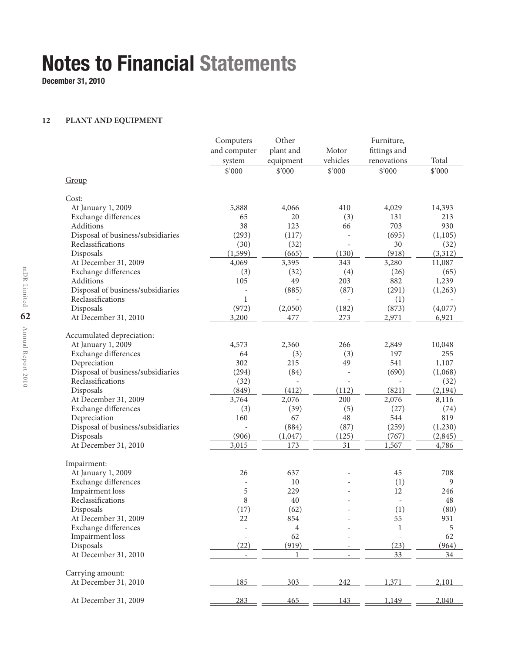**December 31, 2010**

# **12 PLANT AND EQUIPMENT**

|                                   | Computers<br>and computer<br>system | Other<br>plant and<br>equipment | Motor<br>vehicles | Furniture,<br>fittings and<br>renovations | Total   |
|-----------------------------------|-------------------------------------|---------------------------------|-------------------|-------------------------------------------|---------|
| Group                             | \$'000                              | \$'000                          | \$'000            | $$^{\prime}000$                           | \$'000  |
| Cost:                             |                                     |                                 |                   |                                           |         |
| At January 1, 2009                | 5,888                               | 4,066                           | 410               | 4,029                                     | 14,393  |
| Exchange differences              | 65                                  | 20                              | (3)               | 131                                       | 213     |
| Additions                         | 38                                  | 123                             | 66                | 703                                       | 930     |
| Disposal of business/subsidiaries | (293)                               | (117)                           |                   | (695)                                     | (1,105) |
| Reclassifications                 | (30)                                | (32)                            |                   | 30                                        | (32)    |
| Disposals                         | (1, 599)                            | (665)                           | (130)             | (918)                                     | (3,312) |
| At December 31, 2009              | 4,069                               | 3,395                           | 343               | 3,280                                     | 11,087  |
| Exchange differences              | (3)                                 | (32)                            | (4)               | (26)                                      | (65)    |
| Additions                         | 105                                 | 49                              | 203               | 882                                       | 1,239   |
| Disposal of business/subsidiaries |                                     | (885)                           | (87)              | (291)                                     | (1,263) |
| Reclassifications                 | $\mathbf{1}$<br>(972)               |                                 |                   | (1)                                       |         |
| Disposals                         |                                     | (2,050)                         | (182)             | (873)                                     | (4,077) |
| At December 31, 2010              | 3,200                               | 477                             | 273               | 2,971                                     | 6,921   |
| Accumulated depreciation:         |                                     |                                 |                   |                                           |         |
| At January 1, 2009                | 4,573                               | 2,360                           | 266               | 2,849                                     | 10,048  |
| Exchange differences              | 64                                  | (3)                             | (3)               | 197                                       | 255     |
| Depreciation                      | 302                                 | 215                             | 49                | 541                                       | 1,107   |
| Disposal of business/subsidiaries | (294)                               | (84)                            |                   | (690)                                     | (1,068) |
| Reclassifications                 | (32)                                | $\overline{\phantom{a}}$        | ÷                 | $\overline{\phantom{a}}$                  | (32)    |
| Disposals                         | (849)                               | (412)                           | (112)             | (821)                                     | (2,194) |
| At December 31, 2009              | 3,764                               | 2,076                           | 200               | 2,076                                     | 8,116   |
| Exchange differences              | (3)                                 | (39)                            | (5)               | (27)                                      | (74)    |
| Depreciation                      | 160                                 | 67                              | 48                | 544                                       | 819     |
| Disposal of business/subsidiaries |                                     | (884)                           | (87)              | (259)                                     | (1,230) |
| Disposals                         | (906)                               | (1,047)                         | (125)             | (767)                                     | (2,845) |
| At December 31, 2010              | 3,015                               | 173                             | 31                | 1,567                                     | 4,786   |
| Impairment:                       |                                     |                                 |                   |                                           |         |
| At January 1, 2009                | 26                                  | 637                             |                   | 45                                        | 708     |
| Exchange differences              |                                     | 10                              |                   | (1)                                       | 9       |
| Impairment loss                   | 5                                   | 229                             |                   | 12                                        | 246     |
| Reclassifications                 | 8                                   | 40                              |                   | $\overline{\phantom{a}}$                  | 48      |
| Disposals                         | (17)                                | (62)                            |                   | (1)                                       | (80)    |
| At December 31, 2009              | 22                                  | 854                             |                   | 55                                        | 931     |
| Exchange differences              | $\qquad \qquad \blacksquare$        | $\overline{4}$                  |                   | 1                                         | 5       |
| Impairment loss                   |                                     | 62                              |                   | L,                                        | 62      |
| Disposals                         | (22)                                | (919)                           |                   | (23)                                      | (964)   |
| At December 31, 2010              | $\overline{\phantom{a}}$            | 1                               |                   | 33                                        | 34      |
|                                   |                                     |                                 |                   |                                           |         |
| Carrying amount:                  |                                     |                                 |                   |                                           |         |
| At December 31, 2010              | 185                                 | <u>303</u>                      | 242               | 1,371                                     | 2,101   |
| At December 31, 2009              | 283                                 | 465                             | <u>143</u>        | 1,149                                     | 2,040   |
|                                   |                                     |                                 |                   |                                           |         |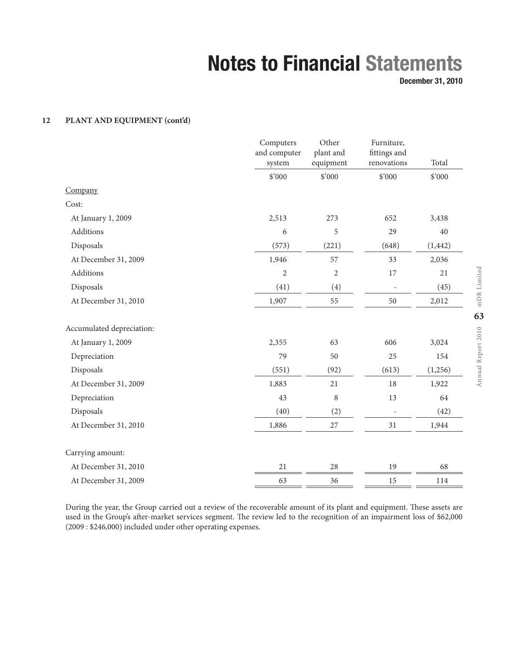**December 31, 2010**

## **12 PLANT AND EQUIPMENT (cont'd)**

|                           | Computers<br>and computer<br>system | Other<br>plant and<br>equipment | Furniture,<br>fittings and<br>renovations | Total    |
|---------------------------|-------------------------------------|---------------------------------|-------------------------------------------|----------|
|                           | $$^{\prime}000$                     | \$'000                          | \$'000                                    | \$'000   |
| Company                   |                                     |                                 |                                           |          |
| Cost:                     |                                     |                                 |                                           |          |
| At January 1, 2009        | 2,513                               | 273                             | 652                                       | 3,438    |
| Additions                 | 6                                   | 5                               | 29                                        | 40       |
| Disposals                 | (573)                               | (221)                           | (648)                                     | (1, 442) |
| At December 31, 2009      | 1,946                               | 57                              | 33                                        | 2,036    |
| Additions                 | $\overline{c}$                      | $\overline{2}$                  | 17                                        | 21       |
| Disposals                 | (41)                                | (4)                             |                                           | (45)     |
| At December 31, 2010      | 1,907                               | 55                              | 50                                        | 2,012    |
| Accumulated depreciation: |                                     |                                 |                                           |          |
| At January 1, 2009        | 2,355                               | 63                              | 606                                       | 3,024    |
| Depreciation              | 79                                  | 50                              | 25                                        | 154      |
| Disposals                 | (551)                               | (92)                            | (613)                                     | (1,256)  |
| At December 31, 2009      | 1,883                               | 21                              | 18                                        | 1,922    |
| Depreciation              | 43                                  | 8                               | 13                                        | 64       |
| Disposals                 | (40)                                | (2)                             |                                           | (42)     |
| At December 31, 2010      | 1,886                               | 27                              | 31                                        | 1,944    |
| Carrying amount:          |                                     |                                 |                                           |          |
| At December 31, 2010      | 21                                  | 28                              | 19                                        | 68       |
| At December 31, 2009      | 63                                  | 36                              | 15                                        | 114      |

During the year, the Group carried out a review of the recoverable amount of its plant and equipment. These assets are used in the Group's after-market services segment. The review led to the recognition of an impairment loss of \$62,000 (2009 : \$246,000) included under other operating expenses.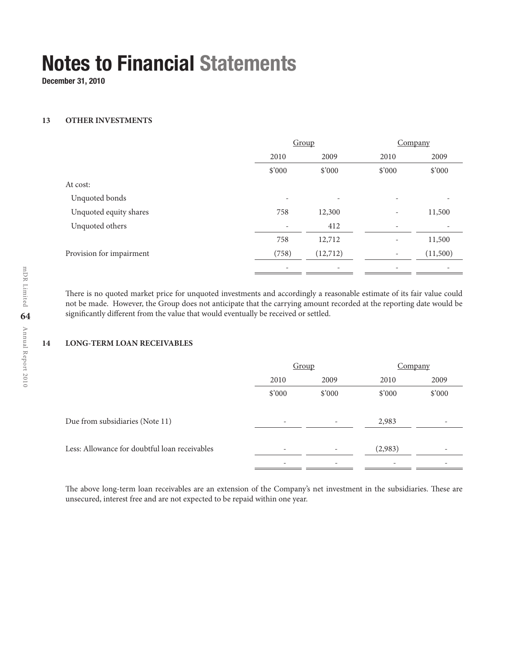**December 31, 2010**

## **13 OTHER INVESTMENTS**

|                          | Group           |                          | Company                  |                          |
|--------------------------|-----------------|--------------------------|--------------------------|--------------------------|
|                          | 2010            | 2009                     | 2010                     | 2009                     |
|                          | $$^{\prime}000$ | $$^{\prime}000$          | $$^{\prime}000$          | $$^{\prime}000$          |
| At cost:                 |                 |                          |                          |                          |
| Unquoted bonds           |                 | $\overline{\phantom{a}}$ | ۰                        |                          |
| Unquoted equity shares   | 758             | 12,300                   | -                        | 11,500                   |
| Unquoted others          |                 | 412                      | $\overline{\phantom{a}}$ | $\overline{\phantom{a}}$ |
|                          | 758             | 12,712                   |                          | 11,500                   |
| Provision for impairment | (758)           | (12,712)                 | $\overline{\phantom{m}}$ | (11,500)                 |
|                          |                 |                          |                          |                          |

There is no quoted market price for unquoted investments and accordingly a reasonable estimate of its fair value could not be made. However, the Group does not anticipate that the carrying amount recorded at the reporting date would be significantly different from the value that would eventually be received or settled.

## **14 LONG-TERM LOAN RECEIVABLES**

|                                               | Group                    |                          | Company         |                 |
|-----------------------------------------------|--------------------------|--------------------------|-----------------|-----------------|
|                                               | 2010                     | 2009                     | 2010            | 2009            |
|                                               | $$^{\prime}000$          | $$^{\prime}000$          | $$^{\prime}000$ | $$^{\prime}000$ |
| Due from subsidiaries (Note 11)               | $\overline{\phantom{a}}$ | $\overline{\phantom{a}}$ | 2,983           |                 |
| Less: Allowance for doubtful loan receivables | $\overline{\phantom{a}}$ | $\overline{\phantom{a}}$ | (2,983)         |                 |
|                                               | $\overline{\phantom{a}}$ | -                        |                 |                 |

The above long-term loan receivables are an extension of the Company's net investment in the subsidiaries. These are unsecured, interest free and are not expected to be repaid within one year.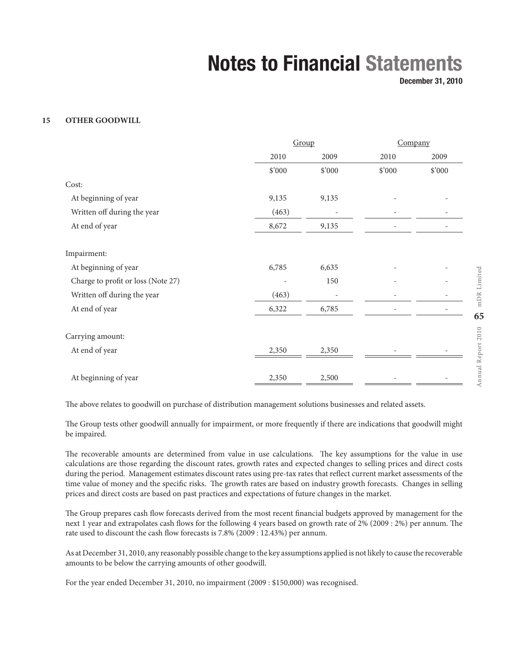**December 31, 2010**

# **15 OTHER GOODWILL**

|                                    |        | Group                    |        | Company         |
|------------------------------------|--------|--------------------------|--------|-----------------|
|                                    | 2010   | 2009                     | 2010   | 2009            |
|                                    | \$'000 | \$'000                   | \$'000 | $$^{\prime}000$ |
| Cost:                              |        |                          |        |                 |
| At beginning of year               | 9,135  | 9,135                    |        |                 |
| Written off during the year        | (463)  | $\overline{\phantom{a}}$ |        |                 |
| At end of year                     | 8,672  | 9,135                    |        |                 |
| Impairment:                        |        |                          |        |                 |
| At beginning of year               | 6,785  | 6,635                    |        |                 |
| Charge to profit or loss (Note 27) |        | 150                      |        |                 |
| Written off during the year        | (463)  |                          |        |                 |
| At end of year                     | 6,322  | 6,785                    |        |                 |
| Carrying amount:                   |        |                          |        |                 |
| At end of year                     | 2,350  | 2,350                    |        |                 |
|                                    |        |                          |        |                 |
| At beginning of year               | 2,350  | 2,500                    |        |                 |

The above relates to goodwill on purchase of distribution management solutions businesses and related assets.

The Group tests other goodwill annually for impairment, or more frequently if there are indications that goodwill might be impaired.

The recoverable amounts are determined from value in use calculations. The key assumptions for the value in use calculations are those regarding the discount rates, growth rates and expected changes to selling prices and direct costs during the period. Management estimates discount rates using pre-tax rates that reflect current market assessments of the time value of money and the specific risks. The growth rates are based on industry growth forecasts. Changes in selling prices and direct costs are based on past practices and expectations of future changes in the market.

The Group prepares cash flow forecasts derived from the most recent financial budgets approved by management for the next 1 year and extrapolates cash flows for the following 4 years based on growth rate of  $2\%$  (2009 : 2%) per annum. The rate used to discount the cash flow forecasts is 7.8% (2009 : 12.43%) per annum.

As at December 31, 2010, any reasonably possible change to the key assumptions applied is not likely to cause the recoverable amounts to be below the carrying amounts of other goodwill.

For the year ended December 31, 2010, no impairment (2009 : \$150,000) was recognised.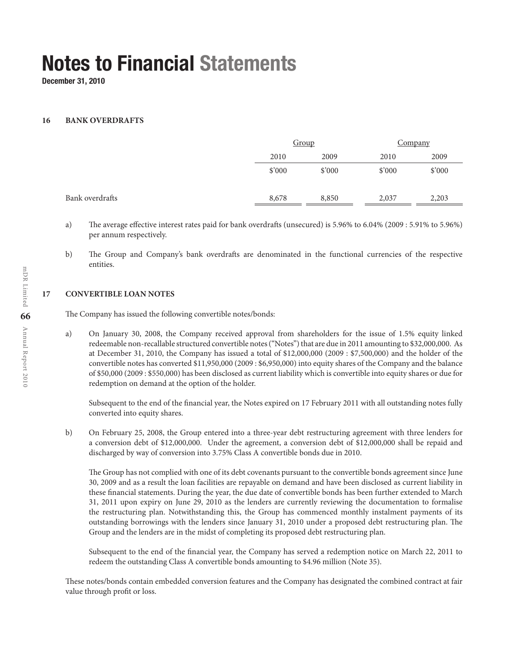**December 31, 2010**

### **16 BANK OVERDRAFTS**

|                 | Group           |                 | Company         |                 |
|-----------------|-----------------|-----------------|-----------------|-----------------|
|                 | 2010            | 2009            | 2010            | 2009            |
|                 | $$^{\prime}000$ | $$^{\prime}000$ | $$^{\prime}000$ | $$^{\prime}000$ |
| Bank overdrafts | 8,678           | 8,850           | 2,037           | 2,203           |

- a) The average effective interest rates paid for bank overdrafts (unsecured) is 5.96% to 6.04% (2009 : 5.91% to 5.96%) per annum respectively.
- b) The Group and Company's bank overdrafts are denominated in the functional currencies of the respective entities.

#### **17 CONVERTIBLE LOAN NOTES**

The Company has issued the following convertible notes/bonds:

a) On January 30, 2008, the Company received approval from shareholders for the issue of 1.5% equity linked redeemable non-recallable structured convertible notes ("Notes") that are due in 2011 amounting to \$32,000,000. As at December 31, 2010, the Company has issued a total of \$12,000,000 (2009 : \$7,500,000) and the holder of the convertible notes has converted \$11,950,000 (2009 : \$6,950,000) into equity shares of the Company and the balance of \$50,000 (2009 : \$550,000) has been disclosed as current liability which is convertible into equity shares or due for redemption on demand at the option of the holder.

Subsequent to the end of the financial year, the Notes expired on 17 February 2011 with all outstanding notes fully converted into equity shares.

b) On February 25, 2008, the Group entered into a three-year debt restructuring agreement with three lenders for a conversion debt of \$12,000,000. Under the agreement, a conversion debt of \$12,000,000 shall be repaid and discharged by way of conversion into 3.75% Class A convertible bonds due in 2010.

The Group has not complied with one of its debt covenants pursuant to the convertible bonds agreement since June 30, 2009 and as a result the loan facilities are repayable on demand and have been disclosed as current liability in these financial statements. During the year, the due date of convertible bonds has been further extended to March 31, 2011 upon expiry on June 29, 2010 as the lenders are currently reviewing the documentation to formalise the restructuring plan. Notwithstanding this, the Group has commenced monthly instalment payments of its outstanding borrowings with the lenders since January 31, 2010 under a proposed debt restructuring plan. The Group and the lenders are in the midst of completing its proposed debt restructuring plan.

Subsequent to the end of the financial year, the Company has served a redemption notice on March 22, 2011 to redeem the outstanding Class A convertible bonds amounting to \$4.96 million (Note 35).

These notes/bonds contain embedded conversion features and the Company has designated the combined contract at fair value through profit or loss.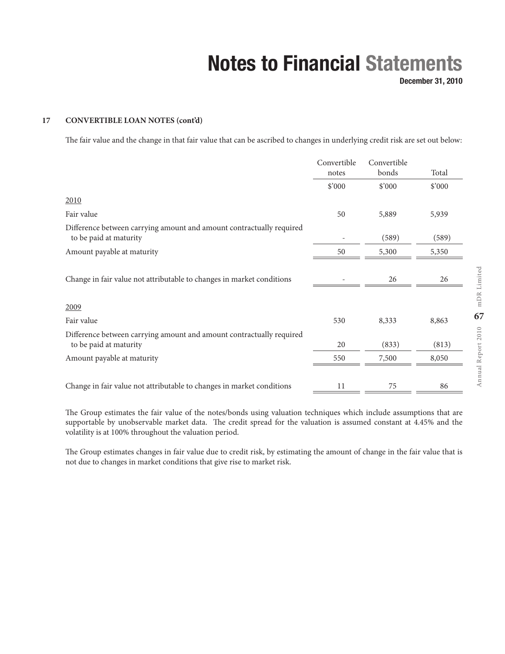**December 31, 2010**

### **17 CONVERTIBLE LOAN NOTES (cont'd)**

The fair value and the change in that fair value that can be ascribed to changes in underlying credit risk are set out below:

|                                                                                                | Convertible<br>notes | Convertible<br>bonds | Total           |
|------------------------------------------------------------------------------------------------|----------------------|----------------------|-----------------|
|                                                                                                | $$^{\prime}000$      | $$^{\prime}000$      | $$^{\prime}000$ |
| 2010                                                                                           |                      |                      |                 |
| Fair value                                                                                     | 50                   | 5,889                | 5,939           |
| Difference between carrying amount and amount contractually required<br>to be paid at maturity |                      | (589)                | (589)           |
| Amount payable at maturity                                                                     | 50                   | 5,300                | 5,350           |
| Change in fair value not attributable to changes in market conditions                          |                      | 26                   | 26              |
| 2009                                                                                           |                      |                      |                 |
| Fair value                                                                                     | 530                  | 8,333                | 8,863           |
| Difference between carrying amount and amount contractually required<br>to be paid at maturity | 20                   | (833)                | (813)           |
| Amount payable at maturity                                                                     | 550                  | 7,500                | 8,050           |
|                                                                                                |                      |                      |                 |
| Change in fair value not attributable to changes in market conditions                          | 11                   | 75                   | 86              |

The Group estimates the fair value of the notes/bonds using valuation techniques which include assumptions that are supportable by unobservable market data. The credit spread for the valuation is assumed constant at 4.45% and the volatility is at 100% throughout the valuation period.

The Group estimates changes in fair value due to credit risk, by estimating the amount of change in the fair value that is not due to changes in market conditions that give rise to market risk.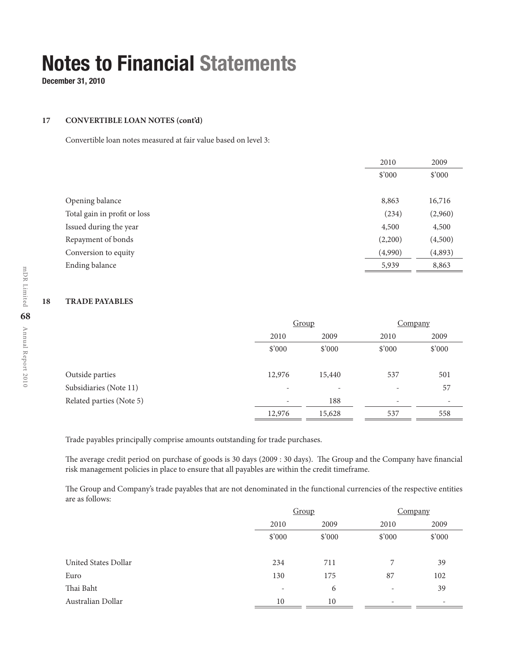**December 31, 2010**

# **17 CONVERTIBLE LOAN NOTES (cont'd)**

Convertible loan notes measured at fair value based on level 3:

|                              | 2010            | 2009            |
|------------------------------|-----------------|-----------------|
|                              | $$^{\prime}000$ | $$^{\prime}000$ |
|                              |                 |                 |
| Opening balance              | 8,863           | 16,716          |
| Total gain in profit or loss | (234)           | (2,960)         |
| Issued during the year       | 4,500           | 4,500           |
| Repayment of bonds           | (2,200)         | (4,500)         |
| Conversion to equity         | (4,990)         | (4,893)         |
| Ending balance               | 5,939           | 8,863           |

## **18 TRADE PAYABLES**

|                          | Group           |                          | Company         |                 |
|--------------------------|-----------------|--------------------------|-----------------|-----------------|
|                          | 2010            | 2009                     | 2010            | 2009            |
|                          | $$^{\prime}000$ | $$^{\prime}000$          | $$^{\prime}000$ | $$^{\prime}000$ |
| Outside parties          | 12,976          | 15,440                   | 537             | 501             |
| Subsidiaries (Note 11)   |                 | $\overline{\phantom{a}}$ | -               | 57              |
| Related parties (Note 5) |                 | 188                      | -               | ۰               |
|                          | 12,976          | 15,628                   | 537             | 558             |

Trade payables principally comprise amounts outstanding for trade purchases.

The average credit period on purchase of goods is 30 days (2009 : 30 days). The Group and the Company have financial risk management policies in place to ensure that all payables are within the credit timeframe.

The Group and Company's trade payables that are not denominated in the functional currencies of the respective entities are as follows:

|                      | Group           |                 | Company                  |                          |
|----------------------|-----------------|-----------------|--------------------------|--------------------------|
|                      | 2010<br>2009    |                 | 2010                     | 2009                     |
|                      | $$^{\prime}000$ | $$^{\prime}000$ | $$^{\prime}000$          | $$^{\prime}000$          |
| United States Dollar | 234             | 711             | 7                        | 39                       |
| Euro                 | 130             | 175             | 87                       | 102                      |
| Thai Baht            | -               | 6               |                          | 39                       |
| Australian Dollar    | 10              | 10              | $\overline{\phantom{a}}$ | $\overline{\phantom{a}}$ |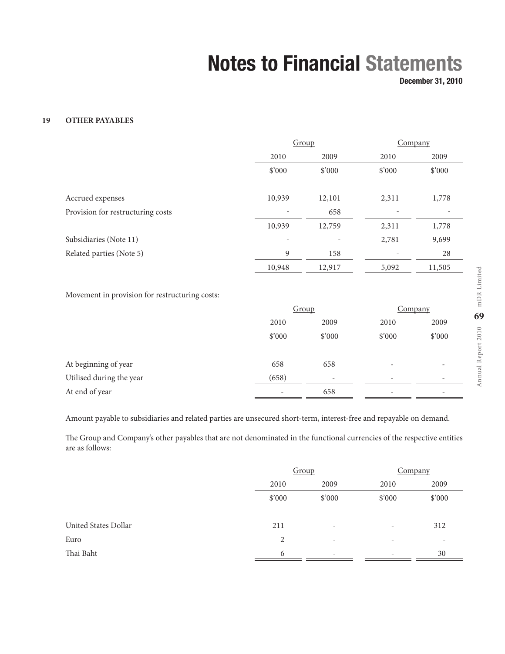**December 31, 2010**

#### **19 OTHER PAYABLES**

|                                   | Group                    |                 | Company         |                 |
|-----------------------------------|--------------------------|-----------------|-----------------|-----------------|
|                                   | 2010                     | 2009            | 2010            | 2009            |
|                                   | $$^{\prime}000$          | $$^{\prime}000$ | $$^{\prime}000$ | $$^{\prime}000$ |
| Accrued expenses                  | 10,939                   | 12,101          | 2,311           | 1,778           |
| Provision for restructuring costs |                          | 658             |                 |                 |
|                                   | 10,939                   | 12,759          | 2,311           | 1,778           |
| Subsidiaries (Note 11)            | $\overline{\phantom{0}}$ | -               | 2,781           | 9,699           |
| Related parties (Note 5)          | 9                        | 158             |                 | 28              |
|                                   | 10,948                   | 12,917          | 5,092           | 11,505          |

Movement in provision for restructuring costs:

|                          | Group           |                          | Company                  |                 |
|--------------------------|-----------------|--------------------------|--------------------------|-----------------|
|                          | 2009<br>2010    |                          | 2010                     | 2009            |
|                          | $$^{\prime}000$ | $$^{\prime}000$          | $$^{\prime}000$          | $$^{\prime}000$ |
| At beginning of year     | 658             | 658                      | $\overline{\phantom{a}}$ |                 |
| Utilised during the year | (658)           | $\overline{\phantom{a}}$ | -                        |                 |
| At end of year           | ۰               | 658                      | $\overline{\phantom{a}}$ |                 |

Amount payable to subsidiaries and related parties are unsecured short-term, interest-free and repayable on demand.

The Group and Company's other payables that are not denominated in the functional currencies of the respective entities are as follows:

|                      | Group           |                          | Company                  |                 |
|----------------------|-----------------|--------------------------|--------------------------|-----------------|
|                      | 2010<br>2009    |                          | 2010                     | 2009            |
|                      | $$^{\prime}000$ | $$^{\prime}000$          | $$^{\prime}000$          | $$^{\prime}000$ |
| United States Dollar | 211             | $\overline{\phantom{a}}$ | $\overline{\phantom{a}}$ | 312             |
| Euro                 | 2               | $\overline{\phantom{a}}$ | ۰                        | -               |
| Thai Baht            | 6               | $\overline{\phantom{a}}$ | ۰                        | 30              |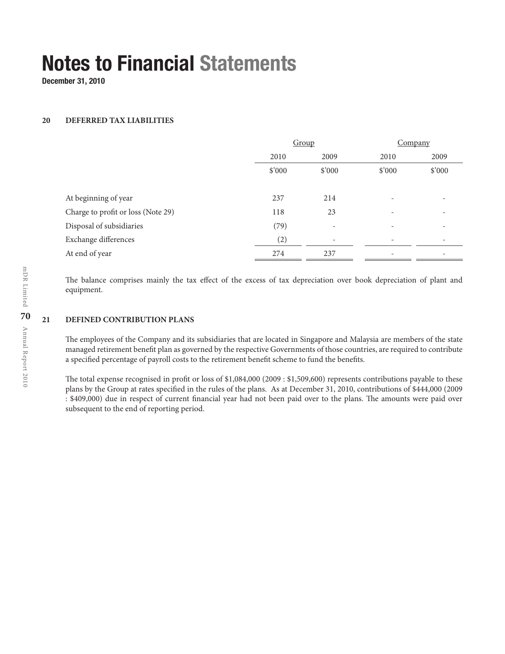**December 31, 2010**

## **20 DEFERRED TAX LIABILITIES**

|                                    | Group           |                          | Company         |                 |
|------------------------------------|-----------------|--------------------------|-----------------|-----------------|
|                                    | 2010<br>2009    | 2010                     | 2009            |                 |
|                                    | $$^{\prime}000$ | $$^{\prime}000$          | $$^{\prime}000$ | $$^{\prime}000$ |
|                                    |                 |                          |                 |                 |
| At beginning of year               | 237             | 214                      |                 |                 |
| Charge to profit or loss (Note 29) | 118             | 23                       |                 |                 |
| Disposal of subsidiaries           | (79)            | $\overline{\phantom{a}}$ | -               |                 |
| Exchange differences               | (2)             | $\overline{\phantom{0}}$ |                 |                 |
| At end of year                     | 274             | 237                      |                 |                 |

The balance comprises mainly the tax effect of the excess of tax depreciation over book depreciation of plant and equipment.

# **21 DEFINED CONTRIBUTION PLANS**

The employees of the Company and its subsidiaries that are located in Singapore and Malaysia are members of the state managed retirement benefit plan as governed by the respective Governments of those countries, are required to contribute a specified percentage of payroll costs to the retirement benefit scheme to fund the benefits.

The total expense recognised in profit or loss of  $$1,084,000$  (2009:  $$1,509,600$ ) represents contributions payable to these plans by the Group at rates specified in the rules of the plans. As at December 31, 2010, contributions of \$444,000 (2009) : \$409,000) due in respect of current financial year had not been paid over to the plans. The amounts were paid over subsequent to the end of reporting period.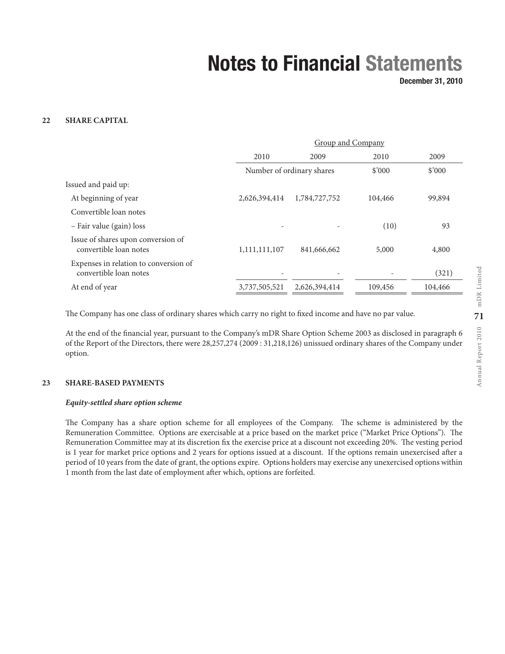**December 31, 2010**

### **22 SHARE CAPITAL**

|                                                                 | Group and Company |                           |                 |                 |  |
|-----------------------------------------------------------------|-------------------|---------------------------|-----------------|-----------------|--|
|                                                                 | 2010              | 2009                      | 2010            | 2009            |  |
|                                                                 |                   | Number of ordinary shares | $$^{\prime}000$ | $$^{\prime}000$ |  |
| Issued and paid up:                                             |                   |                           |                 |                 |  |
| At beginning of year                                            | 2,626,394,414     | 1,784,727,752             | 104,466         | 99,894          |  |
| Convertible loan notes                                          |                   |                           |                 |                 |  |
| - Fair value (gain) loss                                        |                   |                           | (10)            | 93              |  |
| Issue of shares upon conversion of<br>convertible loan notes    | 1,111,111,107     | 841,666,662               | 5,000           | 4,800           |  |
| Expenses in relation to conversion of<br>convertible loan notes |                   |                           |                 | (321)           |  |
| At end of year                                                  | 3,737,505,521     | 2,626,394,414             | 109,456         | 104,466         |  |
|                                                                 |                   |                           |                 |                 |  |

The Company has one class of ordinary shares which carry no right to fixed income and have no par value.

At the end of the financial year, pursuant to the Company's mDR Share Option Scheme 2003 as disclosed in paragraph 6 of the Report of the Directors, there were 28,257,274 (2009 : 31,218,126) unissued ordinary shares of the Company under option.

### **23 SHARE-BASED PAYMENTS**

#### *Equity-settled share option scheme*

The Company has a share option scheme for all employees of the Company. The scheme is administered by the Remuneration Committee. Options are exercisable at a price based on the market price ("Market Price Options"). The Remuneration Committee may at its discretion fix the exercise price at a discount not exceeding 20%. The vesting period is 1 year for market price options and 2 years for options issued at a discount. If the options remain unexercised after a period of 10 years from the date of grant, the options expire. Options holders may exercise any unexercised options within 1 month from the last date of employment after which, options are forfeited.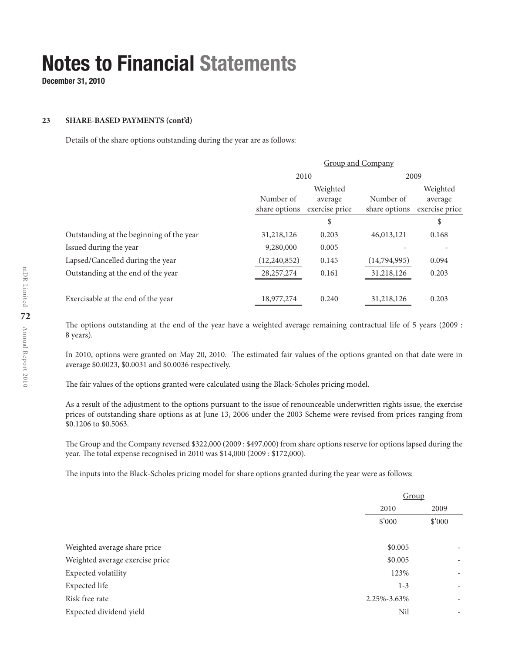**December 31, 2010**

### **23 SHARE-BASED PAYMENTS (cont'd)**

Details of the share options outstanding during the year are as follows:

|                                          | <b>Group and Company</b>                                            |       |                            |                                       |  |  |
|------------------------------------------|---------------------------------------------------------------------|-------|----------------------------|---------------------------------------|--|--|
|                                          | 2010                                                                |       | 2009                       |                                       |  |  |
|                                          | Weighted<br>Number of<br>average<br>exercise price<br>share options |       | Number of<br>share options | Weighted<br>average<br>exercise price |  |  |
|                                          |                                                                     | \$    |                            | \$                                    |  |  |
| Outstanding at the beginning of the year | 31,218,126                                                          | 0.203 | 46,013,121                 | 0.168                                 |  |  |
| Issued during the year                   | 9,280,000                                                           | 0.005 |                            |                                       |  |  |
| Lapsed/Cancelled during the year         | (12, 240, 852)                                                      | 0.145 | (14,794,995)               | 0.094                                 |  |  |
| Outstanding at the end of the year       | 28, 257, 274                                                        | 0.161 | 31,218,126                 | 0.203                                 |  |  |
| Exercisable at the end of the year       | 18,977,274                                                          | 0.240 | 31,218,126                 | 0.203                                 |  |  |

The options outstanding at the end of the year have a weighted average remaining contractual life of 5 years (2009 : 8 years).

In 2010, options were granted on May 20, 2010. The estimated fair values of the options granted on that date were in average \$0.0023, \$0.0031 and \$0.0036 respectively.

The fair values of the options granted were calculated using the Black-Scholes pricing model.

As a result of the adjustment to the options pursuant to the issue of renounceable underwritten rights issue, the exercise prices of outstanding share options as at June 13, 2006 under the 2003 Scheme were revised from prices ranging from \$0.1206 to \$0.5063.

The Group and the Company reversed \$322,000 (2009: \$497,000) from share options reserve for options lapsed during the year. The total expense recognised in 2010 was \$14,000 (2009: \$172,000).

The inputs into the Black-Scholes pricing model for share options granted during the year were as follows:

|                                 | Group           |                          |
|---------------------------------|-----------------|--------------------------|
|                                 | 2010            | 2009                     |
|                                 | $$^{\prime}000$ | $$^{\prime}000$          |
|                                 |                 |                          |
| Weighted average share price    | \$0.005         |                          |
| Weighted average exercise price | \$0.005         | $\overline{\phantom{a}}$ |
| Expected volatility             | 123%            | -                        |
| Expected life                   | $1 - 3$         | -                        |
| Risk free rate                  | 2.25%-3.63%     | $\overline{\phantom{a}}$ |
| Expected dividend yield         | Nil             | $\overline{\phantom{a}}$ |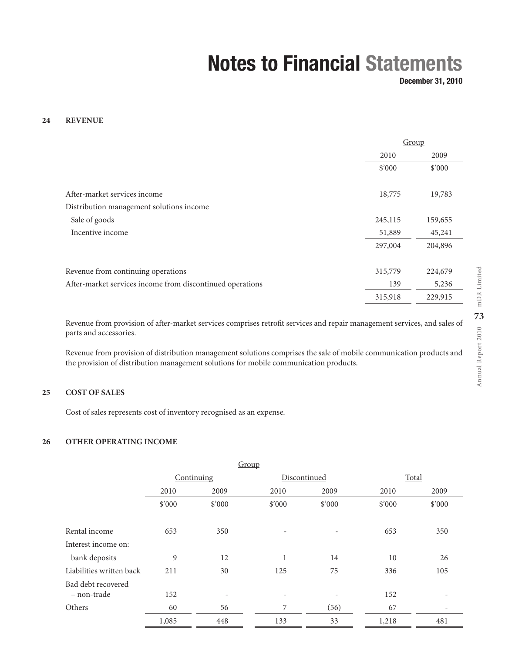**December 31, 2010**

### **24 REVENUE**

|                                                           | Group           |                 |  |
|-----------------------------------------------------------|-----------------|-----------------|--|
|                                                           | 2010            | 2009            |  |
|                                                           | $$^{\prime}000$ | $$^{\prime}000$ |  |
| After-market services income                              | 18,775          | 19,783          |  |
| Distribution management solutions income                  |                 |                 |  |
| Sale of goods                                             | 245,115         | 159,655         |  |
| Incentive income                                          | 51,889          | 45,241          |  |
|                                                           | 297,004         | 204,896         |  |
|                                                           |                 |                 |  |
| Revenue from continuing operations                        | 315,779         | 224,679         |  |
| After-market services income from discontinued operations | 139             | 5,236           |  |
|                                                           | 315,918         | 229,915         |  |

Revenue from provision of after-market services comprises retrofit services and repair management services, and sales of parts and accessories.

Revenue from provision of distribution management solutions comprises the sale of mobile communication products and the provision of distribution management solutions for mobile communication products.

### **25 COST OF SALES**

Cost of sales represents cost of inventory recognised as an expense.

### **26 OTHER OPERATING INCOME**

|                 |                 | Discontinued    |                 | Total           |                 |
|-----------------|-----------------|-----------------|-----------------|-----------------|-----------------|
| 2010            | 2009            | 2010            | 2009            | 2010            | 2009            |
| $$^{\prime}000$ | $$^{\prime}000$ | $$^{\prime}000$ | $$^{\prime}000$ | $$^{\prime}000$ | $$^{\prime}000$ |
|                 |                 |                 |                 |                 |                 |
| 653             | 350             | ۰               |                 | 653             | 350             |
|                 |                 |                 |                 |                 |                 |
| 9               | 12              | 1               | 14              | 10              | 26              |
| 211             | 30              | 125             | 75              | 336             | 105             |
|                 |                 |                 |                 |                 |                 |
| 152             | -               | -               | ٠               | 152             |                 |
| 60              | 56              | 7               | (56)            | 67              | -               |
| 1,085           | 448             | 133             | 33              | 1,218           | 481             |
|                 |                 | Continuing      | Group           |                 |                 |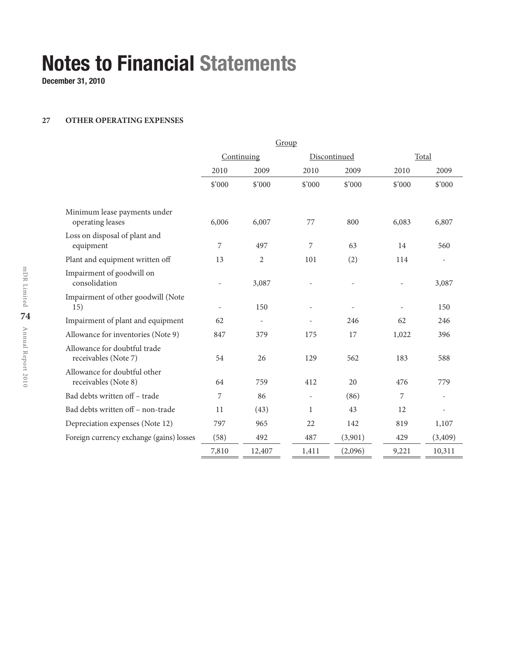**December 31, 2010**

### **27 OTHER OPERATING EXPENSES**

|                                                      | Group           |                          |                 |                 |                 |                          |
|------------------------------------------------------|-----------------|--------------------------|-----------------|-----------------|-----------------|--------------------------|
|                                                      | Continuing      |                          |                 | Discontinued    |                 | Total                    |
|                                                      | 2010            | 2009                     | 2010            | 2009            | 2010            | 2009                     |
|                                                      | $$^{\prime}000$ | $$^{\prime}000$          | $$^{\prime}000$ | $$^{\prime}000$ | $$^{\prime}000$ | \$'000                   |
|                                                      |                 |                          |                 |                 |                 |                          |
| Minimum lease payments under<br>operating leases     | 6,006           | 6,007                    | 77              | 800             | 6,083           | 6,807                    |
| Loss on disposal of plant and<br>equipment           | 7               | 497                      | 7               | 63              | 14              | 560                      |
| Plant and equipment written off                      | 13              | $\overline{c}$           | 101             | (2)             | 114             |                          |
| Impairment of goodwill on<br>consolidation           |                 | 3,087                    |                 |                 |                 | 3,087                    |
| Impairment of other goodwill (Note<br>15)            |                 | 150                      |                 |                 |                 | 150                      |
| Impairment of plant and equipment                    | 62              | $\overline{\phantom{a}}$ |                 | 246             | 62              | 246                      |
| Allowance for inventories (Note 9)                   | 847             | 379                      | 175             | 17              | 1,022           | 396                      |
| Allowance for doubtful trade<br>receivables (Note 7) | 54              | 26                       | 129             | 562             | 183             | 588                      |
| Allowance for doubtful other<br>receivables (Note 8) | 64              | 759                      | 412             | 20              | 476             | 779                      |
| Bad debts written off - trade                        | 7               | 86                       |                 | (86)            | 7               | $\overline{\phantom{a}}$ |
| Bad debts written off - non-trade                    | 11              | (43)                     | 1               | 43              | 12              |                          |
| Depreciation expenses (Note 12)                      | 797             | 965                      | 22              | 142             | 819             | 1,107                    |
| Foreign currency exchange (gains) losses             | (58)            | 492                      | 487             | (3,901)         | 429             | (3,409)                  |
|                                                      | 7,810           | 12,407                   | 1,411           | (2,096)         | 9,221           | 10,311                   |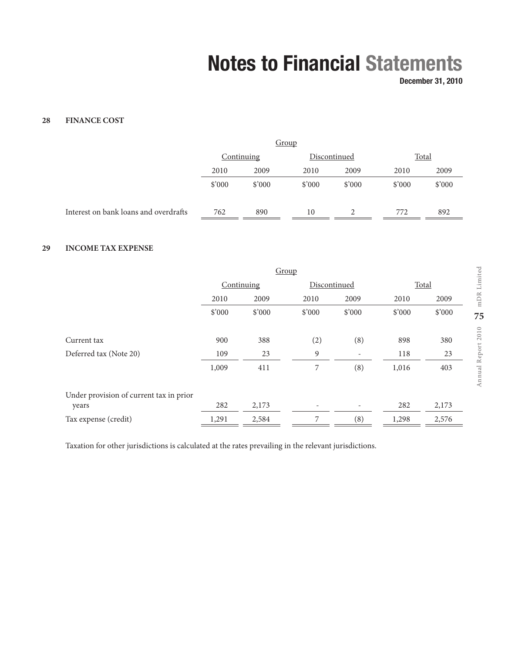**December 31, 2010**

### **28 FINANCE COST**

|                                       | Group                      |                 |        |                 |                 |                 |
|---------------------------------------|----------------------------|-----------------|--------|-----------------|-----------------|-----------------|
|                                       | Continuing<br>Discontinued |                 |        | Total           |                 |                 |
|                                       | 2010                       | 2009            | 2010   | 2009            | 2010            | 2009            |
|                                       | $$^{\prime}000$            | $$^{\prime}000$ | \$3000 | $$^{\prime}000$ | $$^{\prime}000$ | $$^{\prime}000$ |
| Interest on bank loans and overdrafts | 762                        | 890             | 10     |                 | 772             | 892             |

### **29 INCOME TAX EXPENSE**

|                                         | Group           |                 |                 |                 |                 |                 |
|-----------------------------------------|-----------------|-----------------|-----------------|-----------------|-----------------|-----------------|
|                                         |                 | Continuing      | Discontinued    |                 | Total           |                 |
|                                         | 2010            | 2009            | 2010            | 2009            | 2010            | 2009            |
|                                         | $$^{\prime}000$ | $$^{\prime}000$ | $$^{\prime}000$ | $$^{\prime}000$ | $$^{\prime}000$ | $$^{\prime}000$ |
| Current tax                             | 900             | 388             | (2)             | (8)             | 898             | 380             |
| Deferred tax (Note 20)                  | 109             | 23              | 9               | ٠               | 118             | 23              |
|                                         | 1,009           | 411             | 7               | (8)             | 1,016           | 403             |
| Under provision of current tax in prior |                 |                 |                 |                 |                 |                 |
| years                                   | 282             | 2,173           |                 |                 | 282             | 2,173           |
| Tax expense (credit)                    | 1,291           | 2,584           | 7               | (8)             | 1,298           | 2,576           |

Taxation for other jurisdictions is calculated at the rates prevailing in the relevant jurisdictions.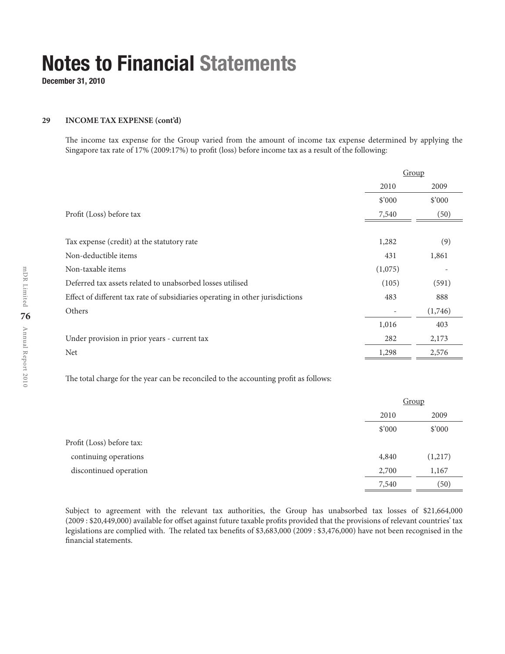**December 31, 2010**

### **29 INCOME TAX EXPENSE (cont'd)**

The income tax expense for the Group varied from the amount of income tax expense determined by applying the Singapore tax rate of 17% (2009:17%) to profit (loss) before income tax as a result of the following:

|                                                                               |                 | Group           |
|-------------------------------------------------------------------------------|-----------------|-----------------|
|                                                                               | 2010            | 2009            |
|                                                                               | $$^{\prime}000$ | $$^{\prime}000$ |
| Profit (Loss) before tax                                                      | 7,540           | (50)            |
|                                                                               |                 |                 |
| Tax expense (credit) at the statutory rate                                    | 1,282           | (9)             |
| Non-deductible items                                                          | 431             | 1,861           |
| Non-taxable items                                                             | (1,075)         |                 |
| Deferred tax assets related to unabsorbed losses utilised                     | (105)           | (591)           |
| Effect of different tax rate of subsidiaries operating in other jurisdictions | 483             | 888             |
| Others                                                                        |                 | (1,746)         |
|                                                                               | 1,016           | 403             |
| Under provision in prior years - current tax                                  | 282             | 2,173           |
| <b>Net</b>                                                                    | 1,298           | 2,576           |

The total charge for the year can be reconciled to the accounting profit as follows:

|                           |                 | Group           |  |  |
|---------------------------|-----------------|-----------------|--|--|
|                           | 2010            | 2009            |  |  |
|                           | $$^{\prime}000$ | $$^{\prime}000$ |  |  |
| Profit (Loss) before tax: |                 |                 |  |  |
| continuing operations     | 4,840           | (1,217)         |  |  |
| discontinued operation    | 2,700           | 1,167           |  |  |
|                           | 7,540           | (50)            |  |  |

Subject to agreement with the relevant tax authorities, the Group has unabsorbed tax losses of \$21,664,000 (2009: \$20,449,000) available for offset against future taxable profits provided that the provisions of relevant countries' tax legislations are complied with. The related tax benefits of \$3,683,000 (2009: \$3,476,000) have not been recognised in the financial statements.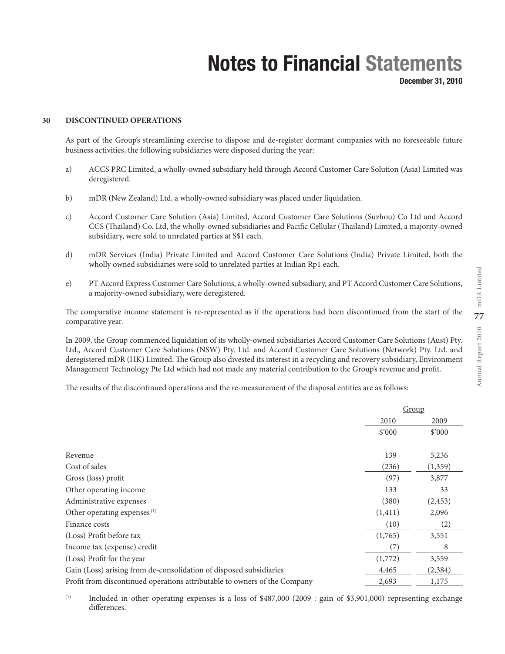**December 31, 2010**

### **30 DISCONTINUED OPERATIONS**

As part of the Group's streamlining exercise to dispose and de-register dormant companies with no foreseeable future business activities, the following subsidiaries were disposed during the year:

- a) ACCS PRC Limited, a wholly-owned subsidiary held through Accord Customer Care Solution (Asia) Limited was deregistered.
- b) mDR (New Zealand) Ltd, a wholly-owned subsidiary was placed under liquidation.
- c) Accord Customer Care Solution (Asia) Limited, Accord Customer Care Solutions (Suzhou) Co Ltd and Accord CCS (Thailand) Co. Ltd, the wholly-owned subsidiaries and Pacific Cellular (Thailand) Limited, a majority-owned subsidiary, were sold to unrelated parties at S\$1 each.
- d) mDR Services (India) Private Limited and Accord Customer Care Solutions (India) Private Limited, both the wholly owned subsidiaries were sold to unrelated parties at Indian Rp1 each.
- e) PT Accord Express Customer Care Solutions, a wholly-owned subsidiary, and PT Accord Customer Care Solutions, a majority-owned subsidiary, were deregistered.

The comparative income statement is re-represented as if the operations had been discontinued from the start of the comparative year.

In 2009, the Group commenced liquidation of its wholly-owned subsidiaries Accord Customer Care Solutions (Aust) Pty. Ltd., Accord Customer Care Solutions (NSW) Pty. Ltd. and Accord Customer Care Solutions (Network) Pty. Ltd. and deregistered mDR (HK) Limited. The Group also divested its interest in a recycling and recovery subsidiary, Environment Management Technology Pte Ltd which had not made any material contribution to the Group's revenue and profit.

The results of the discontinued operations and the re-measurement of the disposal entities are as follows:

|                                                                           | Group           |                 |
|---------------------------------------------------------------------------|-----------------|-----------------|
|                                                                           | 2010            | 2009            |
|                                                                           | $$^{\prime}000$ | $$^{\prime}000$ |
| Revenue                                                                   | 139             | 5,236           |
| Cost of sales                                                             | (236)           | (1, 359)        |
| Gross (loss) profit                                                       | (97)            | 3,877           |
| Other operating income                                                    | 133             | 33              |
| Administrative expenses                                                   | (380)           | (2, 453)        |
| Other operating expenses <sup>(1)</sup>                                   | (1, 411)        | 2,096           |
| Finance costs                                                             | (10)            | (2)             |
| (Loss) Profit before tax                                                  | (1,765)         | 3,551           |
| Income tax (expense) credit                                               | (7)             | 8               |
| (Loss) Profit for the year                                                | (1,772)         | 3,559           |
| Gain (Loss) arising from de-consolidation of disposed subsidiaries        | 4,465           | (2, 384)        |
| Profit from discontinued operations attributable to owners of the Company | 2,693           | 1,175           |
|                                                                           |                 |                 |

(1) Included in other operating expenses is a loss of \$487,000 (2009 : gain of \$3,901,000) representing exchange differences.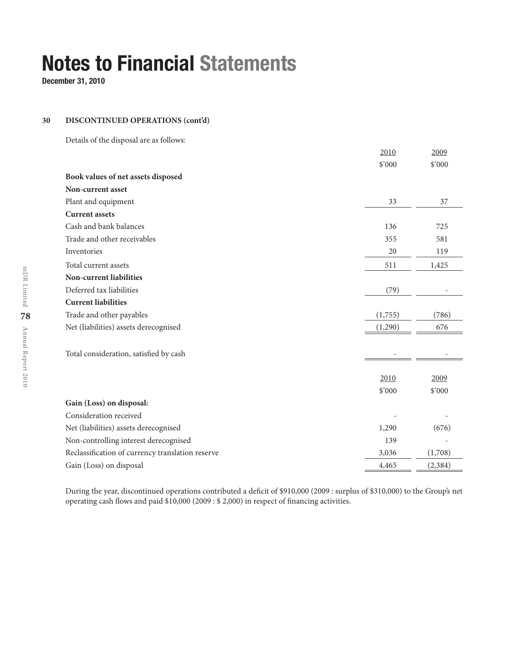**December 31, 2010**

### **30 DISCONTINUED OPERATIONS (cont'd)**

Details of the disposal are as follows:

|                                                  | 2010            | 2009            |
|--------------------------------------------------|-----------------|-----------------|
|                                                  | $$^{\prime}000$ | \$'000          |
| Book values of net assets disposed               |                 |                 |
| <b>Non-current asset</b>                         |                 |                 |
| Plant and equipment                              | 33              | 37              |
| <b>Current assets</b>                            |                 |                 |
| Cash and bank balances                           | 136             | 725             |
| Trade and other receivables                      | 355             | 581             |
| Inventories                                      | 20              | 119             |
| Total current assets                             | 511             | 1,425           |
| Non-current liabilities                          |                 |                 |
| Deferred tax liabilities                         | (79)            |                 |
| <b>Current liabilities</b>                       |                 |                 |
| Trade and other payables                         | (1,755)         | (786)           |
| Net (liabilities) assets derecognised            | (1,290)         | 676             |
|                                                  |                 |                 |
| Total consideration, satisfied by cash           |                 |                 |
|                                                  |                 |                 |
|                                                  | 2010            | 2009            |
|                                                  | $$^{\prime}000$ | $$^{\prime}000$ |
| Gain (Loss) on disposal:                         |                 |                 |
| Consideration received                           |                 |                 |
| Net (liabilities) assets derecognised            | 1,290           | (676)           |
| Non-controlling interest derecognised            | 139             |                 |
| Reclassification of currency translation reserve | 3,036           | (1,708)         |
| Gain (Loss) on disposal                          | 4,465           | (2, 384)        |

During the year, discontinued operations contributed a deficit of \$910,000 (2009 : surplus of \$310,000) to the Group's net operating cash flows and paid \$10,000 (2009: \$2,000) in respect of financing activities.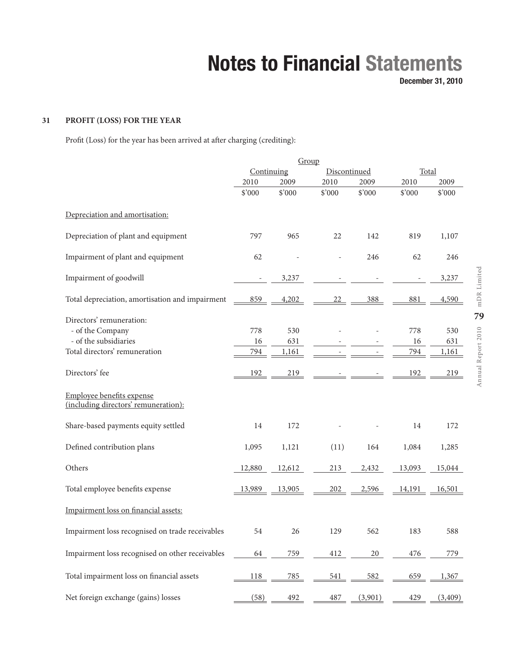**December 31, 2010**

### **31 PROFIT (LOSS) FOR THE YEAR**

Profit (Loss) for the year has been arrived at after charging (crediting):

|                                                                   | Group                      |                 |                          |            |                          |                 |
|-------------------------------------------------------------------|----------------------------|-----------------|--------------------------|------------|--------------------------|-----------------|
|                                                                   | Continuing<br>Discontinued |                 |                          | Total      |                          |                 |
|                                                                   | 2010                       | 2009            | 2010                     | 2009       | 2010                     | 2009            |
|                                                                   | $$^{\prime}000$            | $$^{\prime}000$ | $$^{\prime}000$          | \$'000     | \$'000                   | $$^{\prime}000$ |
| Depreciation and amortisation:                                    |                            |                 |                          |            |                          |                 |
| Depreciation of plant and equipment                               | 797                        | 965             | 22                       | 142        | 819                      | 1,107           |
| Impairment of plant and equipment                                 | 62                         |                 | $\overline{\phantom{a}}$ | 246        | 62                       | 246             |
| Impairment of goodwill                                            |                            | 3,237           |                          |            | $\overline{\phantom{a}}$ | 3,237           |
| Total depreciation, amortisation and impairment                   | 859                        | 4,202           | 22                       | 388        | 881                      | 4,590           |
| Directors' remuneration:                                          |                            |                 |                          |            |                          |                 |
| - of the Company                                                  | 778                        | 530             |                          |            | 778                      | 530             |
| - of the subsidiaries                                             | 16                         | 631             |                          |            | 16                       | 631             |
| Total directors' remuneration                                     | 794                        | 1,161           |                          |            | 794                      | 1,161           |
| Directors' fee                                                    | 192                        | 219             |                          |            | <u>192</u>               | <u>219</u>      |
| Employee benefits expense<br>(including directors' remuneration): |                            |                 |                          |            |                          |                 |
| Share-based payments equity settled                               | 14                         | 172             |                          |            | 14                       | 172             |
| Defined contribution plans                                        | 1,095                      | 1,121           | (11)                     | 164        | 1,084                    | 1,285           |
| Others                                                            | 12,880                     | 12,612          | 213                      | 2,432      | 13,093                   | 15,044          |
| Total employee benefits expense                                   | 13,989                     | 13,905          | 202                      | 2,596      | 14,191                   | 16,501          |
| Impairment loss on financial assets:                              |                            |                 |                          |            |                          |                 |
| Impairment loss recognised on trade receivables                   | 54                         | 26              | 129                      | 562        | 183                      | 588             |
| Impairment loss recognised on other receivables                   | 64                         | 759             | 412                      | $20\,$     | 476                      | 779             |
| Total impairment loss on financial assets                         | <u> 118 </u>               | <u>785 </u>     | 541                      | <u>582</u> | <u>659</u>               | 1,367           |
| Net foreign exchange (gains) losses                               | (58)                       | 492             | 487                      | (3,901)    | 429                      | (3,409)         |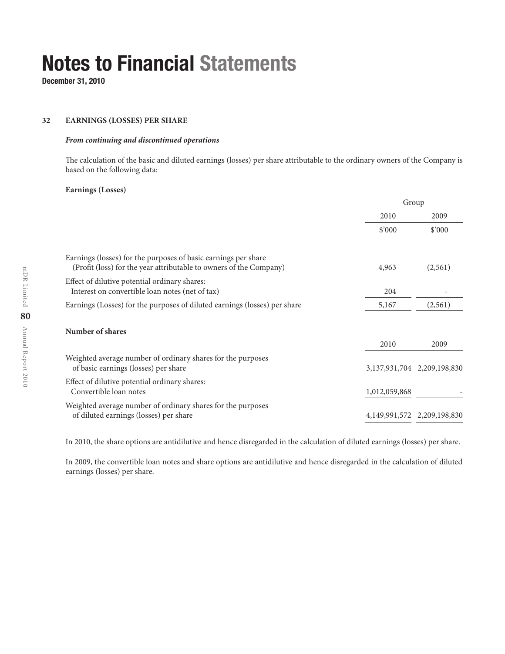**December 31, 2010**

### **32 EARNINGS (LOSSES) PER SHARE**

### *From continuing and discontinued operations*

The calculation of the basic and diluted earnings (losses) per share attributable to the ordinary owners of the Company is based on the following data:

### **Earnings (Losses)**

|                                                                                                                                      | Group         |                             |  |
|--------------------------------------------------------------------------------------------------------------------------------------|---------------|-----------------------------|--|
|                                                                                                                                      | 2010          | 2009                        |  |
|                                                                                                                                      | \$3000        | $$^{\prime}000$             |  |
| Earnings (losses) for the purposes of basic earnings per share<br>(Profit (loss) for the year attributable to owners of the Company) | 4,963         | (2,561)                     |  |
| Effect of dilutive potential ordinary shares:<br>Interest on convertible loan notes (net of tax)                                     | 204           |                             |  |
| Earnings (Losses) for the purposes of diluted earnings (losses) per share                                                            | 5,167         | (2,561)                     |  |
| Number of shares                                                                                                                     |               |                             |  |
|                                                                                                                                      | 2010          | 2009                        |  |
| Weighted average number of ordinary shares for the purposes<br>of basic earnings (losses) per share                                  |               | 3,137,931,704 2,209,198,830 |  |
| Effect of dilutive potential ordinary shares:<br>Convertible loan notes                                                              | 1,012,059,868 |                             |  |
| Weighted average number of ordinary shares for the purposes<br>of diluted earnings (losses) per share                                |               | 4,149,991,572 2,209,198,830 |  |

In 2010, the share options are antidilutive and hence disregarded in the calculation of diluted earnings (losses) per share.

In 2009, the convertible loan notes and share options are antidilutive and hence disregarded in the calculation of diluted earnings (losses) per share.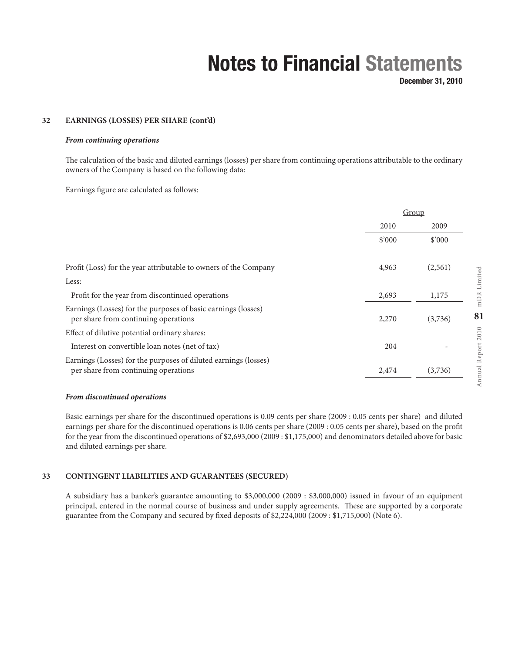**December 31, 2010**

### **32 EARNINGS (LOSSES) PER SHARE (cont'd)**

#### *From continuing operations*

The calculation of the basic and diluted earnings (losses) per share from continuing operations attributable to the ordinary owners of the Company is based on the following data:

Earnings figure are calculated as follows:

|                                                                                                         | Group  |                 |
|---------------------------------------------------------------------------------------------------------|--------|-----------------|
|                                                                                                         | 2010   | 2009            |
|                                                                                                         | \$3000 | $$^{\prime}000$ |
| Profit (Loss) for the year attributable to owners of the Company                                        | 4,963  | (2,561)         |
| Less:                                                                                                   |        |                 |
| Profit for the year from discontinued operations                                                        | 2,693  | 1,175           |
| Earnings (Losses) for the purposes of basic earnings (losses)<br>per share from continuing operations   | 2,270  | (3,736)         |
| Effect of dilutive potential ordinary shares:                                                           |        |                 |
| Interest on convertible loan notes (net of tax)                                                         | 204    |                 |
| Earnings (Losses) for the purposes of diluted earnings (losses)<br>per share from continuing operations | 2,474  | (3,736)         |

#### *From discontinued operations*

Basic earnings per share for the discontinued operations is 0.09 cents per share (2009 : 0.05 cents per share) and diluted earnings per share for the discontinued operations is 0.06 cents per share (2009 : 0.05 cents per share), based on the profit for the year from the discontinued operations of \$2,693,000 (2009 : \$1,175,000) and denominators detailed above for basic and diluted earnings per share.

### **33 CONTINGENT LIABILITIES AND GUARANTEES (SECURED)**

A subsidiary has a banker's guarantee amounting to \$3,000,000 (2009 : \$3,000,000) issued in favour of an equipment principal, entered in the normal course of business and under supply agreements. These are supported by a corporate guarantee from the Company and secured by fixed deposits of \$2,224,000 (2009 : \$1,715,000) (Note 6).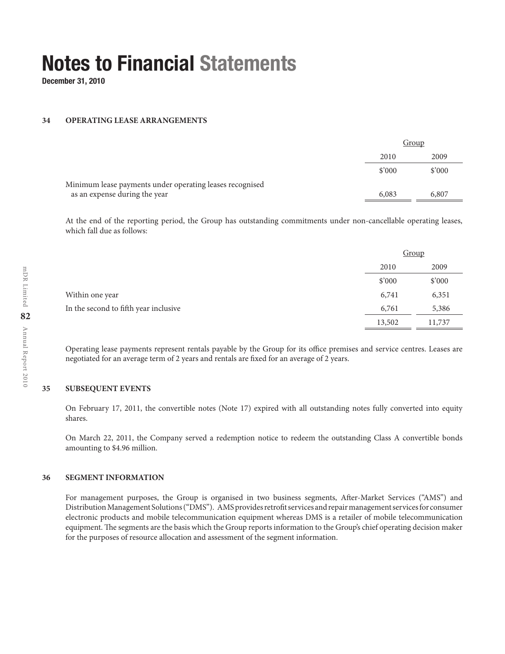**December 31, 2010**

### **34 OPERATING LEASE ARRANGEMENTS**

|                                                          | Group           |                 |
|----------------------------------------------------------|-----------------|-----------------|
|                                                          | 2010            | 2009            |
|                                                          | $$^{\prime}000$ | $$^{\prime}000$ |
| Minimum lease payments under operating leases recognised |                 |                 |
| as an expense during the year                            | 6,083           | 6,807           |

At the end of the reporting period, the Group has outstanding commitments under non-cancellable operating leases, which fall due as follows:

|                                       | Group           |                 |  |
|---------------------------------------|-----------------|-----------------|--|
|                                       | 2010            | 2009            |  |
|                                       | $$^{\prime}000$ | $$^{\prime}000$ |  |
| Within one year                       | 6,741           | 6,351           |  |
| In the second to fifth year inclusive | 6,761           | 5,386           |  |
|                                       | 13,502          | 11,737          |  |
|                                       |                 |                 |  |

Operating lease payments represent rentals payable by the Group for its office premises and service centres. Leases are negotiated for an average term of 2 years and rentals are fixed for an average of 2 years.

#### **35 SUBSEQUENT EVENTS**

On February 17, 2011, the convertible notes (Note 17) expired with all outstanding notes fully converted into equity shares.

On March 22, 2011, the Company served a redemption notice to redeem the outstanding Class A convertible bonds amounting to \$4.96 million.

### **36 SEGMENT INFORMATION**

For management purposes, the Group is organised in two business segments, After-Market Services ("AMS") and Distribution Management Solutions ("DMS"). AMS provides retrofi t services and repair management services for consumer electronic products and mobile telecommunication equipment whereas DMS is a retailer of mobile telecommunication equipment. The segments are the basis which the Group reports information to the Group's chief operating decision maker for the purposes of resource allocation and assessment of the segment information.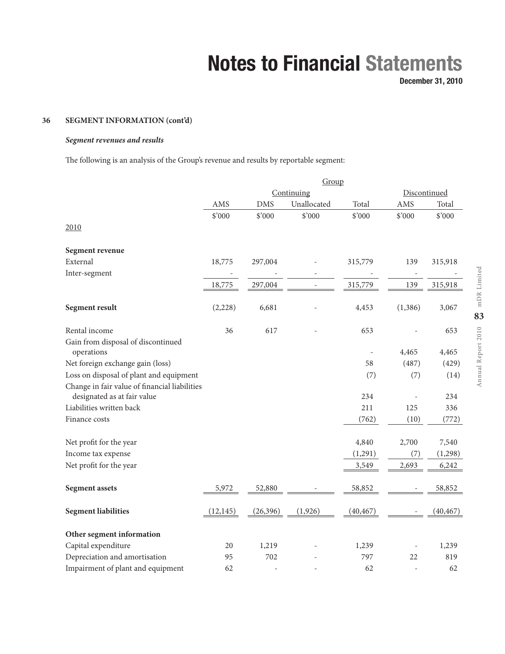**December 31, 2010**

### **36 SEGMENT INFORMATION (cont'd)**

### *Segment revenues and results*

The following is an analysis of the Group's revenue and results by reportable segment:

|                                                                              | Group           |            |                 |                 |                 |           |
|------------------------------------------------------------------------------|-----------------|------------|-----------------|-----------------|-----------------|-----------|
|                                                                              |                 | Continuing |                 |                 | Discontinued    |           |
|                                                                              | AMS             | <b>DMS</b> | Unallocated     | Total           | AMS             | Total     |
|                                                                              | $$^{\prime}000$ | \$'000     | $$^{\prime}000$ | $$^{\prime}000$ | $$^{\prime}000$ | \$'000    |
| 2010                                                                         |                 |            |                 |                 |                 |           |
| Segment revenue                                                              |                 |            |                 |                 |                 |           |
| External                                                                     | 18,775          | 297,004    |                 | 315,779         | 139             | 315,918   |
| Inter-segment                                                                |                 |            |                 |                 |                 |           |
|                                                                              | 18,775          | 297,004    |                 | 315,779         | 139             | 315,918   |
| Segment result                                                               | (2,228)         | 6,681      |                 | 4,453           | (1, 386)        | 3,067     |
| Rental income                                                                | 36              | 617        |                 | 653             |                 | 653       |
| Gain from disposal of discontinued<br>operations                             |                 |            |                 |                 | 4,465           | 4,465     |
| Net foreign exchange gain (loss)                                             |                 |            |                 | 58              | (487)           | (429)     |
| Loss on disposal of plant and equipment                                      |                 |            |                 | (7)             | (7)             | (14)      |
| Change in fair value of financial liabilities<br>designated as at fair value |                 |            |                 | 234             |                 | 234       |
| Liabilities written back                                                     |                 |            |                 | 211             | 125             | 336       |
| Finance costs                                                                |                 |            |                 | (762)           | (10)            | (772)     |
|                                                                              |                 |            |                 |                 |                 |           |
| Net profit for the year                                                      |                 |            |                 | 4,840           | 2,700           | 7,540     |
| Income tax expense                                                           |                 |            |                 | (1,291)         | (7)             | (1, 298)  |
| Net profit for the year                                                      |                 |            |                 | 3,549           | 2,693           | 6,242     |
| <b>Segment assets</b>                                                        | 5,972           | 52,880     |                 | 58,852          |                 | 58,852    |
| <b>Segment liabilities</b>                                                   | (12, 145)       | (26, 396)  | (1, 926)        | (40, 467)       |                 | (40, 467) |
| Other segment information                                                    |                 |            |                 |                 |                 |           |
| Capital expenditure                                                          | 20              | 1,219      |                 | 1,239           |                 | 1,239     |
| Depreciation and amortisation                                                | 95              | 702        |                 | 797             | 22              | 819       |
| Impairment of plant and equipment                                            | 62              |            |                 | 62              |                 | 62        |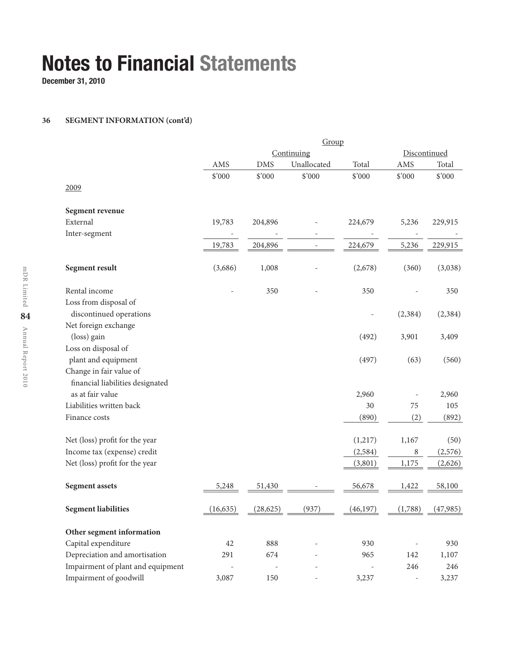**December 31, 2010**

### **36 SEGMENT INFORMATION (cont'd)**

|                                                  | Group     |                 |             |           |                 |          |
|--------------------------------------------------|-----------|-----------------|-------------|-----------|-----------------|----------|
|                                                  |           | Continuing      |             |           | Discontinued    |          |
|                                                  | AMS       | <b>DMS</b>      | Unallocated | Total     | AMS             | Total    |
|                                                  | \$'000    | $$^{\prime}000$ | \$'000      | \$'000    | $$^{\prime}000$ | \$'000   |
| 2009                                             |           |                 |             |           |                 |          |
| Segment revenue                                  |           |                 |             |           |                 |          |
| External                                         | 19,783    | 204,896         |             | 224,679   | 5,236           | 229,915  |
| Inter-segment                                    |           |                 |             |           |                 |          |
|                                                  | 19,783    | 204,896         |             | 224,679   | 5,236           | 229,915  |
| Segment result                                   | (3,686)   | 1,008           |             | (2,678)   | (360)           | (3,038)  |
| Rental income                                    |           | 350             |             | 350       |                 | 350      |
| Loss from disposal of<br>discontinued operations |           |                 |             |           |                 |          |
| Net foreign exchange                             |           |                 |             |           | (2, 384)        | (2, 384) |
| (loss) gain                                      |           |                 |             | (492)     | 3,901           | 3,409    |
| Loss on disposal of                              |           |                 |             |           |                 |          |
| plant and equipment                              |           |                 |             | (497)     | (63)            | (560)    |
| Change in fair value of                          |           |                 |             |           |                 |          |
| financial liabilities designated                 |           |                 |             |           |                 |          |
| as at fair value                                 |           |                 |             | 2,960     |                 | 2,960    |
| Liabilities written back                         |           |                 |             | 30        | 75              | 105      |
| Finance costs                                    |           |                 |             | (890)     | (2)             | (892)    |
| Net (loss) profit for the year                   |           |                 |             | (1,217)   | 1,167           | (50)     |
| Income tax (expense) credit                      |           |                 |             | (2, 584)  | 8               | (2,576)  |
| Net (loss) profit for the year                   |           |                 |             | (3,801)   | 1,175           | (2,626)  |
|                                                  |           |                 |             |           |                 |          |
| <b>Segment assets</b>                            | 5,248     | 51,430          |             | 56,678    | 1,422           | 58,100   |
| <b>Segment liabilities</b>                       | (16, 635) | (28, 625)       | (937)       | (46, 197) | (1,788)         | (47,985) |
| Other segment information                        |           |                 |             |           |                 |          |
| Capital expenditure                              | 42        | 888             |             | 930       |                 | 930      |
| Depreciation and amortisation                    | 291       | 674             |             | 965       | 142             | 1,107    |
| Impairment of plant and equipment                |           |                 |             |           | 246             | 246      |
| Impairment of goodwill                           | 3,087     | 150             |             | 3,237     |                 | 3,237    |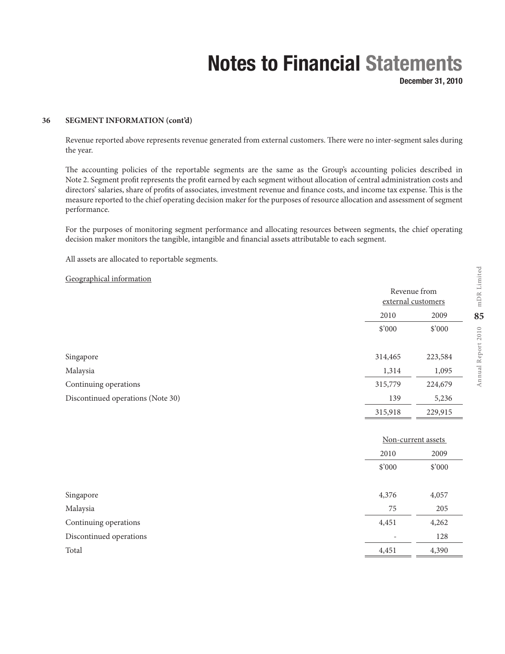**December 31, 2010**

### **36 SEGMENT INFORMATION (cont'd)**

Revenue reported above represents revenue generated from external customers. There were no inter-segment sales during the year.

The accounting policies of the reportable segments are the same as the Group's accounting policies described in Note 2. Segment profit represents the profit earned by each segment without allocation of central administration costs and directors' salaries, share of profits of associates, investment revenue and finance costs, and income tax expense. This is the measure reported to the chief operating decision maker for the purposes of resource allocation and assessment of segment performance.

For the purposes of monitoring segment performance and allocating resources between segments, the chief operating decision maker monitors the tangible, intangible and financial assets attributable to each segment.

All assets are allocated to reportable segments.

#### Geographical information

|                                   |                 | Revenue from<br>external customers |
|-----------------------------------|-----------------|------------------------------------|
|                                   | 2010            | 2009                               |
|                                   | $$^{\prime}000$ | $$^{\circ}000$                     |
| Singapore                         | 314,465         | 223,584                            |
| Malaysia                          | 1,314           | 1,095                              |
| Continuing operations             | 315,779         | 224,679                            |
| Discontinued operations (Note 30) | 139             | 5,236                              |
|                                   | 315,918         | 229,915                            |
|                                   |                 | Non-current assets                 |
|                                   | 2010            | 2009                               |
|                                   | $$^{\prime}000$ | $$^{\prime}000$                    |
| Singapore                         | 4,376           | 4,057                              |
| Malaysia                          | 75              | $205\,$                            |
| Continuing operations             | 4,451           | 4,262                              |
| Discontinued operations           |                 | 128                                |
| Total                             | 4,451           | 4,390                              |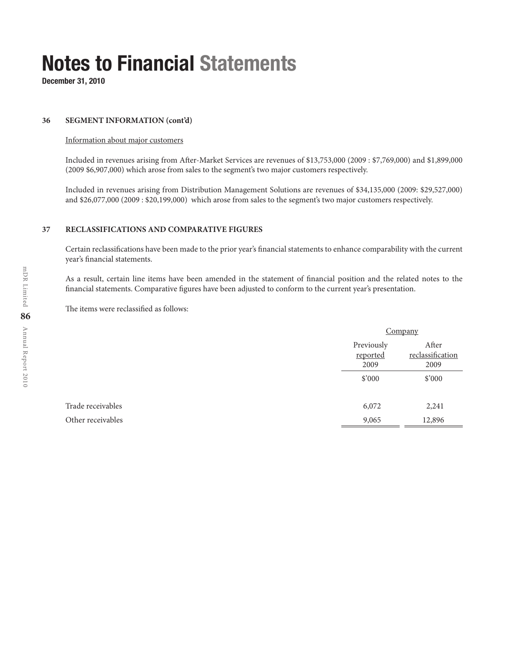**December 31, 2010**

### **36 SEGMENT INFORMATION (cont'd)**

### Information about major customers

Included in revenues arising from After-Market Services are revenues of \$13,753,000 (2009: \$7,769,000) and \$1,899,000 (2009 \$6,907,000) which arose from sales to the segment's two major customers respectively.

Included in revenues arising from Distribution Management Solutions are revenues of \$34,135,000 (2009: \$29,527,000) and \$26,077,000 (2009 : \$20,199,000) which arose from sales to the segment's two major customers respectively.

### **37 RECLASSIFICATIONS AND COMPARATIVE FIGURES**

Certain reclassifications have been made to the prior year's financial statements to enhance comparability with the current year's financial statements.

As a result, certain line items have been amended in the statement of financial position and the related notes to the financial statements. Comparative figures have been adjusted to conform to the current year's presentation.

The items were reclassified as follows:

|                   | Company                        |                                   |  |
|-------------------|--------------------------------|-----------------------------------|--|
|                   | Previously<br>reported<br>2009 | After<br>reclassification<br>2009 |  |
|                   | $$^{\prime}000$                | $$^{\prime}000$                   |  |
| Trade receivables | 6,072                          | 2,241                             |  |
| Other receivables | 9,065                          | 12,896                            |  |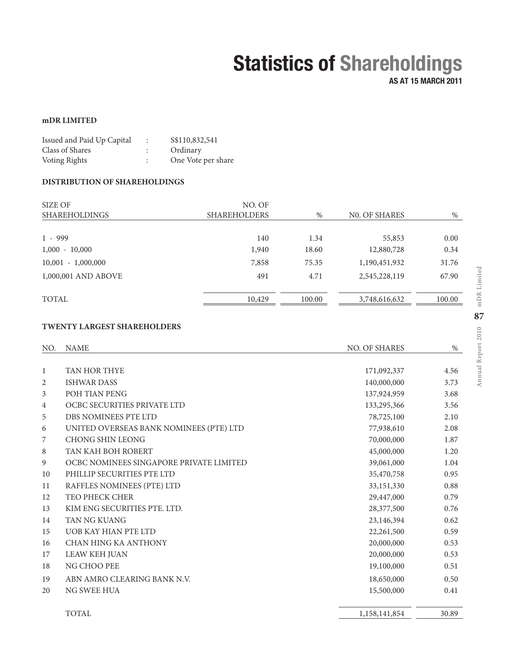# **Statistics of Shareholdings**

**AS AT 15 MARCH 2011**

### **mDR LIMITED**

| Issued and Paid Up Capital | S\$110,832,541     |
|----------------------------|--------------------|
| Class of Shares            | Ordinary           |
| Voting Rights              | One Vote per share |

### **DISTRIBUTION OF SHAREHOLDINGS**

| SIZE OF              | NO. OF              |        |               |        |
|----------------------|---------------------|--------|---------------|--------|
| <b>SHAREHOLDINGS</b> | <b>SHAREHOLDERS</b> | $\%$   | NO. OF SHARES | %      |
|                      |                     |        |               |        |
| $1 - 999$            | 140                 | 1.34   | 55,853        | 0.00   |
| $1,000 - 10,000$     | 1,940               | 18.60  | 12,880,728    | 0.34   |
| $10,001 - 1,000,000$ | 7,858               | 75.35  | 1,190,451,932 | 31.76  |
| 1,000,001 AND ABOVE  | 491                 | 4.71   | 2,545,228,119 | 67.90  |
| <b>TOTAL</b>         | 10,429              | 100.00 | 3,748,616,632 | 100.00 |

### **TWENTY LARGEST SHAREHOLDERS**

| NO. | <b>NAME</b>                             | <b>NO. OF SHARES</b> | $\%$  |
|-----|-----------------------------------------|----------------------|-------|
|     |                                         |                      |       |
| 1   | <b>TAN HOR THYE</b>                     | 171,092,337          | 4.56  |
| 2   | <b>ISHWAR DASS</b>                      | 140,000,000          | 3.73  |
| 3   | POH TIAN PENG                           | 137,924,959          | 3.68  |
| 4   | OCBC SECURITIES PRIVATE LTD             | 133,295,366          | 3.56  |
| 5   | DBS NOMINEES PTE LTD                    | 78,725,100           | 2.10  |
| 6   | UNITED OVERSEAS BANK NOMINEES (PTE) LTD | 77,938,610           | 2.08  |
| 7   | <b>CHONG SHIN LEONG</b>                 | 70,000,000           | 1.87  |
| 8   | TAN KAH BOH ROBERT                      | 45,000,000           | 1.20  |
| 9   | OCBC NOMINEES SINGAPORE PRIVATE LIMITED | 39,061,000           | 1.04  |
| 10  | PHILLIP SECURITIES PTE LTD              | 35,470,758           | 0.95  |
| 11  | RAFFLES NOMINEES (PTE) LTD              | 33,151,330           | 0.88  |
| 12  | TEO PHECK CHER                          | 29,447,000           | 0.79  |
| 13  | KIM ENG SECURITIES PTE. LTD.            | 28,377,500           | 0.76  |
| 14  | <b>TAN NG KUANG</b>                     | 23,146,394           | 0.62  |
| 15  | <b>UOB KAY HIAN PTE LTD</b>             | 22,261,500           | 0.59  |
| 16  | <b>CHAN HING KA ANTHONY</b>             | 20,000,000           | 0.53  |
| 17  | <b>LEAW KEH JUAN</b>                    | 20,000,000           | 0.53  |
| 18  | NG CHOO PEE                             | 19,100,000           | 0.51  |
| 19  | ABN AMRO CLEARING BANK N.V.             | 18,650,000           | 0.50  |
| 20  | NG SWEE HUA                             | 15,500,000           | 0.41  |
|     | <b>TOTAL</b>                            | 1,158,141,854        | 30.89 |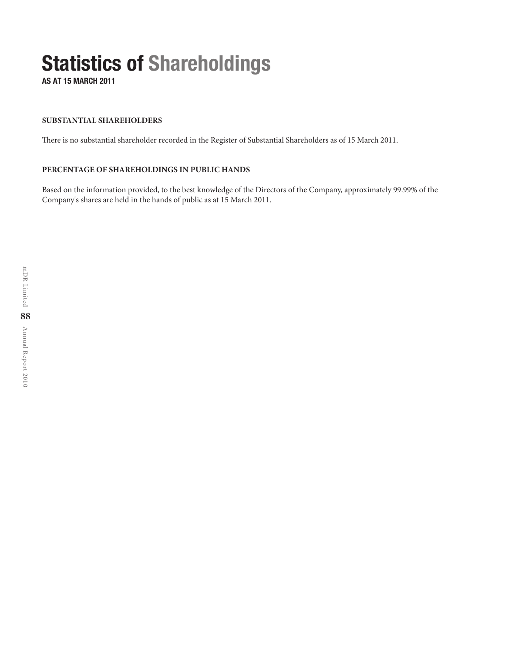# **Statistics of Shareholdings**

**AS AT 15 MARCH 2011**

### **SUBSTANTIAL SHAREHOLDERS**

There is no substantial shareholder recorded in the Register of Substantial Shareholders as of 15 March 2011.

### **PERCENTAGE OF SHAREHOLDINGS IN PUBLIC HANDS**

Based on the information provided, to the best knowledge of the Directors of the Company, approximately 99.99% of the Company's shares are held in the hands of public as at 15 March 2011.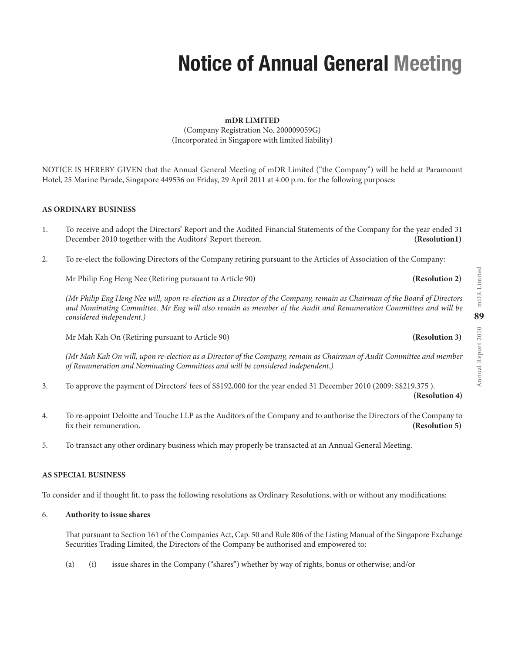### **mDR LIMITED**

(Company Registration No. 200009059G) (Incorporated in Singapore with limited liability)

NOTICE IS HEREBY GIVEN that the Annual General Meeting of mDR Limited ("the Company") will be held at Paramount Hotel, 25 Marine Parade, Singapore 449536 on Friday, 29 April 2011 at 4.00 p.m. for the following purposes:

### **AS ORDINARY BUSINESS**

- 1. To receive and adopt the Directors' Report and the Audited Financial Statements of the Company for the year ended 31 December 2010 together with the Auditors' Report thereon. **(Resolution1)**
- 2. To re-elect the following Directors of the Company retiring pursuant to the Articles of Association of the Company:

Mr Philip Eng Heng Nee (Retiring pursuant to Article 90) **(Resolution 2)**

*(Mr Philip Eng Heng Nee will, upon re-election as a Director of the Company, remain as Chairman of the Board of Directors and Nominating Committee. Mr Eng will also remain as member of the Audit and Remuneration Committees and will be considered independent.)*

Mr Mah Kah On (Retiring pursuant to Article 90) **(Resolution 3)**

*(Mr Mah Kah On will, upon re-election as a Director of the Company, remain as Chairman of Audit Committee and member of Remuneration and Nominating Committees and will be considered independent.)*

3. To approve the payment of Directors' fees of S\$192,000 for the year ended 31 December 2010 (2009: S\$219,375 ).

#### **(Resolution 4)**

- 4. To re-appoint Deloitte and Touche LLP as the Auditors of the Company and to authorise the Directors of the Company to fix their remuneration. **(Resolution 5) (Resolution 5) (Resolution 5)**
- 5. To transact any other ordinary business which may properly be transacted at an Annual General Meeting.

#### **AS SPECIAL BUSINESS**

To consider and if thought fit, to pass the following resolutions as Ordinary Resolutions, with or without any modifications:

#### 6. **Authority to issue shares**

That pursuant to Section 161 of the Companies Act, Cap. 50 and Rule 806 of the Listing Manual of the Singapore Exchange Securities Trading Limited, the Directors of the Company be authorised and empowered to:

(a) (i) issue shares in the Company ("shares") whether by way of rights, bonus or otherwise; and/or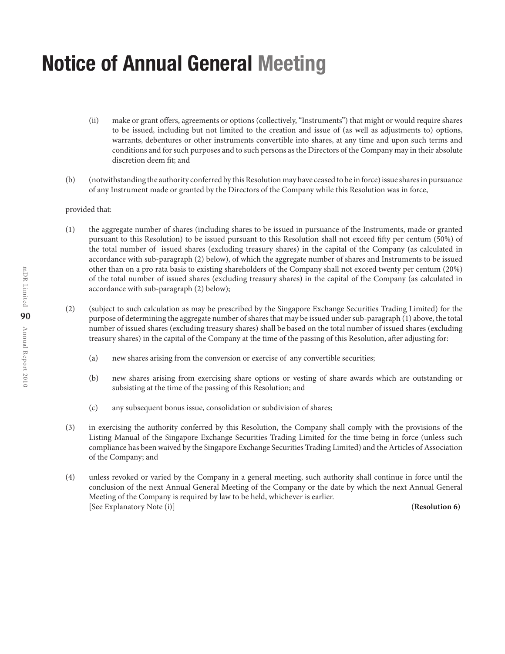- (ii) make or grant offers, agreements or options (collectively, "Instruments") that might or would require shares to be issued, including but not limited to the creation and issue of (as well as adjustments to) options, warrants, debentures or other instruments convertible into shares, at any time and upon such terms and conditions and for such purposes and to such persons as the Directors of the Company may in their absolute discretion deem fit; and
- (b) (notwithstanding the authority conferred by this Resolution may have ceased to be in force) issue shares in pursuance of any Instrument made or granted by the Directors of the Company while this Resolution was in force,

### provided that:

- (1) the aggregate number of shares (including shares to be issued in pursuance of the Instruments, made or granted pursuant to this Resolution) to be issued pursuant to this Resolution shall not exceed fifty per centum (50%) of the total number of issued shares (excluding treasury shares) in the capital of the Company (as calculated in accordance with sub-paragraph (2) below), of which the aggregate number of shares and Instruments to be issued other than on a pro rata basis to existing shareholders of the Company shall not exceed twenty per centum (20%) of the total number of issued shares (excluding treasury shares) in the capital of the Company (as calculated in accordance with sub-paragraph (2) below);
- (2) (subject to such calculation as may be prescribed by the Singapore Exchange Securities Trading Limited) for the purpose of determining the aggregate number of shares that may be issued under sub-paragraph (1) above, the total number of issued shares (excluding treasury shares) shall be based on the total number of issued shares (excluding treasury shares) in the capital of the Company at the time of the passing of this Resolution, after adjusting for:
	- (a) new shares arising from the conversion or exercise of any convertible securities;
	- (b) new shares arising from exercising share options or vesting of share awards which are outstanding or subsisting at the time of the passing of this Resolution; and
	- (c) any subsequent bonus issue, consolidation or subdivision of shares;
- (3) in exercising the authority conferred by this Resolution, the Company shall comply with the provisions of the Listing Manual of the Singapore Exchange Securities Trading Limited for the time being in force (unless such compliance has been waived by the Singapore Exchange Securities Trading Limited) and the Articles of Association of the Company; and
- (4) unless revoked or varied by the Company in a general meeting, such authority shall continue in force until the conclusion of the next Annual General Meeting of the Company or the date by which the next Annual General Meeting of the Company is required by law to be held, whichever is earlier. [See Explanatory Note (i)] **(Resolution 6)**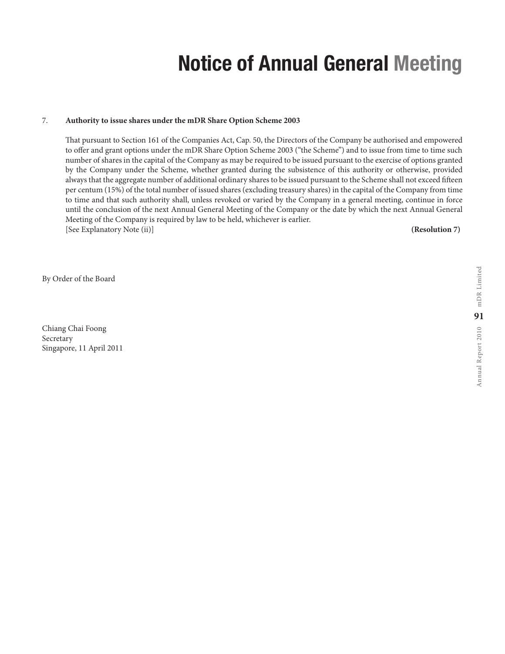### 7. **Authority to issue shares under the mDR Share Option Scheme 2003**

That pursuant to Section 161 of the Companies Act, Cap. 50, the Directors of the Company be authorised and empowered to offer and grant options under the mDR Share Option Scheme 2003 ("the Scheme") and to issue from time to time such number of shares in the capital of the Company as may be required to be issued pursuant to the exercise of options granted by the Company under the Scheme, whether granted during the subsistence of this authority or otherwise, provided always that the aggregate number of additional ordinary shares to be issued pursuant to the Scheme shall not exceed fifteen per centum (15%) of the total number of issued shares (excluding treasury shares) in the capital of the Company from time to time and that such authority shall, unless revoked or varied by the Company in a general meeting, continue in force until the conclusion of the next Annual General Meeting of the Company or the date by which the next Annual General Meeting of the Company is required by law to be held, whichever is earlier. [See Explanatory Note (ii)] **(Resolution 7)**

By Order of the Board

Chiang Chai Foong Secretary Singapore, 11 April 2011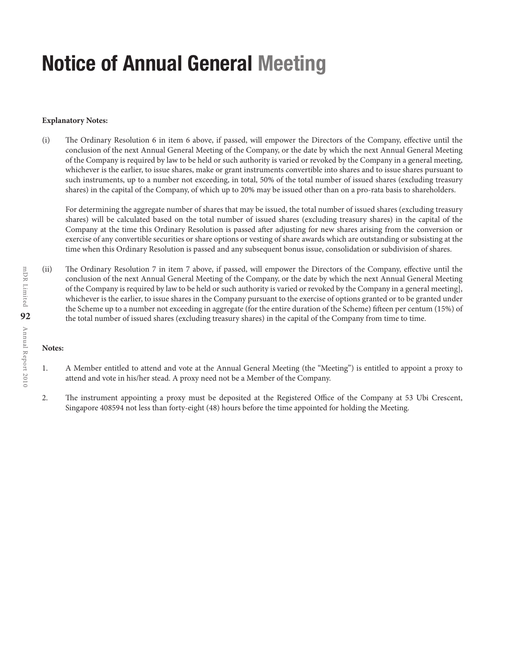### **Explanatory Notes:**

(i) The Ordinary Resolution 6 in item 6 above, if passed, will empower the Directors of the Company, effective until the conclusion of the next Annual General Meeting of the Company, or the date by which the next Annual General Meeting of the Company is required by law to be held or such authority is varied or revoked by the Company in a general meeting, whichever is the earlier, to issue shares, make or grant instruments convertible into shares and to issue shares pursuant to such instruments, up to a number not exceeding, in total, 50% of the total number of issued shares (excluding treasury shares) in the capital of the Company, of which up to 20% may be issued other than on a pro-rata basis to shareholders.

For determining the aggregate number of shares that may be issued, the total number of issued shares (excluding treasury shares) will be calculated based on the total number of issued shares (excluding treasury shares) in the capital of the Company at the time this Ordinary Resolution is passed after adjusting for new shares arising from the conversion or exercise of any convertible securities or share options or vesting of share awards which are outstanding or subsisting at the time when this Ordinary Resolution is passed and any subsequent bonus issue, consolidation or subdivision of shares.

(ii) The Ordinary Resolution 7 in item 7 above, if passed, will empower the Directors of the Company, effective until the conclusion of the next Annual General Meeting of the Company, or the date by which the next Annual General Meeting of the Company is required by law to be held or such authority is varied or revoked by the Company in a general meeting], whichever is the earlier, to issue shares in the Company pursuant to the exercise of options granted or to be granted under the Scheme up to a number not exceeding in aggregate (for the entire duration of the Scheme) fifteen per centum (15%) of the total number of issued shares (excluding treasury shares) in the capital of the Company from time to time.

### **Notes:**

- 1. A Member entitled to attend and vote at the Annual General Meeting (the "Meeting") is entitled to appoint a proxy to attend and vote in his/her stead. A proxy need not be a Member of the Company.
- 2. The instrument appointing a proxy must be deposited at the Registered Office of the Company at 53 Ubi Crescent, Singapore 408594 not less than forty-eight (48) hours before the time appointed for holding the Meeting.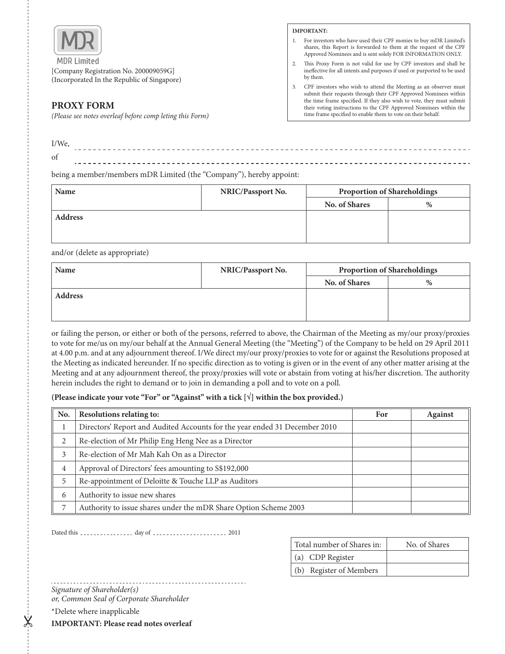

[Company Registration No. 200009059G] (Incorporated In the Republic of Singapore)

### **PROXY FORM**

*(Please see notes overleaf before comp leting this Form)*

### **IMPORTANT:**

- 1. For investors who have used their CPF monies to buy mDR Limited's shares, this Report is forwarded to them at the request of the CPF Approved Nominees and is sent solely FOR INFORMATION ONLY.
- 2. This Proxy Form is not valid for use by CPF investors and shall be ineffective for all intents and purposes if used or purported to be used by them.
- 3. CPF investors who wish to attend the Meeting as an observer must submit their requests through their CPF Approved Nominees within the time frame specified. If they also wish to vote, they must submit their voting instructions to the CPF Approved Nominees within the time frame specified to enable them to vote on their behalf.

| 01 |  |  |  |  |  |  |  |  |  |  |  |  |  |  |  |  |  |  |  |  |  |  |  |  |  |
|----|--|--|--|--|--|--|--|--|--|--|--|--|--|--|--|--|--|--|--|--|--|--|--|--|--|

 $- - -$ 

being a member/members mDR Limited (the "Company"), hereby appoint:

| Name           | NRIC/Passport No. | <b>Proportion of Shareholdings</b> |      |  |  |  |  |  |
|----------------|-------------------|------------------------------------|------|--|--|--|--|--|
|                |                   | No. of Shares                      | $\%$ |  |  |  |  |  |
| <b>Address</b> |                   |                                    |      |  |  |  |  |  |
|                |                   |                                    |      |  |  |  |  |  |
|                |                   |                                    |      |  |  |  |  |  |

and/or (delete as appropriate)

| Name           | NRIC/Passport No. |               | <b>Proportion of Shareholdings</b> |
|----------------|-------------------|---------------|------------------------------------|
|                |                   | No. of Shares | $\%$                               |
| <b>Address</b> |                   |               |                                    |
|                |                   |               |                                    |
|                |                   |               |                                    |

or failing the person, or either or both of the persons, referred to above, the Chairman of the Meeting as my/our proxy/proxies to vote for me/us on my/our behalf at the Annual General Meeting (the "Meeting") of the Company to be held on 29 April 2011 at 4.00 p.m. and at any adjournment thereof. I/We direct my/our proxy/proxies to vote for or against the Resolutions proposed at the Meeting as indicated hereunder. If no specific direction as to voting is given or in the event of any other matter arising at the Meeting and at any adjournment thereof, the proxy/proxies will vote or abstain from voting at his/her discretion. The authority herein includes the right to demand or to join in demanding a poll and to vote on a poll.

### **(Please indicate your vote "For" or "Against" with a tick [√] within the box provided.)**

| No. | <b>Resolutions relating to:</b>                                            | For | <b>Against</b> |
|-----|----------------------------------------------------------------------------|-----|----------------|
|     | Directors' Report and Audited Accounts for the year ended 31 December 2010 |     |                |
|     | Re-election of Mr Philip Eng Heng Nee as a Director                        |     |                |
| 3   | Re-election of Mr Mah Kah On as a Director                                 |     |                |
| 4   | Approval of Directors' fees amounting to S\$192,000                        |     |                |
|     | Re-appointment of Deloitte & Touche LLP as Auditors                        |     |                |
| 6   | Authority to issue new shares                                              |     |                |
|     | Authority to issue shares under the mDR Share Option Scheme 2003           |     |                |

Dated this \_\_\_\_\_\_\_\_\_\_\_\_\_\_\_\_\_\_\_ day of \_\_\_\_\_\_\_\_\_\_\_\_\_\_\_\_\_\_\_\_\_\_\_\_\_\_\_ 2011

| Total number of Shares in: | No. of Shares |
|----------------------------|---------------|
| (a) CDP Register           |               |
| (b) Register of Members    |               |

*Signature of Shareholder(s)*

*or, Common Seal of Corporate Shareholder*

\*Delete where inapplicable

**IMPORTANT: Please read notes overleaf**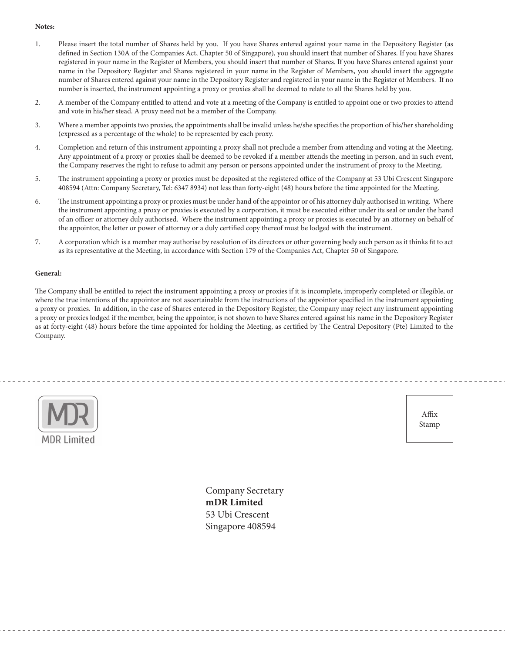#### **Notes:**

- 1. Please insert the total number of Shares held by you. If you have Shares entered against your name in the Depository Register (as defined in Section 130A of the Companies Act, Chapter 50 of Singapore), you should insert that number of Shares. If you have Shares registered in your name in the Register of Members, you should insert that number of Shares. If you have Shares entered against your name in the Depository Register and Shares registered in your name in the Register of Members, you should insert the aggregate number of Shares entered against your name in the Depository Register and registered in your name in the Register of Members. If no number is inserted, the instrument appointing a proxy or proxies shall be deemed to relate to all the Shares held by you.
- 2. A member of the Company entitled to attend and vote at a meeting of the Company is entitled to appoint one or two proxies to attend and vote in his/her stead. A proxy need not be a member of the Company.
- 3. Where a member appoints two proxies, the appointments shall be invalid unless he/she specifies the proportion of his/her shareholding (expressed as a percentage of the whole) to be represented by each proxy.
- 4. Completion and return of this instrument appointing a proxy shall not preclude a member from attending and voting at the Meeting. Any appointment of a proxy or proxies shall be deemed to be revoked if a member attends the meeting in person, and in such event, the Company reserves the right to refuse to admit any person or persons appointed under the instrument of proxy to the Meeting.
- 5. The instrument appointing a proxy or proxies must be deposited at the registered office of the Company at 53 Ubi Crescent Singapore 408594 (Attn: Company Secretary, Tel: 6347 8934) not less than forty-eight (48) hours before the time appointed for the Meeting.
- 6. The instrument appointing a proxy or proxies must be under hand of the appointor or of his attorney duly authorised in writing. Where the instrument appointing a proxy or proxies is executed by a corporation, it must be executed either under its seal or under the hand of an officer or attorney duly authorised. Where the instrument appointing a proxy or proxies is executed by an attorney on behalf of the appointor, the letter or power of attorney or a duly certified copy thereof must be lodged with the instrument.
- 7. A corporation which is a member may authorise by resolution of its directors or other governing body such person as it thinks fi t to act as its representative at the Meeting, in accordance with Section 179 of the Companies Act, Chapter 50 of Singapore.

#### **General:**

The Company shall be entitled to reject the instrument appointing a proxy or proxies if it is incomplete, improperly completed or illegible, or where the true intentions of the appointor are not ascertainable from the instructions of the appointor specified in the instrument appointing a proxy or proxies. In addition, in the case of Shares entered in the Depository Register, the Company may reject any instrument appointing a proxy or proxies lodged if the member, being the appointor, is not shown to have Shares entered against his name in the Depository Register as at forty-eight (48) hours before the time appointed for holding the Meeting, as certified by The Central Depository (Pte) Limited to the Company.



Affix Stamp

Company Secretary **mDR Limited** 53 Ubi Crescent Singapore 408594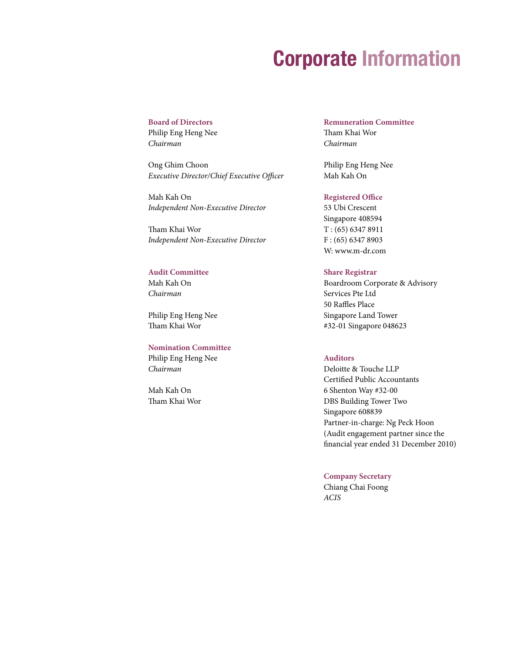### Corporate Information

### **Board of Directors** Philip Eng Heng Nee *Chairman*

Ong Ghim Choon *Executive Director/Chief Executive Officer*

Mah Kah On *Independent Non-Executive Director*

Tham Khai Wor *Independent Non-Executive Director*

### **Audit Committee** Mah Kah On *Chairman*

Philip Eng Heng Nee Tham Khai Wor

**Nomination Committee** Philip Eng Heng Nee *Chairman*

Mah Kah On Tham Khai Wor

### **Remuneration Committee** Tham Khai Wor *Chairman*

Philip Eng Heng Nee Mah Kah On

### **Registered Office**

53 Ubi Crescent Singapore 408594 T : (65) 6347 8911 F : (65) 6347 8903 W: www.m-dr.com

**Share Registrar** Boardroom Corporate & Advisory Services Pte Ltd 50 Raffles Place Singapore Land Tower #32-01 Singapore 048623

### **Auditors**

Deloitte & Touche LLP Certified Public Accountants 6 Shenton Way #32-00 DBS Building Tower Two Singapore 608839 Partner-in-charge: Ng Peck Hoon (Audit engagement partner since the financial year ended 31 December 2010)

### **Company Secretary**

Chiang Chai Foong *ACIS*